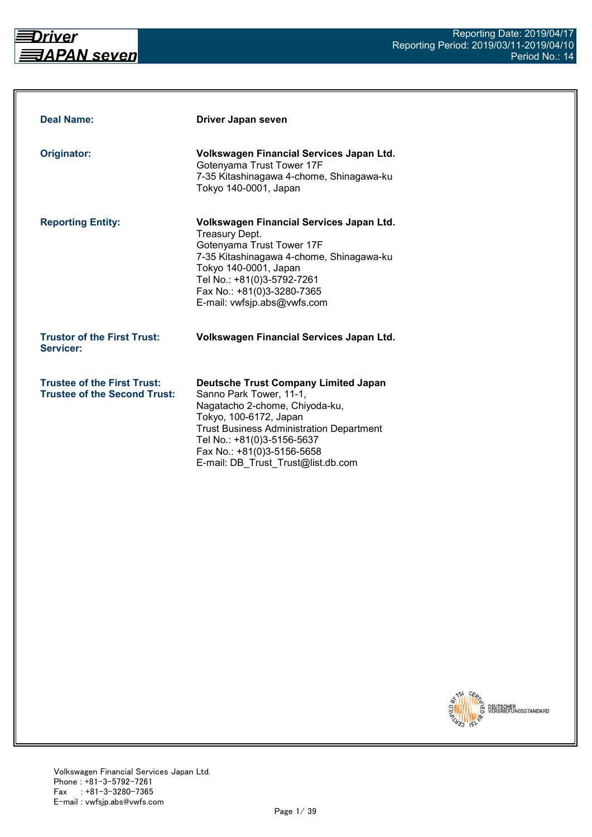

| <b>Deal Name:</b>                                                         | Driver Japan seven                                                                                                                                                                                                                                                                      |
|---------------------------------------------------------------------------|-----------------------------------------------------------------------------------------------------------------------------------------------------------------------------------------------------------------------------------------------------------------------------------------|
| Originator:                                                               | Volkswagen Financial Services Japan Ltd.<br>Gotenyama Trust Tower 17F<br>7-35 Kitashinagawa 4-chome, Shinagawa-ku<br>Tokyo 140-0001, Japan                                                                                                                                              |
| <b>Reporting Entity:</b>                                                  | Volkswagen Financial Services Japan Ltd.<br><b>Treasury Dept.</b><br>Gotenyama Trust Tower 17F<br>7-35 Kitashinagawa 4-chome, Shinagawa-ku<br>Tokyo 140-0001, Japan<br>Tel No.: +81(0)3-5792-7261<br>Fax No.: +81(0)3-3280-7365<br>E-mail: vwfsjp.abs@vwfs.com                          |
| <b>Trustor of the First Trust:</b><br>Servicer:                           | Volkswagen Financial Services Japan Ltd.                                                                                                                                                                                                                                                |
| <b>Trustee of the First Trust:</b><br><b>Trustee of the Second Trust:</b> | <b>Deutsche Trust Company Limited Japan</b><br>Sanno Park Tower, 11-1,<br>Nagatacho 2-chome, Chiyoda-ku,<br>Tokyo, 100-6172, Japan<br><b>Trust Business Administration Department</b><br>Tel No.: +81(0)3-5156-5637<br>Fax No.: +81(0)3-5156-5658<br>E-mail: DB Trust Trust@list.db.com |

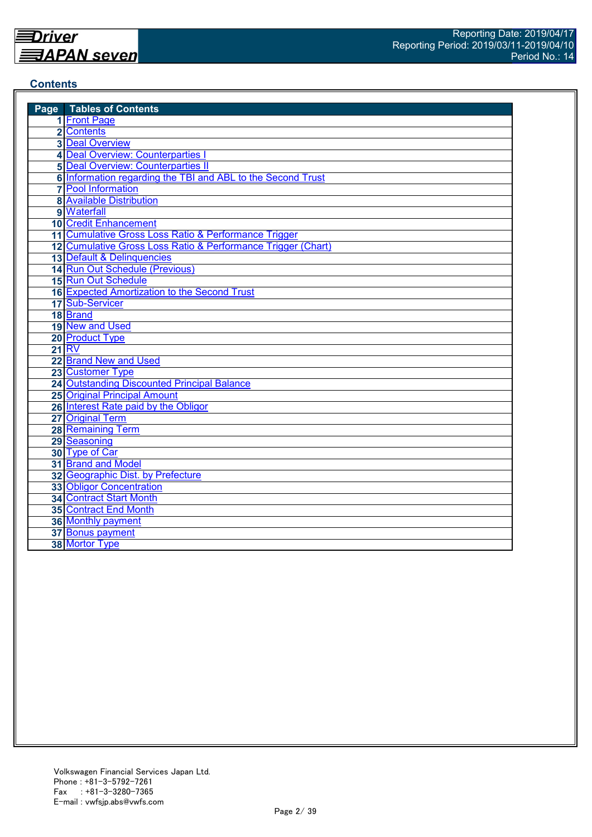## **Contents**

| <b>Page</b> Tables of Contents                               |
|--------------------------------------------------------------|
| 1 Front Page                                                 |
| 2 Contents                                                   |
| <b>3 Deal Overview</b>                                       |
| 4 Deal Overview: Counterparties I                            |
| <b>5</b> Deal Overview: Counterparties II                    |
| 6 Information regarding the TBI and ABL to the Second Trust  |
| <b>7</b> Pool Information                                    |
| <b>8 Available Distribution</b>                              |
| 9 Waterfall                                                  |
| <b>10 Credit Enhancement</b>                                 |
| 11 Cumulative Gross Loss Ratio & Performance Trigger         |
| 12 Cumulative Gross Loss Ratio & Performance Trigger (Chart) |
| 13 Default & Delinquencies                                   |
| 14 Run Out Schedule (Previous)                               |
| 15 Run Out Schedule                                          |
| 16 Expected Amortization to the Second Trust                 |
| 17 Sub-Servicer                                              |
| 18 Brand                                                     |
| 19 New and Used                                              |
| 20 Product Type                                              |
| <b>21 RV</b>                                                 |
| 22 Brand New and Used                                        |
| 23 Customer Type                                             |
| 24 Outstanding Discounted Principal Balance                  |
| <b>25 Original Principal Amount</b>                          |
| 26 Interest Rate paid by the Obligor                         |
| 27 Original Term                                             |
| 28 Remaining Term                                            |
| 29 Seasoning                                                 |
| 30 Type of Car                                               |
| 31 Brand and Model                                           |
| 32 Geographic Dist. by Prefecture                            |
| <b>33 Obligor Concentration</b>                              |
| <b>34 Contract Start Month</b>                               |
| 35 Contract End Month                                        |
| <b>36 Monthly payment</b>                                    |
| 37 Bonus payment                                             |
| 38 Mortor Type                                               |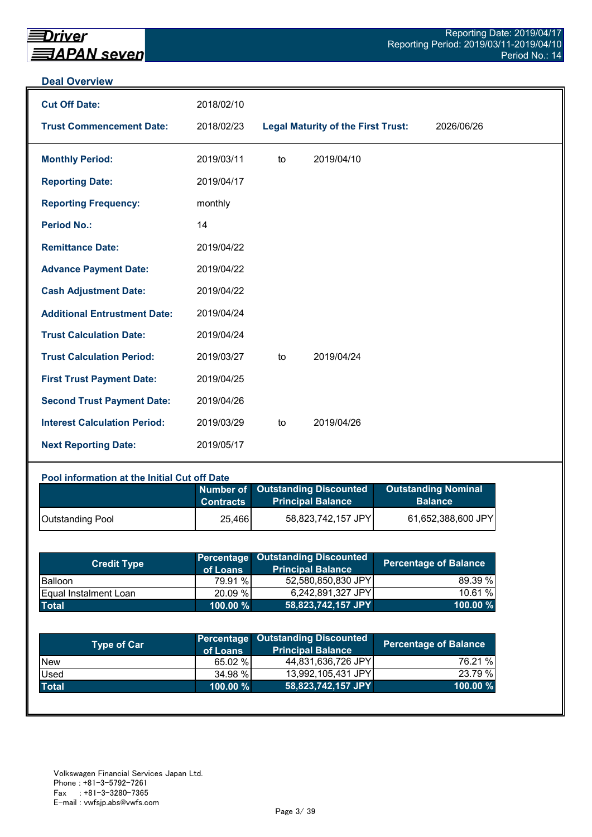#### **Deal Overview**

| <b>Cut Off Date:</b>                | 2018/02/10 |    |                                           |            |
|-------------------------------------|------------|----|-------------------------------------------|------------|
| <b>Trust Commencement Date:</b>     | 2018/02/23 |    | <b>Legal Maturity of the First Trust:</b> | 2026/06/26 |
| <b>Monthly Period:</b>              | 2019/03/11 | to | 2019/04/10                                |            |
| <b>Reporting Date:</b>              | 2019/04/17 |    |                                           |            |
| <b>Reporting Frequency:</b>         | monthly    |    |                                           |            |
| <b>Period No.:</b>                  | 14         |    |                                           |            |
| <b>Remittance Date:</b>             | 2019/04/22 |    |                                           |            |
| <b>Advance Payment Date:</b>        | 2019/04/22 |    |                                           |            |
| <b>Cash Adjustment Date:</b>        | 2019/04/22 |    |                                           |            |
| <b>Additional Entrustment Date:</b> | 2019/04/24 |    |                                           |            |
| <b>Trust Calculation Date:</b>      | 2019/04/24 |    |                                           |            |
| <b>Trust Calculation Period:</b>    | 2019/03/27 | to | 2019/04/24                                |            |
| <b>First Trust Payment Date:</b>    | 2019/04/25 |    |                                           |            |
| <b>Second Trust Payment Date:</b>   | 2019/04/26 |    |                                           |            |
| <b>Interest Calculation Period:</b> | 2019/03/29 | to | 2019/04/26                                |            |
| <b>Next Reporting Date:</b>         | 2019/05/17 |    |                                           |            |

#### **Pool information at the Initial Cut off Date**

|                         | <b>Contracts</b> | Number of Outstanding Discounted<br><b>Principal Balance</b> | <b>Outstanding Nominal</b><br><b>Balance</b> |
|-------------------------|------------------|--------------------------------------------------------------|----------------------------------------------|
| <b>Outstanding Pool</b> | 25,466           | 58,823,742,157 JPY                                           | 61,652,388,600 JPY                           |

| <b>Credit Type</b>            | of Loans    | <b>Percentage Outstanding Discounted</b><br><b>Principal Balance</b> | <b>Percentage of Balance</b> |
|-------------------------------|-------------|----------------------------------------------------------------------|------------------------------|
| <b>Balloon</b>                | 79.91 %     | 52,580,850,830 JPY                                                   | 89.39 %                      |
| <b>IEqual Instalment Loan</b> | 20.09 %     | 6,242,891,327 JPY                                                    | 10.61%                       |
| <b>Total</b>                  | $100.00 \%$ | 58,823,742,157 JPY                                                   | 100.00 $%$                   |

| <b>Type of Car</b> | of Loans    | Percentage Outstanding Discounted<br><b>Principal Balance</b> | <b>Percentage of Balance</b> |
|--------------------|-------------|---------------------------------------------------------------|------------------------------|
| <b>New</b>         | 65.02 %     | 44,831,636,726 JPY                                            | 76.21 %                      |
| Used               | 34.98 %     | 13,992,105,431 JPY                                            | 23.79 %                      |
| <b>Total</b>       | $100.00 \%$ | 58,823,742,157 JPY                                            | 100.00 %                     |
|                    |             |                                                               |                              |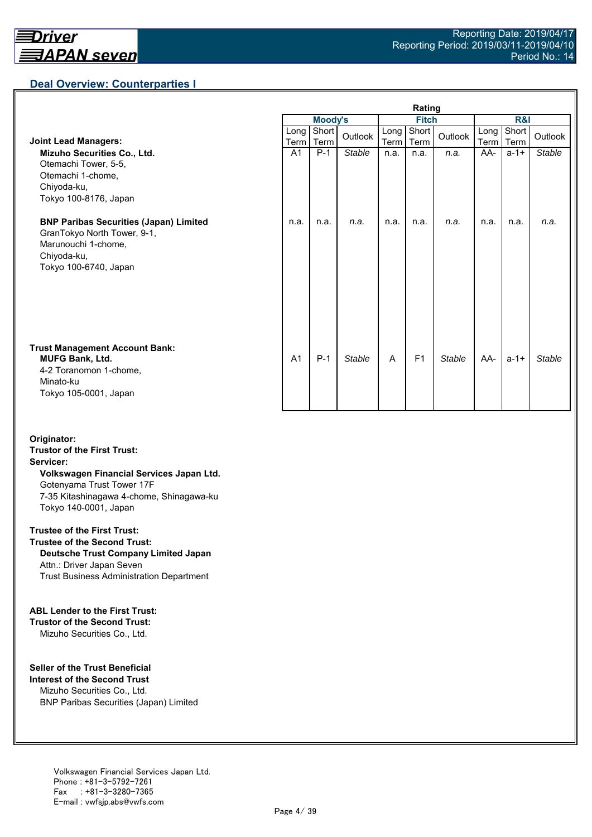## **Deal Overview: Counterparties I**

|                                                                                                                                             | Rating         |                |         |              |                |               |              |               |               |
|---------------------------------------------------------------------------------------------------------------------------------------------|----------------|----------------|---------|--------------|----------------|---------------|--------------|---------------|---------------|
|                                                                                                                                             |                | <b>Moody's</b> |         | <b>Fitch</b> |                |               | R&I          |               |               |
| <b>Joint Lead Managers:</b>                                                                                                                 | Long  <br>Term | Short<br>Term  | Outlook | Long<br>Term | Short<br>Term  | Outlook       | Long<br>Term | Short<br>Term | Outlook       |
| Mizuho Securities Co., Ltd.<br>Otemachi Tower, 5-5,<br>Otemachi 1-chome,<br>Chiyoda-ku,<br>Tokyo 100-8176, Japan                            | A <sub>1</sub> | $P-1$          | Stable  | n.a.         | n.a.           | n.a.          | AA-          | $a - 1 +$     | <b>Stable</b> |
| <b>BNP Paribas Securities (Japan) Limited</b><br>GranTokyo North Tower, 9-1,<br>Marunouchi 1-chome,<br>Chiyoda-ku,<br>Tokyo 100-6740, Japan | n.a.           | n.a.           | n.a.    | n.a.         | n.a.           | n.a.          | n.a.         | n.a.          | n.a.          |
| <b>Trust Management Account Bank:</b><br><b>MUFG Bank, Ltd.</b><br>4-2 Toranomon 1-chome,<br>Minato-ku<br>Tokyo 105-0001, Japan             | A <sub>1</sub> | $P-1$          | Stable  | A            | F <sub>1</sub> | <b>Stable</b> | AA-          | $a - 1 +$     | Stable        |

#### **Originator: Trustor of the First Trust: Servicer: Volkswagen Financial Services Japan Ltd.** Gotenyama Trust Tower 17F 7-35 Kitashinagawa 4-chome, Shinagawa-ku Tokyo 140-0001, Japan

#### **Trustee of the First Trust:**

**Trustee of the Second Trust: Deutsche Trust Company Limited Japan** Attn.: Driver Japan Seven Trust Business Administration Department

#### **ABL Lender to the First Trust:**

**Trustor of the Second Trust:** Mizuho Securities Co., Ltd.

#### **Seller of the Trust Beneficial**

**Interest of the Second Trust** Mizuho Securities Co., Ltd. BNP Paribas Securities (Japan) Limited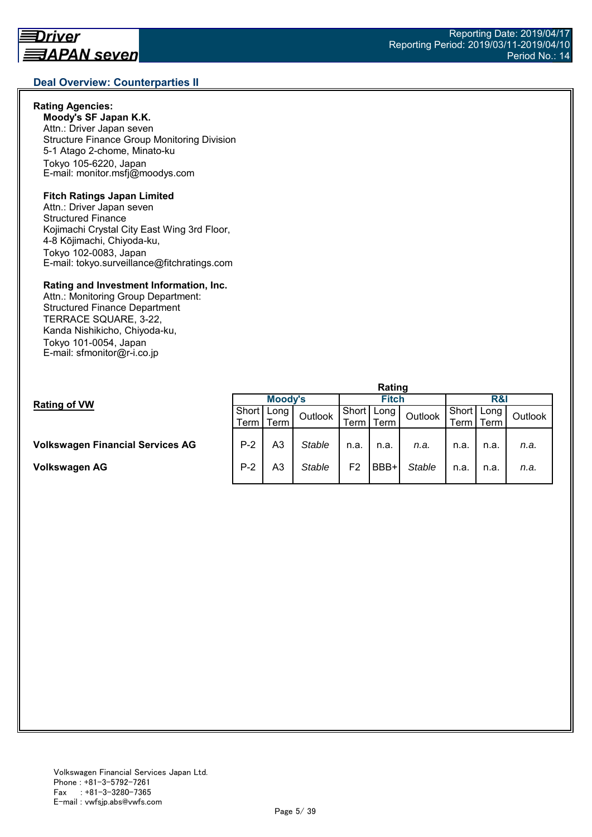## **Deal Overview: Counterparties II**

## **Rating Agencies:**

**Moody's SF Japan K.K.** Attn.: Driver Japan seven Structure Finance Group Monitoring Division 5-1 Atago 2-chome, Minato-ku Tokyo 105-6220, Japan E-mail: monitor.msfj@moodys.com

#### **Fitch Ratings Japan Limited**

Attn.: Driver Japan seven Structured Finance Kojimachi Crystal City East Wing 3rd Floor, 4-8 Kōjimachi, Chiyoda-ku, Tokyo 102-0083, Japan E-mail: tokyo.surveillance@fitchratings.com

#### **Rating and Investment Information, Inc.**

Attn.: Monitoring Group Department: Structured Finance Department TERRACE SQUARE, 3-22, Kanda Nishikicho, Chiyoda-ku, Tokyo 101-0054, Japan E-mail: sfmonitor@r-i.co.jp

|                                         | nauny   |          |               |              |      |               |              |      |         |  |
|-----------------------------------------|---------|----------|---------------|--------------|------|---------------|--------------|------|---------|--|
| <b>Rating of VW</b>                     | Moody's |          |               | <b>Fitch</b> |      |               | R&I          |      |         |  |
|                                         | Short   | l   Long | Outlook       | Short        | Long | Outlook       | Short   Long |      | Outlook |  |
|                                         | Term    | l Term   |               | Term         | Term |               | ⊺erm I       | Term |         |  |
|                                         |         |          |               |              |      |               |              |      |         |  |
| <b>Volkswagen Financial Services AG</b> | $P-2$   | A3       | <b>Stable</b> | n.a.         | n.a. | n.a.          | n.a.         | n.a. | n.a.    |  |
|                                         |         |          |               |              |      |               |              |      |         |  |
| Volkswagen AG                           | $P-2$   | A3       | <b>Stable</b> | F2           | BBB+ | <b>Stable</b> | n.a.         | n.a. | n.a.    |  |
|                                         |         |          |               |              |      |               |              |      |         |  |

**Rating**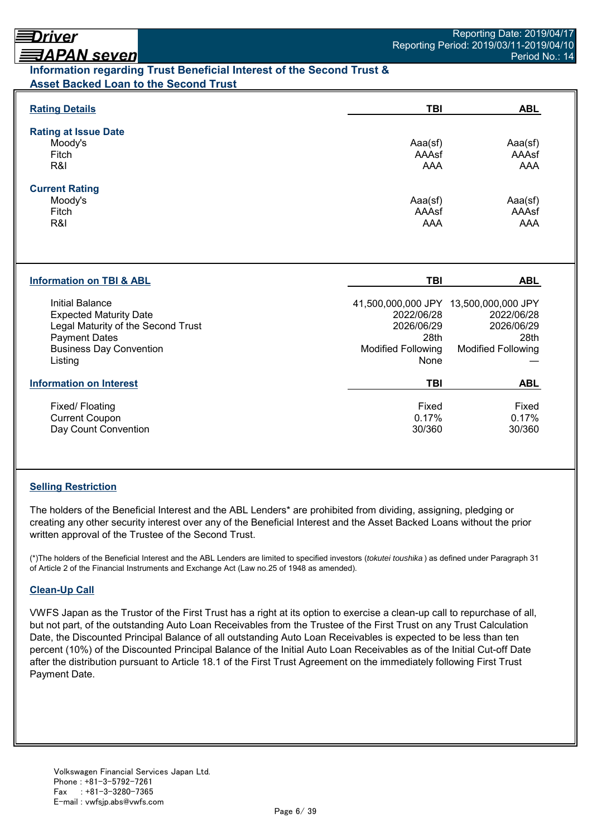# <u> ヨAPAN seven</u> **Information regarding Trust Beneficial Interest of the Second Trust & Asset Backed Loan to the Second Trust**

| <b>Rating Details</b>                                                                                                                                       | TBI                                                                   | <b>ABL</b>                                                                                             |
|-------------------------------------------------------------------------------------------------------------------------------------------------------------|-----------------------------------------------------------------------|--------------------------------------------------------------------------------------------------------|
| <b>Rating at Issue Date</b><br>Moody's<br>Fitch<br>R&I                                                                                                      | Aaa(sf)<br>AAAsf<br>AAA                                               | Aaa(sf)<br>AAAsf<br>AAA                                                                                |
| <b>Current Rating</b><br>Moody's<br>Fitch<br>R&I                                                                                                            | Aaa(sf)<br>AAAsf<br>AAA                                               | Aaa(sf)<br>AAAsf<br>AAA                                                                                |
| <b>Information on TBI &amp; ABL</b>                                                                                                                         | TBI                                                                   | <b>ABL</b>                                                                                             |
| Initial Balance<br><b>Expected Maturity Date</b><br>Legal Maturity of the Second Trust<br><b>Payment Dates</b><br><b>Business Day Convention</b><br>Listing | 2022/06/28<br>2026/06/29<br>28th<br><b>Modified Following</b><br>None | 41,500,000,000 JPY 13,500,000,000 JPY<br>2022/06/28<br>2026/06/29<br>28th<br><b>Modified Following</b> |
| <b>Information on Interest</b>                                                                                                                              | TBI                                                                   | <b>ABL</b>                                                                                             |
| Fixed/Floating<br><b>Current Coupon</b><br>Day Count Convention                                                                                             | Fixed<br>0.17%<br>30/360                                              | Fixed<br>0.17%<br>30/360                                                                               |

## **Selling Restriction**

The holders of the Beneficial Interest and the ABL Lenders\* are prohibited from dividing, assigning, pledging or creating any other security interest over any of the Beneficial Interest and the Asset Backed Loans without the prior written approval of the Trustee of the Second Trust.

(\*)The holders of the Beneficial Interest and the ABL Lenders are limited to specified investors (*tokutei toushika* ) as defined under Paragraph 31 of Article 2 of the Financial Instruments and Exchange Act (Law no.25 of 1948 as amended).

## **Clean-Up Call**

VWFS Japan as the Trustor of the First Trust has a right at its option to exercise a clean-up call to repurchase of all, but not part, of the outstanding Auto Loan Receivables from the Trustee of the First Trust on any Trust Calculation Date, the Discounted Principal Balance of all outstanding Auto Loan Receivables is expected to be less than ten percent (10%) of the Discounted Principal Balance of the Initial Auto Loan Receivables as of the Initial Cut-off Date after the distribution pursuant to Article 18.1 of the First Trust Agreement on the immediately following First Trust Payment Date.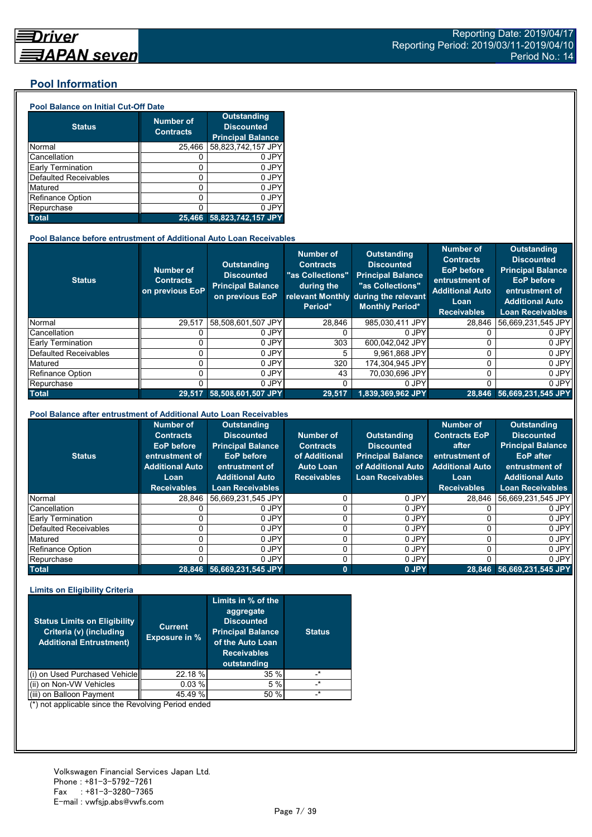## **Pool Information**

#### **Pool Balance on Initial Cut-Off Date**

| <b>Status</b>                | <b>Number of</b><br><b>Contracts</b> | <b>Outstanding</b><br><b>Discounted</b><br><b>Principal Balance</b> |
|------------------------------|--------------------------------------|---------------------------------------------------------------------|
| Normal                       | 25,466                               | 58,823,742,157 JPY                                                  |
| Cancellation                 |                                      | 0 JPY                                                               |
| Early Termination            | 0                                    | 0 JPY                                                               |
| <b>Defaulted Receivables</b> | 0                                    | 0 JPY                                                               |
| Matured                      | 0                                    | 0 JPY                                                               |
| <b>Refinance Option</b>      | Ω                                    | 0 JPY                                                               |
| Repurchase                   |                                      | 0 JPY                                                               |
| <b>Total</b>                 | 25.466                               | 58,823,742,157 JPY                                                  |

#### **Pool Balance before entrustment of Additional Auto Loan Receivables**

| <b>Status</b>            | <b>Number of</b><br><b>Contracts</b><br>on previous EoP | <b>Outstanding</b><br><b>Discounted</b><br><b>Principal Balance</b><br>on previous EoP | <b>Number of</b><br><b>Contracts</b><br>"as Collections"<br>during the<br>Period* | Outstanding<br><b>Discounted</b><br><b>Principal Balance</b><br>"as Collections"<br>relevant Monthly during the relevant<br><b>Monthly Period*</b> | <b>Number of</b><br><b>Contracts</b><br><b>EoP</b> before<br>entrustment of<br><b>Additional Auto</b><br>Loan<br><b>Receivables</b> | <b>Outstanding</b><br><b>Discounted</b><br><b>Principal Balance</b><br><b>EoP</b> before<br>entrustment of<br><b>Additional Auto</b><br><b>Loan Receivables</b> |
|--------------------------|---------------------------------------------------------|----------------------------------------------------------------------------------------|-----------------------------------------------------------------------------------|----------------------------------------------------------------------------------------------------------------------------------------------------|-------------------------------------------------------------------------------------------------------------------------------------|-----------------------------------------------------------------------------------------------------------------------------------------------------------------|
| Normal                   | 29.517                                                  | 58.508.601.507 JPY                                                                     | 28.846                                                                            | 985,030,411 JPY                                                                                                                                    | 28.846                                                                                                                              | 56.669.231.545 JPY                                                                                                                                              |
| Cancellation             |                                                         | 0 JPY                                                                                  |                                                                                   | 0 JPY                                                                                                                                              |                                                                                                                                     | 0 JPY                                                                                                                                                           |
| <b>Early Termination</b> |                                                         | 0 JPY                                                                                  | 303                                                                               | 600.042.042 JPY                                                                                                                                    |                                                                                                                                     | 0 JPY                                                                                                                                                           |
| Defaulted Receivables    |                                                         | 0 JPY                                                                                  | 5.                                                                                | 9.961.868 JPY                                                                                                                                      |                                                                                                                                     | 0 JPY                                                                                                                                                           |
| Matured                  |                                                         | 0 JPY                                                                                  | 320                                                                               | 174.304.945 JPY                                                                                                                                    |                                                                                                                                     | 0 JPY                                                                                                                                                           |
| <b>Refinance Option</b>  |                                                         | 0 JPY                                                                                  | 43                                                                                | 70.030.696 JPY                                                                                                                                     | U                                                                                                                                   | 0 JPY                                                                                                                                                           |
| Repurchase               |                                                         | 0 JPY                                                                                  |                                                                                   | 0 JPY                                                                                                                                              | U                                                                                                                                   | 0 JPY                                                                                                                                                           |
| <b>Total</b>             | 29.517                                                  | 58.508.601.507 JPY                                                                     | 29,517                                                                            | 1.839.369.962 JPY                                                                                                                                  |                                                                                                                                     | 28,846 56,669,231,545 JPY                                                                                                                                       |

#### **Pool Balance after entrustment of Additional Auto Loan Receivables**

| <b>Status</b>            | <b>Number of</b><br><b>Contracts</b><br><b>EoP</b> before<br>entrustment of<br><b>Additional Auto</b><br>Loan<br><b>Receivables</b> | <b>Outstanding</b><br><b>Discounted</b><br><b>Principal Balance</b><br><b>EoP</b> before<br>entrustment of<br><b>Additional Auto</b><br><b>Loan Receivables</b> | Number of<br><b>Contracts</b><br>of Additional<br><b>Auto Loan</b><br><b>Receivables</b> | <b>Outstanding</b><br><b>Discounted</b><br><b>Principal Balance</b><br>of Additional Auto<br><b>Loan Receivables</b> | <b>Number of</b><br><b>Contracts EoP</b><br>after<br>entrustment of<br><b>Additional Auto</b><br>Loan<br><b>Receivables</b> | <b>Outstanding</b><br><b>Discounted</b><br><b>Principal Balance</b><br><b>EoP</b> after<br>entrustment of<br><b>Additional Auto</b><br><b>Loan Receivables</b> |
|--------------------------|-------------------------------------------------------------------------------------------------------------------------------------|-----------------------------------------------------------------------------------------------------------------------------------------------------------------|------------------------------------------------------------------------------------------|----------------------------------------------------------------------------------------------------------------------|-----------------------------------------------------------------------------------------------------------------------------|----------------------------------------------------------------------------------------------------------------------------------------------------------------|
| Normal                   | 28.846                                                                                                                              | 56.669.231.545 JPY                                                                                                                                              |                                                                                          | 0 JPY                                                                                                                | 28.846                                                                                                                      | 56,669,231,545 JPY                                                                                                                                             |
| Cancellation             |                                                                                                                                     | 0 JPY                                                                                                                                                           |                                                                                          | 0 JPY                                                                                                                |                                                                                                                             | 0 JPY                                                                                                                                                          |
| <b>Early Termination</b> |                                                                                                                                     | 0 JPY                                                                                                                                                           |                                                                                          | 0 JPY                                                                                                                |                                                                                                                             | 0 JPY                                                                                                                                                          |
| Defaulted Receivables    |                                                                                                                                     | 0 JPY                                                                                                                                                           |                                                                                          | 0 JPY                                                                                                                |                                                                                                                             | 0 JPY                                                                                                                                                          |
| Matured                  |                                                                                                                                     | 0 JPY                                                                                                                                                           |                                                                                          | 0 JPY                                                                                                                | 0                                                                                                                           | 0 JPY                                                                                                                                                          |
| Refinance Option         |                                                                                                                                     | 0 JPY                                                                                                                                                           |                                                                                          | 0 JPY                                                                                                                | 0                                                                                                                           | 0 JPY                                                                                                                                                          |
| Repurchase               |                                                                                                                                     | 0 JPY                                                                                                                                                           |                                                                                          | 0 JPY                                                                                                                |                                                                                                                             | 0 JPY                                                                                                                                                          |
| <b>Total</b>             |                                                                                                                                     | 28,846 56,669,231,545 JPY                                                                                                                                       | $\bf{0}$                                                                                 | 0 JPY                                                                                                                |                                                                                                                             | 28,846 56,669,231,545 JPY                                                                                                                                      |

#### **Limits on Eligibility Criteria**

| <b>Status Limits on Eligibility</b><br>Criteria (v) (including<br><b>Additional Entrustment)</b> | <b>Current</b><br><b>Exposure in %</b> | Limits in % of the<br>aggregate<br><b>Discounted</b><br><b>Principal Balance</b><br>of the Auto Loan<br><b>Receivables</b><br>outstanding | <b>Status</b> |
|--------------------------------------------------------------------------------------------------|----------------------------------------|-------------------------------------------------------------------------------------------------------------------------------------------|---------------|
| on Used Purchased Vehicle                                                                        | 22.18 %                                | 35%                                                                                                                                       | $^\star$      |
| (ii) on Non-VW Vehicles                                                                          | 0.03%                                  | 5 %                                                                                                                                       | $\star$       |
| on Balloon Payment                                                                               | 45.49 %                                | 50 %                                                                                                                                      | $\star$       |

(\*) not applicable since the Revolving Period ended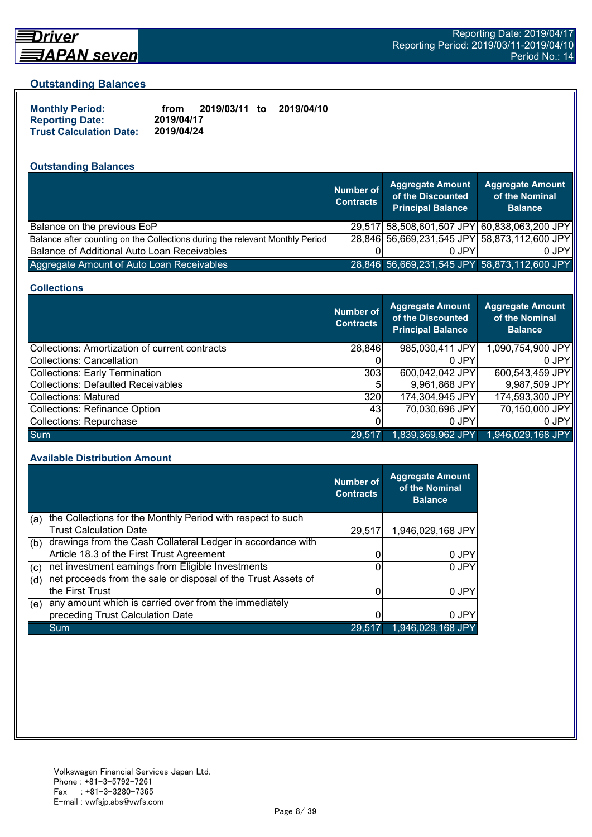

# Driver

## **Outstanding Balances**

| <b>Monthly Period:</b>         | from       | 2019/03/11 to | 2019/04/10 |
|--------------------------------|------------|---------------|------------|
| <b>Reporting Date:</b>         | 2019/04/17 |               |            |
| <b>Trust Calculation Date:</b> | 2019/04/24 |               |            |

# **Outstanding Balances**

|                                                                              | <b>Number of</b><br><b>Contracts</b> | <b>Aggregate Amount</b><br>of the Discounted<br><b>Principal Balance</b> | <b>Aggregate Amount</b><br>of the Nominal<br><b>Balance</b> |
|------------------------------------------------------------------------------|--------------------------------------|--------------------------------------------------------------------------|-------------------------------------------------------------|
| Balance on the previous EoP                                                  |                                      | 29,517 58,508,601,507 JPY 60,838,063,200 JPY                             |                                                             |
| Balance after counting on the Collections during the relevant Monthly Period |                                      | 28,846 56,669,231,545 JPY 58,873,112,600 JPY                             |                                                             |
| Balance of Additional Auto Loan Receivables                                  |                                      | 0 JPY                                                                    | 0 JPY                                                       |
| Aggregate Amount of Auto Loan Receivables                                    |                                      | 28,846 56,669,231,545 JPY 58,873,112,600 JPY                             |                                                             |

#### **Collections**

|                                                | Number of<br><b>Contracts</b> | Aggregate Amount<br>of the Discounted<br><b>Principal Balance</b> | <b>Aggregate Amount</b><br>of the Nominal<br><b>Balance</b> |
|------------------------------------------------|-------------------------------|-------------------------------------------------------------------|-------------------------------------------------------------|
| Collections: Amortization of current contracts | 28,846                        | 985,030,411 JPY                                                   | 1,090,754,900 JPY                                           |
| Collections: Cancellation                      |                               | $0$ JPY                                                           | $0$ JPY                                                     |
| Collections: Early Termination                 | 303                           | 600,042,042 JPY                                                   | 600,543,459 JPY                                             |
| Collections: Defaulted Receivables             | 5                             | 9,961,868 JPY                                                     | 9,987,509 JPY                                               |
| Collections: Matured                           | 320                           | 174,304,945 JPY                                                   | 174,593,300 JPY                                             |
| Collections: Refinance Option                  | 431                           | 70,030,696 JPY                                                    | 70,150,000 JPY                                              |
| Collections: Repurchase                        |                               | 0 JPY                                                             | 0 JPY                                                       |
| Sum                                            | 29.517                        | 1,839,369,962 JPY                                                 | 1,946,029,168 JPY                                           |

#### **Available Distribution Amount**

|     |                                                               | <b>Number of</b><br><b>Contracts</b> | <b>Aggregate Amount</b><br>of the Nominal<br><b>Balance</b> |
|-----|---------------------------------------------------------------|--------------------------------------|-------------------------------------------------------------|
| (a) | the Collections for the Monthly Period with respect to such   |                                      |                                                             |
|     | <b>Trust Calculation Date</b>                                 | 29,517                               | 1,946,029,168 JPY                                           |
| (b) | drawings from the Cash Collateral Ledger in accordance with   |                                      |                                                             |
|     | Article 18.3 of the First Trust Agreement                     |                                      | 0 JPY                                                       |
| (c) | net investment earnings from Eligible Investments             | 0                                    | 0 JPY                                                       |
| (d) | net proceeds from the sale or disposal of the Trust Assets of |                                      |                                                             |
|     | the First Trust                                               |                                      | 0 JPY                                                       |
| (e) | any amount which is carried over from the immediately         |                                      |                                                             |
|     | preceding Trust Calculation Date                              |                                      | 0 JPY                                                       |
|     | Sum                                                           | 29.51                                | 1,946,029,168 JPY                                           |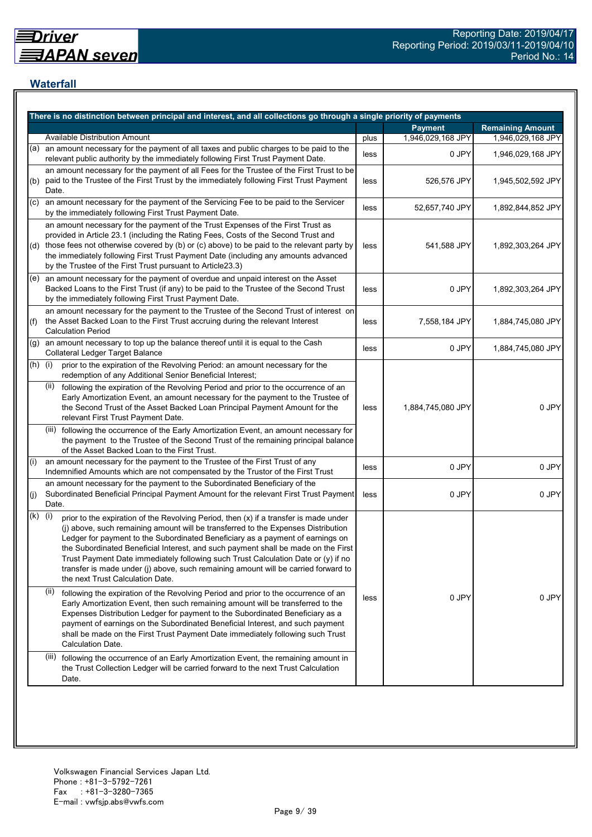## **Waterfall**

|           | There is no distinction between principal and interest, and all collections go through a single priority of payments                                                                                                                                                                                                                                                                                                                                                                                                                                                    |      |                   |                         |
|-----------|-------------------------------------------------------------------------------------------------------------------------------------------------------------------------------------------------------------------------------------------------------------------------------------------------------------------------------------------------------------------------------------------------------------------------------------------------------------------------------------------------------------------------------------------------------------------------|------|-------------------|-------------------------|
|           |                                                                                                                                                                                                                                                                                                                                                                                                                                                                                                                                                                         |      | <b>Payment</b>    | <b>Remaining Amount</b> |
|           | <b>Available Distribution Amount</b>                                                                                                                                                                                                                                                                                                                                                                                                                                                                                                                                    | plus | 1,946,029,168 JPY | 1,946,029,168 JPY       |
| (a)       | an amount necessary for the payment of all taxes and public charges to be paid to the<br>relevant public authority by the immediately following First Trust Payment Date.                                                                                                                                                                                                                                                                                                                                                                                               | less | 0 JPY             | 1,946,029,168 JPY       |
| (b)       | an amount necessary for the payment of all Fees for the Trustee of the First Trust to be<br>paid to the Trustee of the First Trust by the immediately following First Trust Payment<br>Date.                                                                                                                                                                                                                                                                                                                                                                            | less | 526,576 JPY       | 1,945,502,592 JPY       |
| (c)       | an amount necessary for the payment of the Servicing Fee to be paid to the Servicer<br>by the immediately following First Trust Payment Date.                                                                                                                                                                                                                                                                                                                                                                                                                           | less | 52,657,740 JPY    | 1,892,844,852 JPY       |
|           | an amount necessary for the payment of the Trust Expenses of the First Trust as<br>provided in Article 23.1 (including the Rating Fees, Costs of the Second Trust and<br>(d) those fees not otherwise covered by (b) or (c) above) to be paid to the relevant party by<br>the immediately following First Trust Payment Date (including any amounts advanced<br>by the Trustee of the First Trust pursuant to Article23.3)                                                                                                                                              | less | 541,588 JPY       | 1,892,303,264 JPY       |
|           | (e) an amount necessary for the payment of overdue and unpaid interest on the Asset<br>Backed Loans to the First Trust (if any) to be paid to the Trustee of the Second Trust<br>by the immediately following First Trust Payment Date.                                                                                                                                                                                                                                                                                                                                 | less | 0 JPY             | 1,892,303,264 JPY       |
| (f)       | an amount necessary for the payment to the Trustee of the Second Trust of interest on<br>the Asset Backed Loan to the First Trust accruing during the relevant Interest<br><b>Calculation Period</b>                                                                                                                                                                                                                                                                                                                                                                    | less | 7,558,184 JPY     | 1,884,745,080 JPY       |
| (g)       | an amount necessary to top up the balance thereof until it is equal to the Cash<br><b>Collateral Ledger Target Balance</b>                                                                                                                                                                                                                                                                                                                                                                                                                                              | less | 0 JPY             | 1,884,745,080 JPY       |
| $(h)$ (i) | prior to the expiration of the Revolving Period: an amount necessary for the<br>redemption of any Additional Senior Beneficial Interest;                                                                                                                                                                                                                                                                                                                                                                                                                                |      |                   |                         |
|           | following the expiration of the Revolving Period and prior to the occurrence of an<br>(ii)<br>Early Amortization Event, an amount necessary for the payment to the Trustee of<br>the Second Trust of the Asset Backed Loan Principal Payment Amount for the<br>relevant First Trust Payment Date.                                                                                                                                                                                                                                                                       | less | 1,884,745,080 JPY | 0 JPY                   |
|           | (iii) following the occurrence of the Early Amortization Event, an amount necessary for<br>the payment to the Trustee of the Second Trust of the remaining principal balance<br>of the Asset Backed Loan to the First Trust.                                                                                                                                                                                                                                                                                                                                            |      |                   |                         |
| (i)       | an amount necessary for the payment to the Trustee of the First Trust of any<br>Indemnified Amounts which are not compensated by the Trustor of the First Trust                                                                                                                                                                                                                                                                                                                                                                                                         | less | 0 JPY             | 0 JPY                   |
| (j)       | an amount necessary for the payment to the Subordinated Beneficiary of the<br>Subordinated Beneficial Principal Payment Amount for the relevant First Trust Payment<br>Date.                                                                                                                                                                                                                                                                                                                                                                                            | less | 0 JPY             | 0 JPY                   |
| (k)       | (i)<br>prior to the expiration of the Revolving Period, then (x) if a transfer is made under<br>(j) above, such remaining amount will be transferred to the Expenses Distribution<br>Ledger for payment to the Subordinated Beneficiary as a payment of earnings on<br>the Subordinated Beneficial Interest, and such payment shall be made on the First<br>Trust Payment Date immediately following such Trust Calculation Date or (y) if no<br>transfer is made under (j) above, such remaining amount will be carried forward to<br>the next Trust Calculation Date. |      |                   |                         |
|           | (ii)<br>following the expiration of the Revolving Period and prior to the occurrence of an<br>Early Amortization Event, then such remaining amount will be transferred to the<br>Expenses Distribution Ledger for payment to the Subordinated Beneficiary as a<br>payment of earnings on the Subordinated Beneficial Interest, and such payment<br>shall be made on the First Trust Payment Date immediately following such Trust<br>Calculation Date.                                                                                                                  | less | 0 JPY             | 0 JPY                   |
|           | (iii) following the occurrence of an Early Amortization Event, the remaining amount in<br>the Trust Collection Ledger will be carried forward to the next Trust Calculation<br>Date.                                                                                                                                                                                                                                                                                                                                                                                    |      |                   |                         |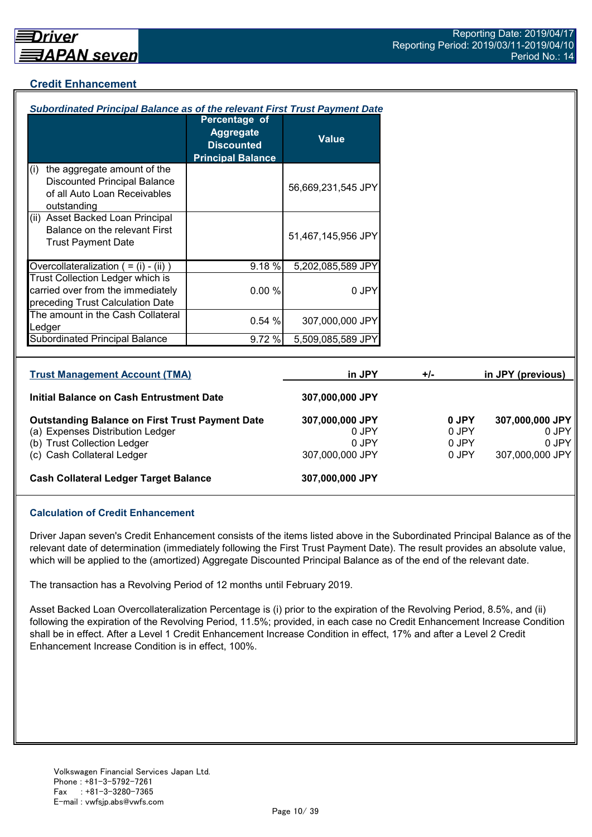## **Credit Enhancement**

| Subordinated Principal Balance as of the relevant First Trust Payment Date                                               |                                                                                    |                          |       |                |                          |
|--------------------------------------------------------------------------------------------------------------------------|------------------------------------------------------------------------------------|--------------------------|-------|----------------|--------------------------|
|                                                                                                                          | Percentage of<br><b>Aggregate</b><br><b>Discounted</b><br><b>Principal Balance</b> | <b>Value</b>             |       |                |                          |
| the aggregate amount of the<br>(i)<br><b>Discounted Principal Balance</b><br>of all Auto Loan Receivables<br>outstanding |                                                                                    | 56,669,231,545 JPY       |       |                |                          |
| (ii) Asset Backed Loan Principal<br>Balance on the relevant First<br><b>Trust Payment Date</b>                           |                                                                                    | 51,467,145,956 JPY       |       |                |                          |
| Overcollateralization $( = (i) - (ii))$                                                                                  | 9.18%                                                                              | 5,202,085,589 JPY        |       |                |                          |
| Trust Collection Ledger which is<br>carried over from the immediately<br>preceding Trust Calculation Date                | 0.00%                                                                              | 0 JPY                    |       |                |                          |
| The amount in the Cash Collateral<br>Ledger                                                                              | 0.54%                                                                              | 307,000,000 JPY          |       |                |                          |
| <b>Subordinated Principal Balance</b>                                                                                    | 9.72 %                                                                             | 5,509,085,589 JPY        |       |                |                          |
| <b>Trust Management Account (TMA)</b>                                                                                    |                                                                                    | in JPY                   | $+/-$ |                | in JPY (previous)        |
| Initial Balance on Cash Entrustment Date                                                                                 |                                                                                    | 307,000,000 JPY          |       |                |                          |
| <b>Outstanding Balance on First Trust Payment Date</b><br>(a) Expenses Distribution Ledger                               |                                                                                    | 307,000,000 JPY<br>0 JPY |       | 0 JPY<br>0 JPY | 307,000,000 JPY<br>0 JPY |

(b) Trust Collection Ledger 0 JPY 0 JPY 0 JPY 0 JPY 0 JPY (c) Cash Collateral Ledger 307,000,000 JPY 0 JPY 307,000,000 JPY

## **Cash Collateral Ledger Target Balance 307,000,000 JPY**

## **Calculation of Credit Enhancement**

Driver Japan seven's Credit Enhancement consists of the items listed above in the Subordinated Principal Balance as of the relevant date of determination (immediately following the First Trust Payment Date). The result provides an absolute value, which will be applied to the (amortized) Aggregate Discounted Principal Balance as of the end of the relevant date.

The transaction has a Revolving Period of 12 months until February 2019.

Asset Backed Loan Overcollateralization Percentage is (i) prior to the expiration of the Revolving Period, 8.5%, and (ii) following the expiration of the Revolving Period, 11.5%; provided, in each case no Credit Enhancement Increase Condition shall be in effect. After a Level 1 Credit Enhancement Increase Condition in effect, 17% and after a Level 2 Credit Enhancement Increase Condition is in effect, 100%.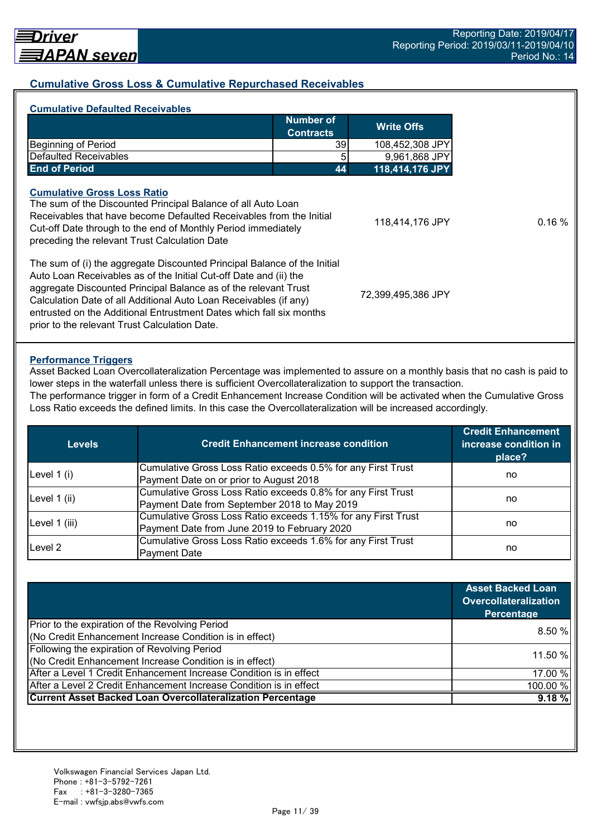## **Cumulative Gross Loss & Cumulative Repurchased Receivables**

| <b>Number of</b><br><b>Contracts</b>                                                                                                                                                                                                                                                                                                                                                                          | <b>Write Offs</b>  |
|---------------------------------------------------------------------------------------------------------------------------------------------------------------------------------------------------------------------------------------------------------------------------------------------------------------------------------------------------------------------------------------------------------------|--------------------|
|                                                                                                                                                                                                                                                                                                                                                                                                               |                    |
| <b>Beginning of Period</b><br>391                                                                                                                                                                                                                                                                                                                                                                             | 108,452,308 JPY    |
| Defaulted Receivables<br>5                                                                                                                                                                                                                                                                                                                                                                                    | 9,961,868 JPY      |
| <b>End of Period</b><br>44                                                                                                                                                                                                                                                                                                                                                                                    | 118,414,176 JPY    |
| <b>Cumulative Gross Loss Ratio</b><br>The sum of the Discounted Principal Balance of all Auto Loan<br>Receivables that have become Defaulted Receivables from the Initial<br>Cut-off Date through to the end of Monthly Period immediately<br>preceding the relevant Trust Calculation Date                                                                                                                   | 118,414,176 JPY    |
| The sum of (i) the aggregate Discounted Principal Balance of the Initial<br>Auto Loan Receivables as of the Initial Cut-off Date and (ii) the<br>aggregate Discounted Principal Balance as of the relevant Trust<br>Calculation Date of all Additional Auto Loan Receivables (if any)<br>entrusted on the Additional Entrustment Dates which fall six months<br>prior to the relevant Trust Calculation Date. | 72,399,495,386 JPY |

#### **Performance Triggers**

Asset Backed Loan Overcollateralization Percentage was implemented to assure on a monthly basis that no cash is paid to lower steps in the waterfall unless there is sufficient Overcollateralization to support the transaction.

The performance trigger in form of a Credit Enhancement Increase Condition will be activated when the Cumulative Gross Loss Ratio exceeds the defined limits. In this case the Overcollateralization will be increased accordingly.

| <b>Levels</b> | <b>Credit Enhancement increase condition</b>                  | <b>Credit Enhancement</b><br>increase condition in<br>place? |  |
|---------------|---------------------------------------------------------------|--------------------------------------------------------------|--|
| Level $1(i)$  | Cumulative Gross Loss Ratio exceeds 0.5% for any First Trust  |                                                              |  |
|               | Payment Date on or prior to August 2018                       | no                                                           |  |
|               | Cumulative Gross Loss Ratio exceeds 0.8% for any First Trust  |                                                              |  |
| Level 1 (ii)  | Payment Date from September 2018 to May 2019                  | no                                                           |  |
|               | Cumulative Gross Loss Ratio exceeds 1.15% for any First Trust |                                                              |  |
| Level 1 (iii) | Payment Date from June 2019 to February 2020                  | no                                                           |  |
| Level 2       | Cumulative Gross Loss Ratio exceeds 1.6% for any First Trust  |                                                              |  |
|               | <b>Payment Date</b>                                           | no                                                           |  |

|                                                                    | <b>Asset Backed Loan</b><br><b>Overcollateralization</b><br>Percentage |  |
|--------------------------------------------------------------------|------------------------------------------------------------------------|--|
| Prior to the expiration of the Revolving Period                    |                                                                        |  |
| (No Credit Enhancement Increase Condition is in effect)            | 8.50%                                                                  |  |
| Following the expiration of Revolving Period                       | 11.50 %                                                                |  |
| (No Credit Enhancement Increase Condition is in effect)            |                                                                        |  |
| After a Level 1 Credit Enhancement Increase Condition is in effect | 17.00 %                                                                |  |
| After a Level 2 Credit Enhancement Increase Condition is in effect | 100.00 %                                                               |  |
| <b>Current Asset Backed Loan Overcollateralization Percentage</b>  | 9.18%                                                                  |  |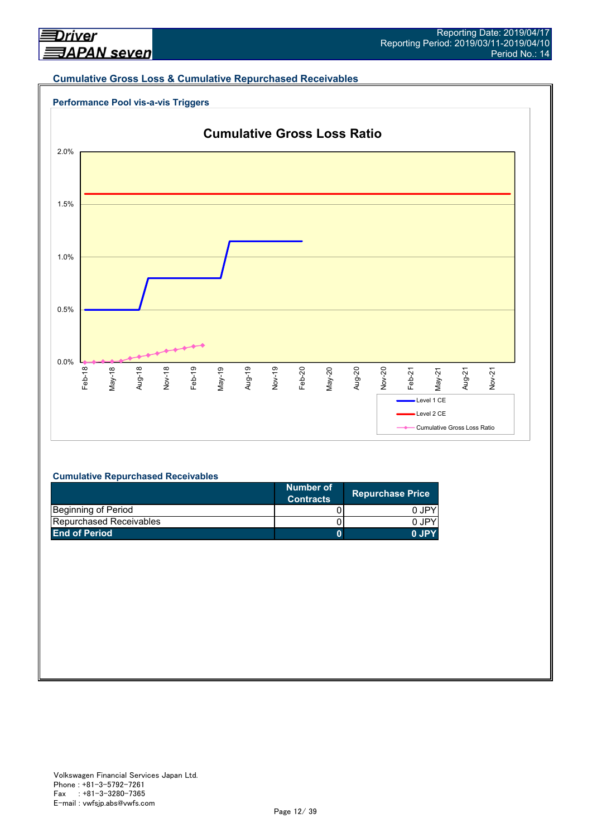#### **Cumulative Gross Loss & Cumulative Repurchased Receivables**





#### **Cumulative Repurchased Receivables**

|                                | Number of<br><b>Contracts</b> | <b>Repurchase Price</b> |
|--------------------------------|-------------------------------|-------------------------|
| Beginning of Period            |                               | 0 JPY                   |
| <b>Repurchased Receivables</b> |                               | 0.IPY                   |
| <b>End of Period</b>           |                               | 0.IPY                   |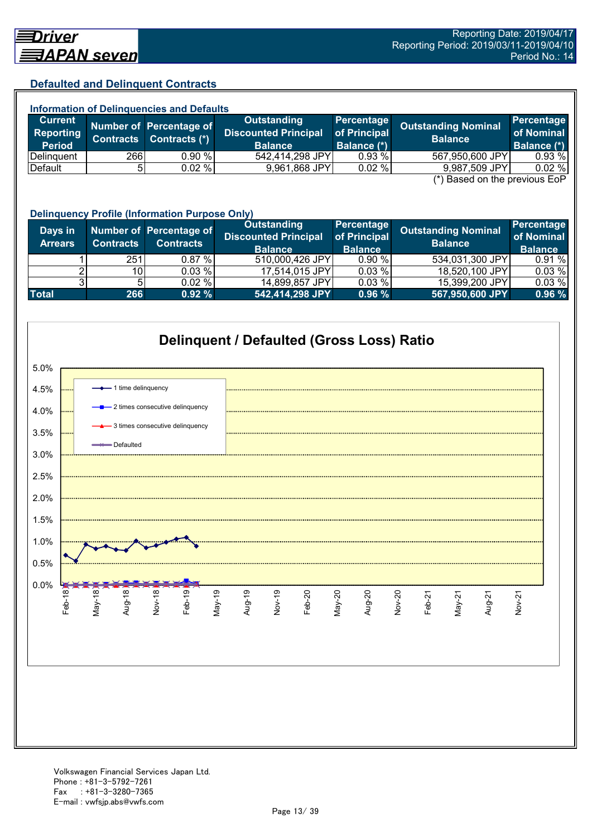## **Defaulted and Delinquent Contracts**

| <b>Information of Delinguencies and Defaults</b> |            |                                                    |                                                              |                                                  |                                                                          |                                         |  |
|--------------------------------------------------|------------|----------------------------------------------------|--------------------------------------------------------------|--------------------------------------------------|--------------------------------------------------------------------------|-----------------------------------------|--|
| <b>Current</b><br>Reporting<br><b>Period</b>     |            | Number of Percentage of<br>Contracts Contracts (*) | Outstanding<br><b>Discounted Principal</b><br><b>Balance</b> | Percentage<br>of Principal<br><b>Balance (*)</b> | <b>Outstanding Nominal</b><br><b>Balance</b>                             | Percentage<br>of Nominal<br>Balance (*) |  |
| Delinguent                                       | <b>266</b> | 0.90%                                              | 542,414,298 JPY                                              | 0.93%                                            | 567,950,600 JPY                                                          | 0.93 %                                  |  |
| Default                                          |            | $0.02 \%$                                          | 9,961,868 JPY                                                | 0.02%                                            | 9,987,509 JPY<br>$(\star)$ Description the magnetic $\Gamma$ on $\Gamma$ | 0.02%                                   |  |

(\*) Based on the previous EoP

|                           | <b>Delinquency Profile (Information Purpose Only)</b> |                                             |                                                                     |                                              |                                              |                                            |  |
|---------------------------|-------------------------------------------------------|---------------------------------------------|---------------------------------------------------------------------|----------------------------------------------|----------------------------------------------|--------------------------------------------|--|
| Days in<br><b>Arrears</b> | <b>Contracts</b>                                      | Number of Percentage of<br><b>Contracts</b> | <b>Outstanding</b><br><b>Discounted Principal</b><br><b>Balance</b> | Percentage<br>of Principal<br><b>Balance</b> | <b>Outstanding Nominal</b><br><b>Balance</b> | Percentage<br>of Nominal<br><b>Balance</b> |  |
|                           | 251                                                   | 0.87%                                       | 510,000,426 JPY                                                     | 0.90%                                        | 534,031,300 JPY                              | 0.91%                                      |  |
|                           | 10 <sup>1</sup>                                       | 0.03 %                                      | 17,514,015 JPY                                                      | 0.03%                                        | 18,520,100 JPY                               | 0.03%                                      |  |
|                           |                                                       | 0.02%                                       | 14,899,857 JPY                                                      | 0.03%                                        | 15,399,200 JPY                               | 0.03%                                      |  |
| <b>Total</b>              | 266                                                   | 0.92%                                       | 542,414,298 JPY                                                     | 0.96%                                        | 567,950,600 JPY                              | 0.96%                                      |  |



#### Volkswagen Financial Services Japan Ltd. Phone : +81-3-5792-7261 Fax : +81-3-3280-7365 E-mail : vwfsjp.abs@vwfs.com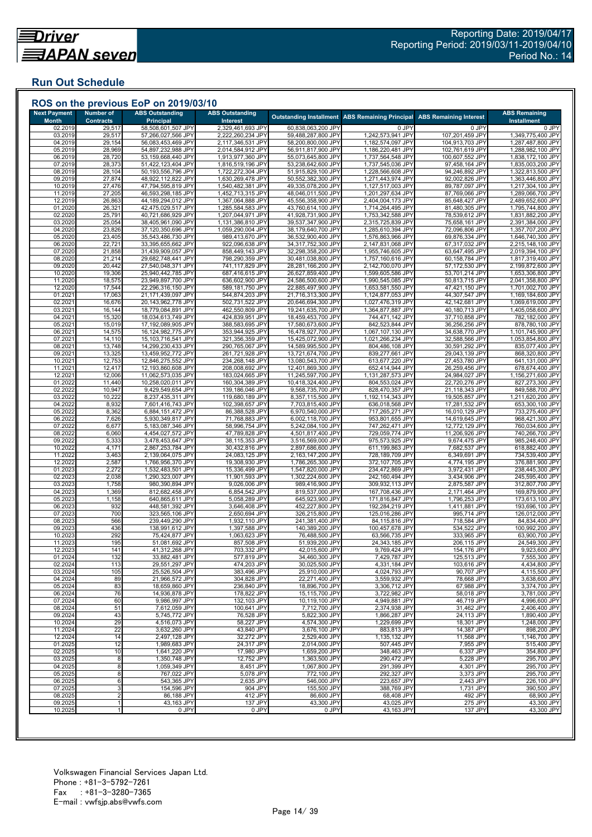## **Run Out Schedule**

| <b>Next Payment</b><br><b>Month</b> | Number of<br><b>Contracts</b> | <b>ABS Outstanding</b><br><b>Principal</b> | <b>ABS Outstanding</b><br>Interest     | <b>Outstanding Installment</b>           | <b>ABS Remaining Principal</b>         | <b>ABS Remaining Interest</b>      | <b>ABS Remaining</b>                   |
|-------------------------------------|-------------------------------|--------------------------------------------|----------------------------------------|------------------------------------------|----------------------------------------|------------------------------------|----------------------------------------|
| 02.2019                             | 29,517                        | 58,508,601,507 JPY                         | 2,329,461,693 JPY                      | 60,838,063,200 JPY                       | 0 JPY                                  | 0 JPY                              | Installment<br>0 JPY                   |
| 03.2019                             | 29,517                        | 57,266,027,566 JPY                         | 2,222,260,234 JPY                      | 59,488,287,800 JPY                       | 1,242,573,941 JPY                      | 107,201,459 JPY                    | 1,349,775,400 JPY                      |
| 04.2019<br>05.2019                  | 29,154<br>28,969              | 56,083,453,469 JPY<br>54,897,232,988 JPY   | 2,117,346,531 JPY<br>2,014,584,912 JPY | 58,200,800,000 JPY<br>56,911,817,900 JPY | 1,182,574,097 JPY<br>1,186,220,481 JPY | 104,913,703 JPY<br>102,761,619 JPY | 1,287,487,800 JPY<br>1,288,982,100 JPY |
| 06.2019                             | 28,720                        | 53,159,668,440 JPY                         | 1,913,977,360 JPY                      | 55,073,645,800 JPY                       | 1,737,564,548 JPY                      | 100,607,552 JPY                    | 1,838,172,100 JPY                      |
| 07.2019                             | 28,373                        | 51,422,123,404 JPY                         | 1,816,519,196 JPY                      | 53,238,642,600 JPY                       | 1,737,545,036 JPY                      | 97,458,164 JPY                     | 1,835,003,200 JPY                      |
| 08.2019                             | 28,104                        | 50,193,556,796 JPY                         | 1,722,272,304 JPY                      | 51,915,829,100 JPY                       | 1,228,566,608 JPY                      | 94,246,892 JPY                     | 1,322,813,500 JPY                      |
| 09.2019<br>10.2019                  | 27,874<br>27,476              | 48,922,112,822 JPY<br>47,794,595,819 JPY   | 1,630,269,478 JPY<br>1,540,482,381 JPY | 50,552,382,300 JPY<br>49,335,078,200 JPY | 1,271,443,974 JPY<br>1,127,517,003 JPY | 92,002,826 JPY<br>89,787,097 JPY   | 1,363,446,800 JPY<br>1,217,304,100 JPY |
| 11.2019                             | 27,205                        | 46,593,298,185 JPY                         | 1,452,713,315 JPY                      | 48,046,011,500 JPY                       | 1,201,297,634 JPY                      | 87,769,066 JPY                     | 1,289,066,700 JPY                      |
| 12.2019                             | 26,863                        | 44,189,294,012 JPY                         | 1,367,064,888 JPY                      | 45,556,358,900 JPY                       | 2,404,004,173 JPY                      | 85,648,427 JPY                     | 2,489,652,600 JPY                      |
| 01.2020<br>02.2020                  | 26,321<br>25,791              | 42,475,029,517 JPY<br>40,721,686,929 JPY   | 1,285,584,583 JPY<br>1,207,044,971 JPY | 43,760,614,100 JPY<br>41,928,731,900 JPY | 1,714,264,495 JPY<br>1,753,342,588 JPY | 81,480,305 JPY<br>78,539,612 JPY   | 1,795,744,800 JPY<br>1,831,882,200 JPY |
| 03.2020                             | 25,054                        | 38,405,961,090 JPY                         | 1,131,386,810 JPY                      | 39,537,347,900 JPY                       | 2,315,725,839 JPY                      | 75,658,161 JPY                     | 2,391,384,000 JPY                      |
| 04.2020                             | 23,826                        | 37,120,350,696 JPY                         | 1,059,290,004 JPY                      | 38,179,640,700 JPY                       | 1,285,610,394 JPY                      | 72,096,806 JPY                     | 1,357,707,200 JPY                      |
| 05.2020<br>06.2020                  | 23,405<br>22,721              | 35,543,486,730 JPY                         | 989,413,670 JPY                        | 36,532,900,400 JPY<br>34,317,752,300 JPY | 1,576,863,966 JPY                      | 69,876,334 JPY<br>67,317,032 JPY   | 1,646,740,300 JPY<br>2,215,148,100 JPY |
| 07.2020                             | 21,858                        | 33,395,655,662 JPY<br>31,439,909,057 JPY   | 922,096,638 JPY<br>858,449,143 JPY     | 32,298,358,200 JPY                       | 2,147,831,068 JPY<br>1,955,746,605 JPY | 63,647,495 JPY                     | 2,019,394,100 JPY                      |
| 08.2020                             | 21,214                        | 29,682,748,441 JPY                         | 798,290,359 JPY                        | 30,481,038,800 JPY                       | 1,757,160,616 JPY                      | 60,158,784 JPY                     | 1,817,319,400 JPY                      |
| 09.2020                             | 20,442                        | 27,540,048,371 JPY                         | 741,117,829 JPY                        | 28,281,166,200 JPY                       | 2,142,700,070 JPY                      | 57,172,530 JPY                     | 2,199,872,600 JPY                      |
| 10.2020<br>11.2020                  | 19,306<br>18,575              | 25,940,442,785 JPY<br>23,949,897,700 JPY   | 687,416,615 JPY<br>636,602,900 JPY     | 26,627,859,400 JPY<br>24,586,500,600 JPY | 1,599,605,586 JPY<br>1,990,545,085 JPY | 53,701,214 JPY<br>50,813,715 JPY   | 1,653,306,800 JPY<br>2,041,358,800 JPY |
| 12.2020                             | 17,544                        | 22,296,316,150 JPY                         | 589,181,750 JPY                        | 22,885,497,900 JPY                       | 1,653,581,550 JPY                      | 47,421,150 JPY                     | 1,701,002,700 JPY                      |
| 01.2021                             | 17,063                        | 21,171,439,097 JPY                         | 544,874,203 JPY                        | 21,716,313,300 JPY                       | 1,124,877,053 JPY                      | 44,307,547 JPY                     | 1,169,184,600 JPY                      |
| 02.202'                             | 16,676                        | 20,143,962,778 JPY<br>18,779,084,891 JPY   | 502,731,522 JPY                        | 20,646,694,300 JPY                       | 1,027,476,319 JPY                      | 42,142,681 JPY                     | 1,069,619,000 JPY                      |
| 03.202<br>04.202                    | 16,144<br>15,320              | 18,034,613,749 JPY                         | 462,550,809 JPY<br>424,839,951 JPY     | 19,241,635,700 JPY<br>18,459,453,700 JPY | 1,364,877,887 JPY<br>744,471,142 JPY   | 40,180,713 JPY<br>37,710,858 JPY   | 1,405,058,600 JPY<br>782,182,000 JPY   |
| 05.2021                             | 15,019                        | 17,192,089,905 JPY                         | 388,583,695 JPY                        | 17,580,673,600 JPY                       | 842,523,844 JPY                        | 36,256,256 JPY                     | 878,780,100 JPY                        |
| 06.202                              | 14,575                        | 16,124,982,775 JPY                         | 353,944,925 JPY                        | 16,478,927,700 JPY                       | 1,067,107,130 JPY                      | 34,638,770 JPY                     | 1,101,745,900 JPY                      |
| 07.2021<br>08.202                   | 14,110<br>13,748              | 15,103,716,541 JPY<br>14,299,230,433 JPY   | 321,356,359 JPY<br>290,765,067 JPY     | 15,425,072,900 JPY<br>14,589,995,500 JPY | 1,021,266,234 JPY<br>804,486,108 JPY   | 32,588,566 JPY<br>30,591,292 JPY   | 1,053,854,800 JPY<br>835,077,400 JPY   |
| 09.202                              | 13,325                        | 13,459,952,772 JPY                         | 261,721,928 JPY                        | 13,721,674,700 JPY                       | 839,277,661 JPY                        | 29,043,139 JPY                     | 868,320,800 JPY                        |
| 10.2021                             | 12,753                        | 12,846,275,552 JPY                         | 234,268,148 JPY                        | 13,080,543,700 JPY                       | 613,677,220 JPY                        | 27,453,780 JPY                     | 641,131,000 JPY                        |
| 11.202'                             | 12,417                        | 12,193,860,608 JPY                         | 208,008,692 JPY                        | 12,401,869,300 JPY                       | 652,414,944 JPY                        | 26,259,456 JPY                     | 678,674,400 JPY                        |
| 12.202<br>01.2022                   | 12,006<br>11,440              | 11,062,573,035 JPY<br>10,258,020,011 JPY   | 183,024,665 JPY<br>160,304,389 JPY     | 11,245,597,700 JPY<br>10,418,324,400 JPY | 1,131,287,573 JPY<br>804,553,024 JPY   | 24,984,027 JPY<br>22,720,276 JPY   | 1,156,271,600 JPY<br>827,273,300 JPY   |
| 02.2022                             | 10,947                        | 9,429,549,654 JPY                          | 139,186,046 JPY                        | 9,568,735,700 JPY                        | 828,470,357 JPY                        | 21,118,343 JPY                     | 849,588,700 JPY                        |
| 03.2022                             | 10,222                        | 8,237,435,311 JPY                          | 119,680,189 JPY                        | 8,357,115,500 JPY                        | 1,192,114,343 JPY                      | 19,505,857 JPY                     | 1,211,620,200 JPY                      |
| 04.202<br>05.202                    | 8,932<br>8,362                | 7,601,416,743 JPY<br>6,884,151,472 JPY     | 102,398,657 JPY<br>86,388,528 JPY      | 7,703,815,400 JPY<br>6,970,540,000 JPY   | 636,018,568 JPY<br>717,265,271 JPY     | 17,281,532 JPY<br>16,010,129 JPY   | 653,300,100 JPY<br>733,275,400 JPY     |
| 06.2022                             | 7,626                         | 5,930,349,817 JPY                          | 71,768,883 JPY                         | 6,002,118,700 JPY                        | 953,801,655 JPY                        | 14,619,645 JPY                     | 968,421,300 JPY                        |
| 07.202                              | 6,677                         | 5,183,087,346 JPY                          | 58,996,754 JPY                         | 5,242,084,100 JPY                        | 747,262,471 JPY                        | 12,772,129 JPY                     | 760,034,600 JPY                        |
| 08.2022<br>09.202                   | 6,060<br>5,333                | 4,454,027,572 JPY<br>3,478,453,647 JPY     | 47,789,828 JPY<br>38,115,353 JPY       | 4,501,817,400 JPY<br>3,516,569,000 JPY   | 729,059,774 JPY<br>975,573,925 JPY     | 11,206,926 JPY<br>9,674,475 JPY    | 740,266,700 JPY<br>985,248,400 JPY     |
| 10.202                              | 4,171                         | 2,867,253,784 JPY                          | 30,432,816 JPY                         | 2,897,686,600 JPY                        | 611,199,863 JPY                        | 7,682,537 JPY                      | 618,882,400 JPY                        |
| 11.2022                             | 3,463                         | 2,139,064,075 JPY                          | 24,083,125 JPY                         | 2,163,147,200 JPY                        | 728,189,709 JPY                        | 6,349,691 JPY                      | 734,539,400 JPY                        |
| 12.202                              | 2,587                         | 1,766,956,370 JPY                          | 19,308,930 JPY                         | 1,786,265,300 JPY                        | 372,107,705 JPY                        | 4,774,195 JPY                      | 376,881,900 JPY                        |
| 01.2023<br>02.202                   | 2,272<br>2,038                | 1,532,483,501 JPY<br>1,290,323,007 JPY     | 15,336,499 JPY<br>11,901,593 JPY       | 1,547,820,000 JPY<br>1,302,224,600 JPY   | 234,472,869 JPY<br>242,160,494 JPY     | 3,972,431 JPY<br>3,434,906 JPY     | 238,445,300 JPY<br>245,595,400 JPY     |
| 03.2023                             | 1,758                         | 980,390,894 JPY                            | 9,026,006 JPY                          | 989,416,900 JPY                          | 309,932,113 JPY                        | 2,875,587 JPY                      | 312,807,700 JPY                        |
| 04.2023                             | 1,369                         | 812,682,458 JPY                            | 6,854,542 JPY                          | 819,537,000 JPY                          | 167,708,436 JPY                        | 2,171,464 JPY                      | 169,879,900 JPY                        |
| 05.2023<br>06.202                   | 1,158<br>932                  | 640,865,611 JPY<br>448,581,392 JPY         | 5,058,289 JPY<br>3,646,408 JPY         | 645,923,900 JPY<br>452,227,800 JPY       | 171,816,847 JPY<br>192,284,219 JPY     | 1,796,253 JPY<br>1,411,881 JPY     | 173,613,100 JPY<br>193,696,100 JPY     |
| 07.2023                             | 700                           | 323,565,106 JPY                            | 2,650,694 JPY                          | 326,215,800 JPY                          | 125,016,286 JPY                        | 995,714 JPY                        | 126,012,000 JPY                        |
| 08.2023                             | 566                           | 239,449,290 JPY                            | 1,932,110 JPY                          | 241,381,400 JPY                          | 84,115,816 JPY                         | 718,584 JPY                        | 84,834,400 JPY                         |
| 09.2023<br>10.2023                  | 436<br>292                    | 138,991,612 JPY<br>75,424,877 JPY          | 1,397,588 JPY<br>1,063,623 JPY         | 140,389,200 JPY<br>76,488,500 JPY        | 100,457,678 JPY<br>63,566,735 JPY      | 534,522 JPY<br>333,965 JPY         | 100,992,200 JPY<br>63,900,700 JPY      |
| 11.2023                             | 195                           | 51,081,692 JPY                             | 857,508 JPY                            | 51,939,200 JPY                           | 24,343,185 JPY                         | 206,115 JPY                        | 24,549,300 JPY                         |
| 12.2023                             | 141                           | 41,312,268 JPY                             | 703,332 JPY                            | 42,015,600 JPY                           | 9,769,424 JPY                          | 154,176 JPY                        | 9,923,600 JPY                          |
| 01.2024                             | 132                           | 33,882,481 JPY                             | 577,819 JPY                            | 34,460,300 JPY                           | 7,429,787 JPY                          | 125,513 JPY                        | 7,555,300 JPY                          |
| 02.2024<br>03.2024                  | 113<br>105                    | 29,551,297 JPY<br>25,526,504 JPY           | 474,203 JPY<br>383,496 JPY             | 30,025,500 JPY<br>25,910,000 JPY         | 4,331,184 JPY<br>4,024,793 JPY         | 103,616 JPY<br>90,707 JPY          | 4,434,800 JPY<br>4,115,500 JPY         |
| 04.2024                             | 89                            | 21,966,572 JPY                             | 304,828 JPY                            | 22,271,400 JPY                           | 3,559,932 JPY                          | 78,668 JPY                         | 3,638,600 JPY                          |
| 05.2024                             | 83                            | 18,659,860 JPY                             | 236,840 JPY                            | 18,896,700 JPY                           | 3,306,712 JPY                          | 67,988 JPY                         | 3,374,700 JPY                          |
| 06.2024<br>07.2024                  | 76<br>60                      | 14,936,878 JPY<br>9,986,997 JPY            | 178,822 JPY<br>132,103 JPY             | 15.115.700 JPY<br>10,119,100 JPY         | 3,722,982 JPY<br>4,949,881 JPY         | 58,018 JPY<br>46,719 JPY           | 3,781,000 JPY<br>4,996,600 JPY         |
| 08.2024                             | 51                            | 7,612,059 JPY                              | 100,641 JPY                            | 7,712,700 JPY                            | 2,374,938 JPY                          | 31,462 JPY                         | 2,406,400 JPY                          |
| 09.2024                             | 43                            | 5,745,772 JPY                              | 76,528 JPY                             | 5,822,300 JPY                            | 1,866,287 JPY                          | 24,113 JPY                         | 1,890,400 JPY                          |
| 10.2024                             | 29                            | 4,516,073 JPY                              | 58,227 JPY                             | 4,574,300 JPY                            | 1,229,699 JPY                          | 18,301 JPY                         | 1,248,000 JPY                          |
| 11.2024<br>12.2024                  | 22<br>14                      | 3,632,260 JPY<br>2,497,128 JPY             | 43,840 JPY<br>32,272 JPY               | 3,676,100 JPY<br>2,529,400 JPY           | 883,813 JPY<br>1,135,132 JPY           | 14,387 JPY<br>11,568 JPY           | 898,200 JPY<br>1,146,700 JPY           |
| 01.2025                             | 12                            | 1,989,683 JPY                              | 24,317 JPY                             | 2,014,000 JPY                            | 507,445 JPY                            | 7,955 JPY                          | 515,400 JPY                            |
| 02.2025                             | 10                            | 1,641,220 JPY                              | 17,980 JPY                             | 1,659,200 JPY                            | 348,463 JPY                            | 6,337 JPY                          | 354,800 JPY                            |
| 03.2025<br>04.2025                  | 8<br>8                        | 1,350,748 JPY<br>1,059,349 JPY             | 12,752 JPY<br>8.451 JPY                | 1,363,500 JPY<br>1,067,800 JPY           | 290,472 JPY<br>291,399 JPY             | 5,228 JPY<br>4,301 JPY             | 295,700 JPY<br>295,700 JPY             |
| 05.2025                             | 8                             | 767,022 JPY                                | 5,078 JPY                              | 772,100 JPY                              | 292,327 JPY                            | 3,373 JPY                          | 295,700 JPY                            |
| 06.2025                             | 6                             | 543,365 JPY                                | 2,635 JPY                              | 546,000 JPY                              | 223,657 JPY                            | 2,443 JPY                          | 226,100 JPY                            |
| 07.2025                             | 3                             | 154,596 JPY                                | 904 JPY                                | 155,500 JPY                              | 388,769 JPY                            | 1,731 JPY                          | 390,500 JPY                            |
| 08.2025<br>09.2025                  | -1                            | 86,188 JPY<br>43,163 JPY                   | 412 JPY<br>137 JPY                     | 86,600 JPY<br>43,300 JPY                 | 68,408 JPY<br>43,025 JPY               | 492 JPY<br>275 JPY                 | 68,900 JPY<br>43,300 JPY               |
| 10.2025                             |                               | 0 JPY                                      | 0 JPY                                  | 0 JPY                                    | 43,163 JPY                             | 137 JPY                            | 43,300 JPY                             |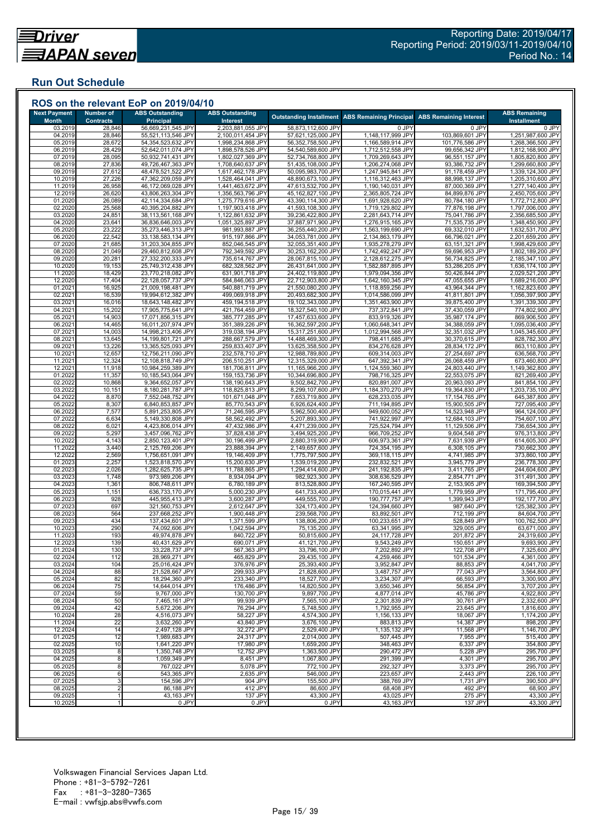## **Run Out Schedule**

| <b>Next Payment</b><br><b>Month</b> | <b>Number of</b><br><b>Contracts</b> | <b>ABS Outstanding</b><br><b>Principal</b> | <b>ABS Outstanding</b><br>Interest     |                                          | <b>Outstanding Installment ABS Remaining Principal</b> | <b>ABS Remaining Interest</b>     | <b>ABS Remaining</b><br><b>Installment</b> |
|-------------------------------------|--------------------------------------|--------------------------------------------|----------------------------------------|------------------------------------------|--------------------------------------------------------|-----------------------------------|--------------------------------------------|
| 03.2019                             | 28,846                               | 56,669,231,545 JPY                         | 2,203,881,055 JPY                      | 58,873,112,600 JPY                       | 0 JPY                                                  | 0 JPY                             | 0 JPY                                      |
| 04.2019<br>05.2019                  | 28,846                               | 55,521,113,546 JPY                         | 2,100,011,454 JPY                      | 57,621,125,000 JPY                       | 1,148,117,999 JPY                                      | 103,869,601 JPY                   | 1,251,987,600 JPY                          |
| 06.2019                             | 28,672<br>28,429                     | 54,354,523,632 JPY<br>52,642,011,074 JPY   | 1,998,234,868 JPY<br>1,898,578,526 JPY | 56,352,758,500 JPY<br>54,540,589,600 JPY | 1,166,589,914 JPY<br>1,712,512,558 JPY                 | 101,776,586 JPY<br>99,656,342 JPY | 1,268,366,500 JPY<br>1,812,168,900 JPY     |
| 07.2019                             | 28,095                               | 50,932,741,431 JPY                         | 1,802,027,369 JPY                      | 52,734,768,800 JPY                       | 1,709,269,643 JPY                                      | 96,551,157 JPY                    | 1,805,820,800 JPY                          |
| 08.2019                             | 27,836                               | 49,726,467,363 JPY                         | 1,708,640,637 JPY                      | 51,435,108,000 JPY                       | 1,206,274,068 JPY                                      | 93,386,732 JPY                    | 1,299,660,800 JPY                          |
| 09.2019<br>10.2019                  | 27,612<br>27,226                     | 48,478,521,522 JPY<br>47,362,209,059 JPY   | 1,617,462,178 JPY<br>1,528,464,041 JPY | 50,095,983,700 JPY<br>48,890,673,100 JPY | 1,247,945,841 JPY<br>1,116,312,463 JPY                 | 91,178,459 JPY<br>88,998,137 JPY  | 1,339,124,300 JPY<br>1,205,310,600 JPY     |
| 11.2019                             | 26,958                               | 46,172,069,028 JPY                         | 1,441,463,672 JPY                      | 47,613,532,700 JPY                       | 1,190,140,031 JPY                                      | 87,000,369 JPY                    | 1,277,140,400 JPY                          |
| 12.2019                             | 26,620                               | 43,806,263,304 JPY                         | 1,356,563,796 JPY                      | 45,162,827,100 JPY                       | 2,365,805,724 JPY                                      | 84,899,876 JPY                    | 2,450,705,600 JPY                          |
| 01.2020<br>02.2020                  | 26,089                               | 42,114,334,684 JPY                         | 1,275,779,616 JPY                      | 43,390,114,300 JPY                       | 1,691,928,620 JPY                                      | 80,784,180 JPY                    | 1,772,712,800 JPY                          |
| 03.2020                             | 25,568<br>24,851                     | 40,395,204,882 JPY<br>38,113,561,168 JPY   | 1,197,903,418 JPY<br>1,122,861,632 JPY | 41,593,108,300 JPY<br>39,236,422,800 JPY | 1,719,129,802 JPY<br>2,281,643,714 JPY                 | 77,876,198 JPY<br>75,041,786 JPY  | 1,797,006,000 JPY<br>2,356,685,500 JPY     |
| 04.2020                             | 23,641                               | 36,836,646,003 JPY                         | 1,051,325,897 JPY                      | 37,887,971,900 JPY                       | 1,276,915,165 JPY                                      | 71,535,735 JPY                    | 1,348,450,900 JPY                          |
| 05.2020                             | 23,222                               | 35,273,446,313 JPY                         | 981,993,887 JPY                        | 36,255,440,200 JPY                       | 1,563,199,690 JPY                                      | 69,332,010 JPY                    | 1,632,531,700 JPY                          |
| 06.2020<br>07.2020                  | 22,542<br>21,685                     | 33,138,583,134 JPY<br>31,203,304,855 JPY   | 915,197,866 JPY<br>852,046,545 JPY     | 34.053.781.000 JPY<br>32,055,351,400 JPY | 2,134,863,179 JPY<br>1,935,278,279 JPY                 | 66,796,021 JPY<br>63,151,321 JPY  | 2,201,659,200 JPY<br>1,998,429,600 JPY     |
| 08.2020                             | 21,049                               | 29,460,812,608 JPY                         | 792,349,592 JPY                        | 30,253,162,200 JPY                       | 1,742,492,247 JPY                                      | 59,696,953 JPY                    | 1,802,189,200 JPY                          |
| 09.2020                             | 20,281                               | 27,332,200,333 JPY                         | 735,614,767 JPY                        | 28,067,815,100 JPY                       | 2,128,612,275 JPY                                      | 56,734,825 JPY                    | 2,185,347,100 JPY                          |
| 10.2020<br>11.2020                  | 19,153<br>18,429                     | 25,749,312,438 JPY<br>23,770,218,082 JPY   | 682,328,562 JPY<br>631,901,718 JPY     | 26,431,641,000 JPY<br>24,402,119,800 JPY | 1,582,887,895 JPY<br>1,979,094,356 JPY                 | 53,286,205 JPY<br>50,426,844 JPY  | 1,636,174,100 JPY<br>2,029,521,200 JPY     |
| 12.2020                             | 17,404                               | 22,128,057,737 JPY                         | 584,846,063 JPY                        | 22,712,903,800 JPY                       | 1,642,160,345 JPY                                      | 47,055,655 JPY                    | 1,689,216,000 JPY                          |
| 01.2021                             | 16,925                               | 21,009,198,481 JPY                         | 540,881,719 JPY                        | 21,550,080,200 JPY                       | 1,118,859,256 JPY                                      | 43,964,344 JPY                    | 1,162,823,600 JPY                          |
| 02.2021                             | 16,539                               | 19,994,612,382 JPY                         | 499,069,918 JPY                        | 20,493,682,300 JPY                       | 1,014,586,099 JPY                                      | 41,811,801 JPY                    | 1,056,397,900 JPY                          |
| 03.202<br>04.202'                   | 16,016<br>15,202                     | 18,643,148,482 JPY<br>17,905,775,641 JPY   | 459,194,518 JPY<br>421,764,459 JPY     | 19,102,343,000 JPY<br>18,327,540,100 JPY | 1,351,463,900 JPY<br>737,372,841 JPY                   | 39,875,400 JPY<br>37,430,059 JPY  | 1,391,339,300 JPY<br>774,802,900 JPY       |
| 05.202                              | 14,903                               | 17,071,856,315 JPY                         | 385,777,285 JPY                        | 17,457,633,600 JPY                       | 833,919,326 JPY                                        | 35,987,174 JPY                    | 869,906,500 JPY                            |
| 06.2021                             | 14,465                               | 16,011,207,974 JPY                         | 351,389,226 JPY                        | 16,362,597,200 JPY                       | 1,060,648,341 JPY                                      | 34,388,059 JPY                    | 1,095,036,400 JPY                          |
| 07.202<br>08.202'                   | 14,003<br>13,645                     | 14,998,213,406 JPY<br>14,199,801,721 JPY   | 319,038,194 JPY<br>288,667,579 JPY     | 15,317,251,600 JPY<br>14,488,469,300 JPY | 1,012,994,568 JPY<br>798,411,685 JPY                   | 32,351,032 JPY<br>30,370,615 JPY  | 1,045,345,600 JPY<br>828,782,300 JPY       |
| 09.2021                             | 13,226                               | 13,365,525,093 JPY                         | 259,833,407 JPY                        | 13,625,358,500 JPY                       | 834,276,628 JPY                                        | 28,834,172 JPY                    | 863,110,800 JPY                            |
| 10.202                              | 12,657                               | 12,756,211,090 JPY                         | 232,578,710 JPY                        | 12,988,789,800 JPY                       | 609,314,003 JPY                                        | 27,254,697 JPY                    | 636,568,700 JPY                            |
| 11.202                              | 12,324                               | 12,108,818,749 JPY                         | 206,510,251 JPY                        | 12,315,329,000 JPY                       | 647,392,341 JPY                                        | 26,068,459 JPY                    | 673,460,800 JPY                            |
| 12.202<br>01.2022                   | 11,918<br>11,357                     | 10,984,259,389 JPY<br>10,185,543,064 JPY   | 181,706,811 JPY<br>159, 153, 736 JPY   | 11,165,966,200 JPY<br>10,344,696,800 JPY | 1,124,559,360 JPY<br>798,716,325 JPY                   | 24,803,440 JPY<br>22,553,075 JPY  | 1,149,362,800 JPY<br>821,269,400 JPY       |
| 02.2022                             | 10,868                               | 9,364,652,057 JPY                          | 138,190,643 JPY                        | 9,502,842,700 JPY                        | 820,891,007 JPY                                        | 20,963,093 JPY                    | 841,854,100 JPY                            |
| 03.2022                             | 10,151                               | 8,180,281,787 JPY                          | 118,825,813 JPY                        | 8,299,107,600 JPY                        | 1,184,370,270 JPY                                      | 19,364,830 JPY                    | 1,203,735,100 JPY                          |
| 04.2022<br>05.202                   | 8,870<br>8,307                       | 7,552,048,752 JPY<br>6,840,853,857 JPY     | 101,671,048 JPY<br>85,770,543 JPY      | 7,653,719,800 JPY<br>6,926,624,400 JPY   | 628,233,035 JPY<br>711,194,895 JPY                     | 17,154,765 JPY<br>15,900,505 JPY  | 645,387,800 JPY<br>727,095,400 JPY         |
| 06.2022                             | 7,577                                | 5,891,253,805 JPY                          | 71,246,595 JPY                         | 5,962,500,400 JPY                        | 949,600,052 JPY                                        | 14,523,948 JPY                    | 964,124,000 JPY                            |
| 07.2022                             | 6,634                                | 5,149,330,808 JPY                          | 58,562,492 JPY                         | 5,207,893,300 JPY                        | 741,922,997 JPY                                        | 12,684,103 JPY                    | 754,607,100 JPY                            |
| 08.2022<br>09.202                   | 6,021<br>5,297                       | 4,423,806,014 JPY<br>3,457,096,762 JPY     | 47,432,986 JPY<br>37,828,438 JPY       | 4,471,239,000 JPY<br>3,494,925,200 JPY   | 725,524,794 JPY<br>966,709,252 JPY                     | 11,129,506 JPY<br>9,604,548 JPY   | 736,654,300 JPY<br>976,313,800 JPY         |
| 10.202                              | 4,143                                | 2,850,123,401 JPY                          | 30,196,499 JPY                         | 2,880,319,900 JPY                        | 606,973,361 JPY                                        | 7,631,939 JPY                     | 614,605,300 JPY                            |
| 11.2022                             | 3,440                                | 2,125,769,206 JPY                          | 23,888,394 JPY                         | 2,149,657,600 JPY                        | 724,354,195 JPY                                        | 6,308,105 JPY                     | 730,662,300 JPY                            |
| 12.2022                             | 2,569                                | 1,756,651,091 JPY                          | 19,146,409 JPY                         | 1,775,797,500 JPY                        | 369,118,115 JPY                                        | 4,741,985 JPY                     | 373,860,100 JPY                            |
| 01.2023<br>02.2023                  | 2,257<br>2,026                       | 1,523,818,570 JPY<br>1,282,625,735 JPY     | 15,200,630 JPY<br>11,788,865 JPY       | 1,539,019,200 JPY<br>1,294,414,600 JPY   | 232,832,521 JPY<br>241,192,835 JPY                     | 3,945,779 JPY<br>3,411,765 JPY    | 236,778,300 JPY<br>244,604,600 JPY         |
| 03.2023                             | 1,748                                | 973,989,206 JPY                            | 8,934,094 JPY                          | 982,923,300 JPY                          | 308,636,529 JPY                                        | 2,854,771 JPY                     | 311,491,300 JPY                            |
| 04.2023                             | 1,361                                | 806,748,611 JPY                            | 6,780,189 JPY                          | 813,528,800 JPY                          | 167,240,595 JPY                                        | 2,153,905 JPY                     | 169,394,500 JPY                            |
| 05.2023<br>06.2023                  | 1,151<br>928                         | 636,733,170 JPY<br>445,955,413 JPY         | 5,000,230 JPY<br>3,600,287 JPY         | 641,733,400 JPY<br>449,555,700 JPY       | 170,015,441 JPY<br>190,777,757 JPY                     | 1,779,959 JPY<br>1,399,943 JPY    | 171,795,400 JPY<br>192,177,700 JPY         |
| 07.202                              | 697                                  | 321,560,753 JPY                            | 2,612,647 JPY                          | 324,173,400 JPY                          | 124,394,660 JPY                                        | 987,640 JPY                       | 125,382,300 JPY                            |
| 08.2023                             | 564                                  | 237,668,252 JPY                            | 1,900,448 JPY                          | 239,568,700 JPY                          | 83,892,501 JPY                                         | 712,199 JPY                       | 84,604,700 JPY                             |
| 09.2023<br>10.2023                  | 434<br>290                           | 137,434,601 JPY<br>74,092,606 JPY          | 1,371,599 JPY<br>1,042,594 JPY         | 138,806,200 JPY<br>75,135,200 JPY        | 100,233,651 JPY<br>63,341,995 JPY                      | 528,849 JPY<br>329,005 JPY        | 100,762,500 JPY<br>63,671,000 JPY          |
| 11.2023                             | 193                                  | 49,974,878 JPY                             | 840,722 JPY                            | 50,815,600 JPY                           | 24,117,728 JPY                                         | 201,872 JPY                       | 24,319,600 JPY                             |
| 12.2023                             | 139                                  | 40,431,629 JPY                             | 690,071 JPY                            | 41,121,700 JPY                           | 9,543,249 JPY                                          | 150,651 JPY                       | 9,693,900 JPY                              |
| 01.2024                             | 130                                  | 33,228,737 JPY                             | 567,363 JPY                            | 33,796,100 JPY                           | 7,202,892 JPY                                          | 122,708 JPY                       | 7,325,600 JPY                              |
| 02.2024<br>03.2024                  | 112<br>104                           | 28,969,271 JPY<br>25,016,424 JPY           | 465,829 JPY<br>376,976 JPY             | 29,435,100 JPY<br>25,393,400 JPY         | 4,259,466 JPY<br>3,952,847 JPY                         | 101,534 JPY<br>88,853 JPY         | 4,361,000 JPY<br>4,041,700 JPY             |
| 04.2024                             | 88                                   | 21,528,667 JPY                             | 299,933 JPY                            | 21,828,600 JPY                           | 3,487,757 JPY                                          | 77,043 JPY                        | 3,564,800 JPY                              |
| 05.2024                             | 82                                   | 18,294,360 JPY                             | 233,340 JPY                            | 18,527,700 JPY                           | 3,234,307 JPY                                          | 66,593 JPY                        | 3,300,900 JPY                              |
| 06.2024<br>07.2024                  | 75<br>59                             | 14,644,014 JPY<br>9,767,000 JPY            | 176,486 JPY<br>130,700 JPY             | 14,820,500 JPY<br>9,897,700 JPY          | 3,650,346 JPY<br>4,877,014 JPY                         | 56,854 JPY<br>45,786 JPY          | 3,707,200 JPY<br>4,922,800 JPY             |
| 08.2024                             | 50                                   | 7,465,161 JPY                              | 99,939 JPY                             | 7,565,100 JPY                            | 2,301,839 JPY                                          | 30,761 JPY                        | 2,332,600 JPY                              |
| 09.2024                             | 42                                   | 5,672,206 JPY                              | 76,294 JPY                             | 5,748,500 JPY                            | 1,792,955 JPY                                          | 23,645 JPY                        | 1,816,600 JPY                              |
| 10.2024                             | 28                                   | 4,516,073 JPY                              | 58,227 JPY                             | 4,574,300 JPY                            | 1,156,133 JPY                                          | 18,067 JPY                        | 1,174,200 JPY                              |
| 11.2024<br>12.2024                  | 22<br>14                             | 3,632,260 JPY<br>2,497,128 JPY             | 43,840 JPY<br>32,272 JPY               | 3,676,100 JPY<br>2,529,400 JPY           | 883,813 JPY<br>1,135,132 JPY                           | 14,387 JPY<br>11,568 JPY          | 898,200 JPY<br>1,146,700 JPY               |
| 01.2025                             | 12                                   | 1,989,683 JPY                              | 24,317 JPY                             | 2,014,000 JPY                            | 507,445 JPY                                            | 7,955 JPY                         | 515,400 JPY                                |
| 02.2025                             | 10                                   | 1,641,220 JPY                              | 17,980 JPY                             | 1,659,200 JPY                            | 348,463 JPY                                            | 6,337 JPY                         | 354,800 JPY                                |
| 03.2025<br>04.2025                  | 8<br>8                               | 1,350,748 JPY<br>1,059,349 JPY             | 12,752 JPY<br>8,451 JPY                | 1,363,500 JPY<br>1,067,800 JPY           | 290,472 JPY<br>291,399 JPY                             | 5,228 JPY<br>4,301 JPY            | 295,700 JPY<br>295,700 JPY                 |
| 05.2025                             | 8                                    | 767,022 JPY                                | 5,078 JPY                              | 772,100 JPY                              | 292.327 JPY                                            | 3.373 JPY                         | 295,700 JPY                                |
| 06.2025                             | 6                                    | 543,365 JPY                                | 2,635 JPY                              | 546,000 JPY                              | 223,657 JPY                                            | 2,443 JPY                         | 226,100 JPY                                |
| 07.2025                             | 3                                    | 154,596 JPY                                | 904 JPY                                | 155,500 JPY                              | 388,769 JPY                                            | 1,731 JPY                         | 390,500 JPY                                |
| 08.2025<br>09.2025                  | $\overline{2}$                       | 86,188 JPY<br>43,163 JPY                   | 412 JPY<br>137 JPY                     | 86,600 JPY<br>43,300 JPY                 | 68,408 JPY<br>43,025 JPY                               | 492 JPY<br>275 JPY                | 68,900 JPY<br>43,300 JPY                   |
| 10.2025                             | $\mathbf 1$                          | 0 JPY                                      | 0 JPY                                  | 0 JPY                                    | 43,163 JPY                                             | 137 JPY                           | 43,300 JPY                                 |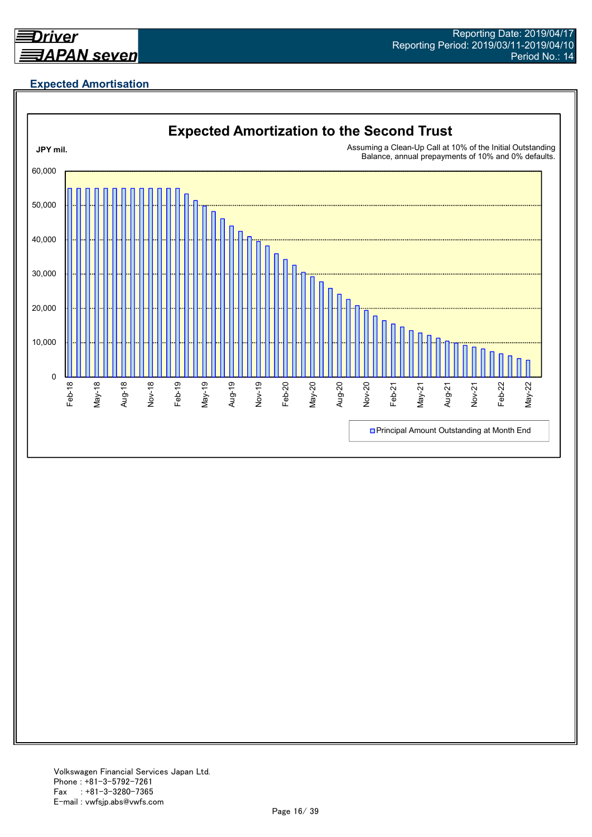

# **Expected Amortisation**

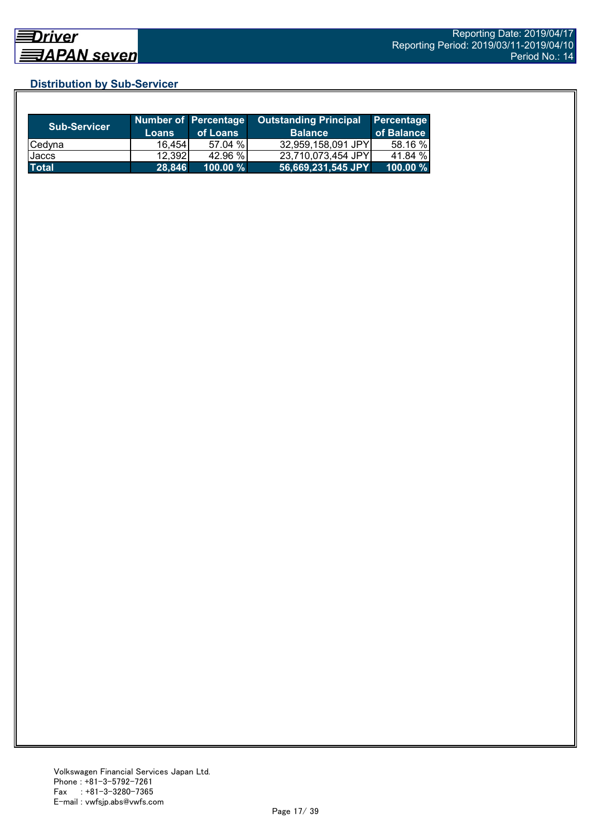# **Distribution by Sub-Servicer**

| <b>Sub-Servicer</b> | <b>Loans</b> | <b>Number of Percentage</b><br>of Loans | <b>Outstanding Principal</b><br><b>Balance</b> | Percentage<br>of Balance |
|---------------------|--------------|-----------------------------------------|------------------------------------------------|--------------------------|
| <b>Cedyna</b>       | 16.454       | 57.04 %                                 | 32,959,158,091 JPY                             | 58.16 %                  |
| Jaccs               | 12.3921      | 42.96 %                                 | 23.710.073.454 JPYI                            | 41.84 %                  |
| <b>Total</b>        | 28,846       | 100.00 %                                | 56,669,231,545 JPY                             | $100.00 \%$              |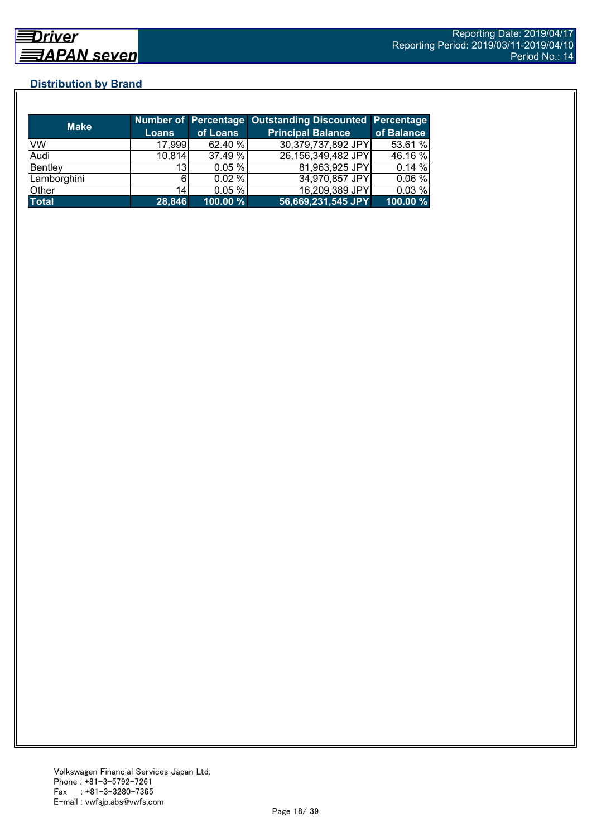# **Distribution by Brand**

| <b>Make</b>  |                 |          | Number of Percentage Outstanding Discounted Percentage |            |
|--------------|-----------------|----------|--------------------------------------------------------|------------|
|              | <b>Loans</b>    | of Loans | <b>Principal Balance</b>                               | of Balance |
| <b>VW</b>    | 17,999          | 62.40 %  | 30,379,737,892 JPY                                     | 53.61 %    |
| Audi         | 10,814          | 37.49 %  | 26,156,349,482 JPY                                     | 46.16 %    |
| Bentley      | 13 <sub>l</sub> | 0.05%    | 81,963,925 JPY                                         | 0.14%      |
| Lamborghini  |                 | 0.02%    | 34,970,857 JPY                                         | 0.06%      |
| Other        | 14              | 0.05%    | 16,209,389 JPY                                         | 0.03%      |
| <b>Total</b> | 28,846          | 100.00 % | 56,669,231,545 JPY                                     | 100.00 %   |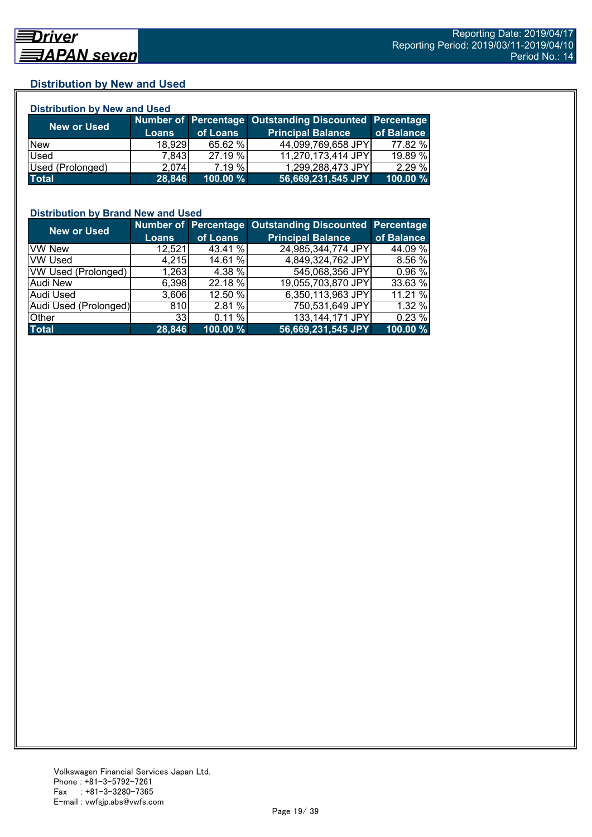# **Distribution by New and Used**

| <b>Distribution by New and Used</b> |              |          |                                                        |            |  |  |
|-------------------------------------|--------------|----------|--------------------------------------------------------|------------|--|--|
|                                     |              |          | Number of Percentage Outstanding Discounted Percentage |            |  |  |
| <b>New or Used</b>                  | <b>Loans</b> | of Loans | <b>Principal Balance</b>                               | of Balance |  |  |
| <b>New</b>                          | 18.929       | 65.62 %  | 44,099,769,658 JPY                                     | 77.82 %    |  |  |
| Used                                | 7.843        | 27.19 %  | 11,270,173,414 JPY                                     | 19.89 %    |  |  |
| Used (Prolonged)                    | 2.074        | 7.19%    | 1,299,288,473 JPY                                      | 2.29 %     |  |  |
| <b>Total</b>                        | 28,846       | 100.00 % | 56,669,231,545 JPY                                     | 100.00 %   |  |  |

## **Distribution by Brand New and Used**

| <b>New or Used</b>         |                 |          | Number of Percentage Outstanding Discounted Percentage |            |
|----------------------------|-----------------|----------|--------------------------------------------------------|------------|
|                            | <b>Loans</b>    | of Loans | <b>Principal Balance</b>                               | of Balance |
| <b>VW New</b>              | 12,521          | 43.41 %  | 24,985,344,774 JPY                                     | 44.09 %    |
| <b>VW Used</b>             | 4,215           | 14.61 %  | 4,849,324,762 JPY                                      | 8.56%      |
| <b>VW Used (Prolonged)</b> | 1,263           | 4.38 %   | 545,068,356 JPY                                        | 0.96 %     |
| Audi New                   | 6,398           | 22.18 %  | 19,055,703,870 JPY                                     | 33.63 %    |
| <b>Audi Used</b>           | 3,606           | 12.50 %  | 6,350,113,963 JPY                                      | 11.21 %    |
| Audi Used (Prolonged)      | 810             | 2.81%    | 750,531,649 JPY                                        | 1.32 %     |
| Other                      | 33 <sub>1</sub> | 0.11%    | 133,144,171 JPY                                        | 0.23%      |
| <b>Total</b>               | 28,846          | 100.00 % | 56,669,231,545 JPY                                     | 100.00 %   |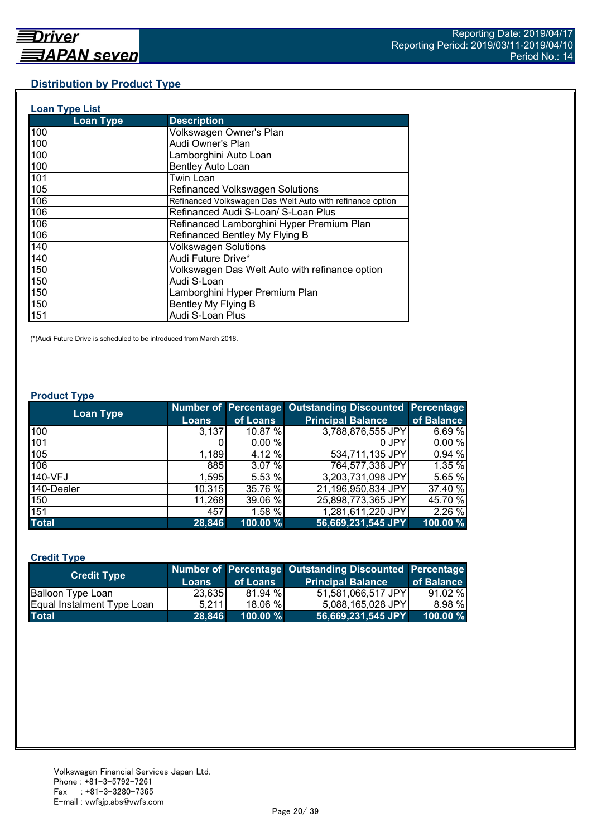# **Distribution by Product Type**

| <b>Loan Type List</b> |                                                           |
|-----------------------|-----------------------------------------------------------|
| <b>Loan Type</b>      | <b>Description</b>                                        |
| 100                   | Volkswagen Owner's Plan                                   |
| 100                   | Audi Owner's Plan                                         |
| 100                   | Lamborghini Auto Loan                                     |
| 100                   | <b>Bentley Auto Loan</b>                                  |
| 101                   | Twin Loan                                                 |
| 105                   | Refinanced Volkswagen Solutions                           |
| 106                   | Refinanced Volkswagen Das Welt Auto with refinance option |
| 106                   | Refinanced Audi S-Loan/ S-Loan Plus                       |
| 106                   | Refinanced Lamborghini Hyper Premium Plan                 |
| 106                   | Refinanced Bentley My Flying B                            |
| 140                   | <b>Volkswagen Solutions</b>                               |
| 140                   | Audi Future Drive*                                        |
| 150                   | Volkswagen Das Welt Auto with refinance option            |
| 150                   | Audi S-Loan                                               |
| 150                   | Lamborghini Hyper Premium Plan                            |
| 150                   | Bentley My Flying B                                       |
| 151                   | Audi S-Loan Plus                                          |

(\*)Audi Future Drive is scheduled to be introduced from March 2018.

#### **Product Type**

| <b>Loan Type</b> |              |          | <b>Number of Percentage Outstanding Discounted</b> | Percentage |
|------------------|--------------|----------|----------------------------------------------------|------------|
|                  | <b>Loans</b> | of Loans | <b>Principal Balance</b>                           | of Balance |
| 100              | 3,137        | 10.87 %  | 3,788,876,555 JPY                                  | 6.69%      |
| 101              |              | 0.00%    | 0 JPY                                              | 0.00%      |
| 105              | 1,189        | 4.12 %   | 534,711,135 JPY                                    | 0.94%      |
| 106              | 885          | 3.07%    | 764,577,338 JPY                                    | 1.35 %     |
| 140-VFJ          | 1,595        | 5.53 %   | 3,203,731,098 JPY                                  | 5.65 %     |
| 140-Dealer       | 10,315       | 35.76 %  | 21,196,950,834 JPY                                 | 37.40 %    |
| 150              | 11,268       | 39.06 %  | 25,898,773,365 JPY                                 | 45.70 %    |
| 151              | 457          | 1.58 %   | 1,281,611,220 JPY                                  | 2.26 %     |
| <b>Total</b>     | 28,846       | 100.00 % | 56,669,231,545 JPY                                 | 100.00 %   |

# **Credit Type**

| <b>Credit Type</b>         |        |             | Number of Percentage Outstanding Discounted Percentage |            |
|----------------------------|--------|-------------|--------------------------------------------------------|------------|
|                            | Loans  | of Loans    | <b>Principal Balance</b>                               | of Balance |
| Balloon Type Loan          | 23,635 | 81.94 %     | 51,581,066,517 JPY                                     | 91.02%     |
| Equal Instalment Type Loan | 5.211  | 18.06 %     | 5,088,165,028 JPY                                      | 8.98 %     |
| <b>Total</b>               | 28.846 | $100.00 \%$ | $ $ 56,669,231,545 JPY $ $                             | 100.00 %   |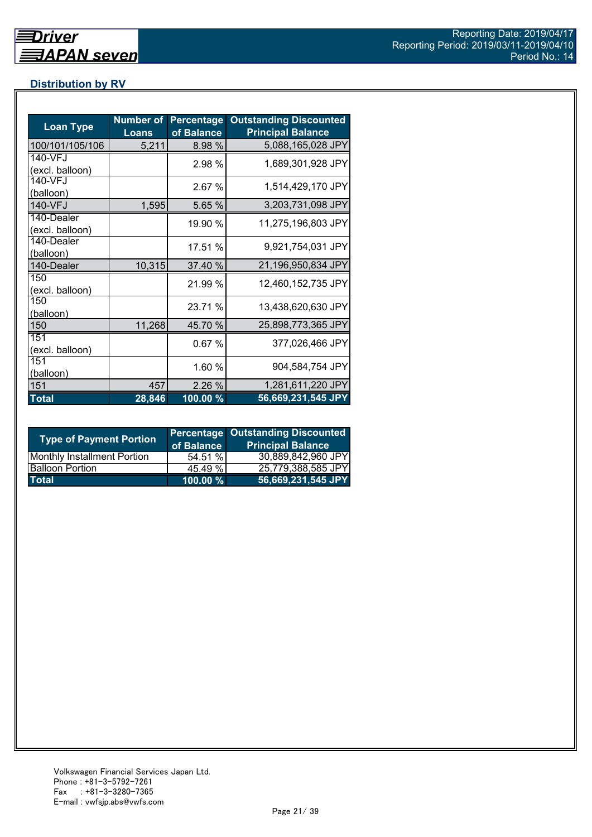# **Distribution by RV**

| <b>Loan Type</b>              | <b>Number of</b><br><b>Loans</b> | <b>Percentage</b><br>of Balance | <b>Outstanding Discounted</b><br><b>Principal Balance</b> |
|-------------------------------|----------------------------------|---------------------------------|-----------------------------------------------------------|
| 100/101/105/106               | 5,211                            | 8.98 %                          | 5,088,165,028 JPY                                         |
| 140-VFJ<br>(excl. balloon)    |                                  | 2.98 %                          | 1,689,301,928 JPY                                         |
| 140-VFJ<br>(balloon)          |                                  | 2.67%                           | 1,514,429,170 JPY                                         |
| 140-VFJ                       | 1,595                            | 5.65 %                          | 3,203,731,098 JPY                                         |
| 140-Dealer<br>(excl. balloon) |                                  | 19.90 %                         | 11,275,196,803 JPY                                        |
| 140-Dealer<br>(balloon)       |                                  | 17.51 %                         | 9,921,754,031 JPY                                         |
| 140-Dealer                    | 10,315                           | 37.40 %                         | 21,196,950,834 JPY                                        |
| 150<br>(excl. balloon)        |                                  | 21.99 %                         | 12,460,152,735 JPY                                        |
| 150<br>(balloon)              |                                  | 23.71 %                         | 13,438,620,630 JPY                                        |
| 150                           | 11,268                           | 45.70 %                         | 25,898,773,365 JPY                                        |
| 151<br>(excl. balloon)        |                                  | 0.67%                           | 377,026,466 JPY                                           |
| 151<br>(balloon)              |                                  | 1.60 %                          | 904,584,754 JPY                                           |
| 151                           | 457                              | 2.26 %                          | 1,281,611,220 JPY                                         |
| <b>Total</b>                  | 28,846                           | 100.00 %                        | 56,669,231,545 JPY                                        |

| <b>Type of Payment Portion</b>     | of Balance | <b>Percentage Outstanding Discounted</b><br><b>Principal Balance</b> |
|------------------------------------|------------|----------------------------------------------------------------------|
| <b>Monthly Installment Portion</b> | 54.51 %    | 30,889,842,960 JPY                                                   |
| <b>Balloon Portion</b>             | 45.49 %    | 25.779.388.585 JPY                                                   |
| <b>Total</b>                       | 100.00 %   | 56,669,231,545 JPY                                                   |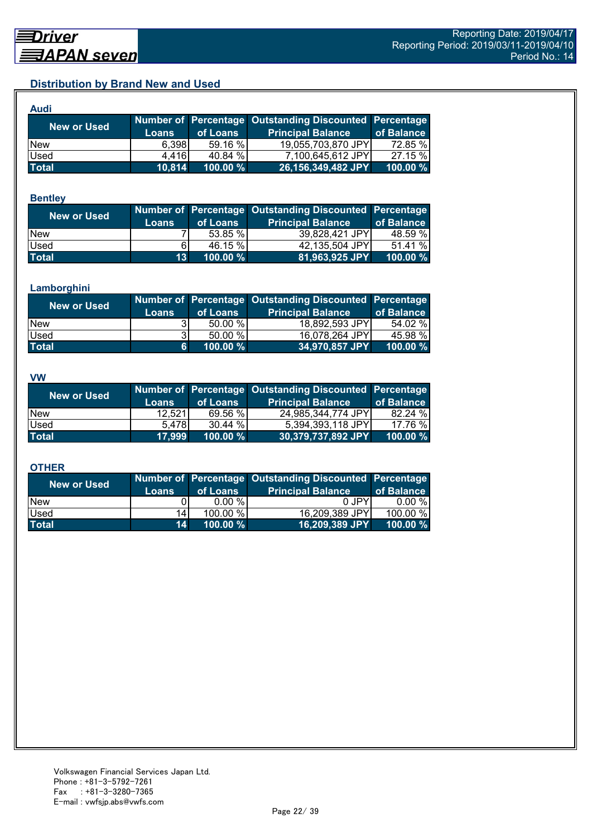# **Distribution by Brand New and Used**

| Audi               |        |          |                                                        |             |
|--------------------|--------|----------|--------------------------------------------------------|-------------|
| <b>New or Used</b> |        |          | Number of Percentage Outstanding Discounted Percentage |             |
|                    | Loans  | of Loans | <b>Principal Balance</b>                               | of Balance  |
| <b>New</b>         | 6.398  | 59.16 %  | 19,055,703,870 JPY                                     | 72.85 %     |
| Used               | 4.416  | 40.84 %  | 7,100,645,612 JPY                                      | 27.15 %     |
| <b>Total</b>       | 10,814 | 100.00 % | 26,156,349,482 JPY                                     | $100.00 \%$ |

#### **Bentley**

| <b>New or Used</b> | <b>Loans</b>    | of Loans | Number of Percentage Outstanding Discounted Percentage<br><b>Principal Balance</b> | of Balance |
|--------------------|-----------------|----------|------------------------------------------------------------------------------------|------------|
| <b>New</b>         |                 | 53.85 %  | 39,828,421 JPY                                                                     | 48.59 %    |
| Used               | 61              | 46.15 %  | 42,135,504 JPY                                                                     | 51.41 %    |
| <b>Total</b>       | 13 <sup>1</sup> | 100.00 % | 81,963,925 JPY                                                                     | 100.00 %   |

#### **Lamborghini**

| New or Used  | <b>Loans</b> | of Loans | Number of Percentage Outstanding Discounted Percentage<br><b>Principal Balance</b> | of Balance |
|--------------|--------------|----------|------------------------------------------------------------------------------------|------------|
| <b>New</b>   |              | 50.00 %  | 18,892,593 JPY                                                                     | 54.02 %    |
| Used         | 31           | 50.00 %  | 16,078,264 JPY                                                                     | 45.98 %    |
| <b>Total</b> | 6            | 100.00 % | 34,970,857 JPY                                                                     | 100.00 %   |

#### **VW**

| <b>New or Used</b> |              |          | Number of Percentage Outstanding Discounted Percentage |            |
|--------------------|--------------|----------|--------------------------------------------------------|------------|
|                    | <b>Loans</b> | of Loans | <b>Principal Balance</b>                               | of Balance |
| <b>New</b>         | 12,521       | 69.56 %  | 24,985,344,774 JPY                                     | 82.24 %    |
| <b>Used</b>        | 5.478        | 30.44 %  | 5,394,393,118 JPY                                      | 17.76 %    |
| <b>Total</b>       | 17,999       | 100.00 % | 30,379,737,892 JPY                                     | 100.00 %   |

#### **OTHER**

| <b>New or Used</b> |                 |          | Number of Percentage Outstanding Discounted Percentage |            |
|--------------------|-----------------|----------|--------------------------------------------------------|------------|
|                    | <b>Loans</b>    | of Loans | <b>Principal Balance</b>                               | of Balance |
| <b>New</b>         |                 | $0.00\%$ | 0 JPY                                                  | $0.00 \%$  |
| Used               | 141             | 100.00 % | 16,209,389 JPY                                         | 100.00 %   |
| <b>Total</b>       | 14 <sup>1</sup> | 100.00 % | 16,209,389 JPY                                         | 100.00 $%$ |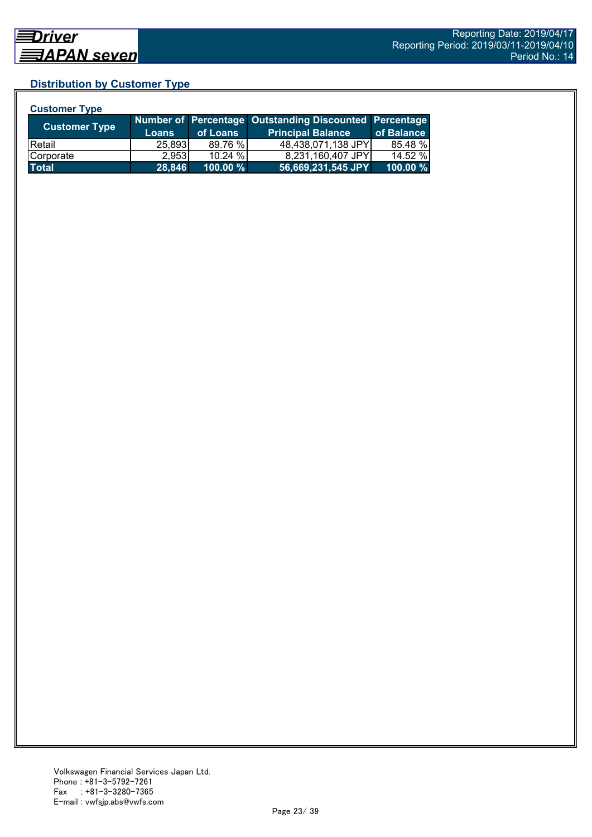# **Distribution by Customer Type**

| <b>Customer Type</b> |              |          |                                                        |            |
|----------------------|--------------|----------|--------------------------------------------------------|------------|
| <b>Customer Type</b> |              |          | Number of Percentage Outstanding Discounted Percentage |            |
|                      | <b>Loans</b> | of Loans | <b>Principal Balance</b>                               | of Balance |
| <b>Retail</b>        | 25,893       | 89.76 %  | 48,438,071,138 JPY                                     | 85.48 %    |
| Corporate            | 2,953        | 10.24 %  | 8,231,160,407 JPY                                      | 14.52 %    |
| <b>Total</b>         | 28,846       | 100.00 % | 56,669,231,545 JPY                                     | 100.00 %   |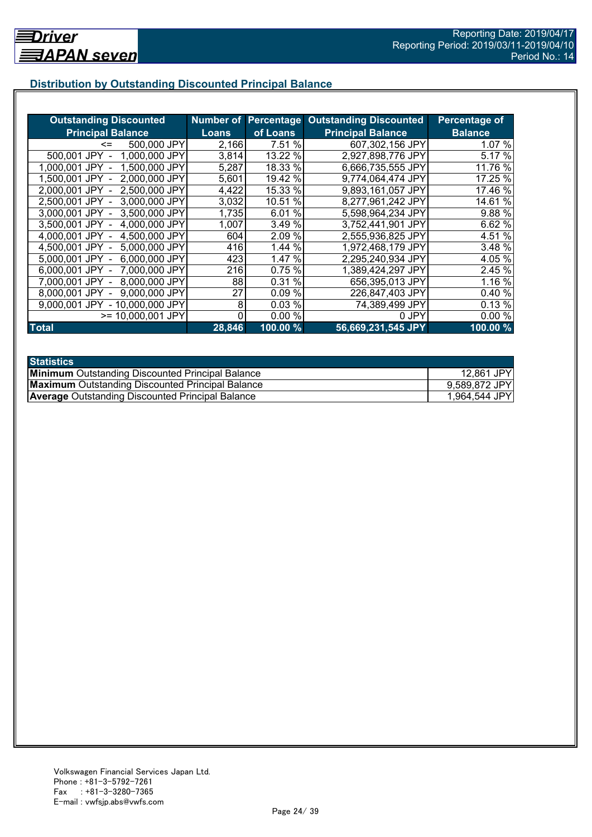# **Distribution by Outstanding Discounted Principal Balance**

| <b>Outstanding Discounted</b>    |              |                     | <b>Number of Percentage Outstanding Discounted</b> | <b>Percentage of</b> |
|----------------------------------|--------------|---------------------|----------------------------------------------------|----------------------|
| <b>Principal Balance</b>         | <b>Loans</b> | of Loans            | <b>Principal Balance</b>                           | <b>Balance</b>       |
| 500,000 JPY<br><=                | 2,166        | 7.51 %              | 607,302,156 JPY                                    | 1.07%                |
| 1,000,000 JPY<br>500,001 JPY     | 3,814        | 13.22 %             | 2,927,898,776 JPY                                  | 5.17 %               |
| 1,500,000 JPY<br>1.000.001 JPY - | 5,287        | 18.33 %             | 6,666,735,555 JPY                                  | 11.76 %              |
| 2,000,000 JPY<br>1.500.001 JPY - | 5,601        | 19.42 %             | 9,774,064,474 JPY                                  | 17.25 %              |
| 2,500,000 JPY<br>2.000.001 JPY - | 4,422        | 15.33 %             | 9,893,161,057 JPY                                  | 17.46 %              |
| 3,000,000 JPY<br>2,500,001 JPY - | 3,032        | 10.51 %             | 8,277,961,242 JPY                                  | 14.61 %              |
| 3,000,001 JPY -<br>3,500,000 JPY | 1,735        | 6.01%               | 5,598,964,234 JPY                                  | 9.88 %               |
| 3.500,001 JPY -<br>4,000,000 JPY | 1,007        | 3.49 %              | 3,752,441,901 JPY                                  | 6.62 %               |
| 4,500,000 JPY<br>4,000,001 JPY - | 604          | 2.09 %              | 2,555,936,825 JPY                                  | 4.51 %               |
| 5,000,000 JPY<br>4,500,001 JPY - | 416          | 1.44 %              | 1,972,468,179 JPY                                  | 3.48 %               |
| 5,000,001 JPY -<br>6,000,000 JPY | 423          | 1.47 %              | 2,295,240,934 JPY                                  | 4.05 %               |
| 6,000,001 JPY -<br>7,000,000 JPY | 216          | 0.75%               | 1,389,424,297 JPY                                  | 2.45 %               |
| 8,000,000 JPY<br>7.000.001 JPY - | 88           | %<br>0.31           | 656,395,013 JPY                                    | 1.16 %               |
| 9,000,000 JPY<br>8.000.001 JPY   | 27           | 0.09%               | 226,847,403 JPY                                    | 0.40 %               |
| 9,000,001 JPY - 10,000,000 JPY   | 8            | 0.03%               | 74,389,499 JPY                                     | 0.13 %               |
| >= 10,000,001 JPY                |              | 0.00%               | 0 JPY                                              | 0.00%                |
| <b>Total</b>                     | 28,846       | $100.00\frac{9}{6}$ | 56,669,231,545 JPY                                 | 100.00%              |

| <b>Statistics</b>                                       |               |
|---------------------------------------------------------|---------------|
| <b>Minimum</b> Outstanding Discounted Principal Balance | 12,861 JPY    |
| <b>Maximum</b> Outstanding Discounted Principal Balance | 9,589,872 JPY |
| <b>Average</b> Outstanding Discounted Principal Balance | 1,964,544 JPY |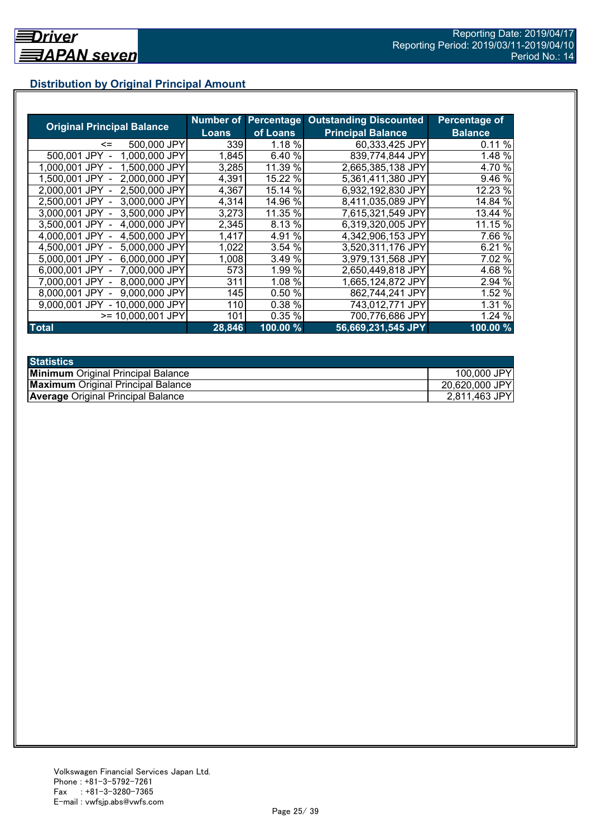# **Distribution by Original Principal Amount**

|                                   |              |           | <b>Number of Percentage Outstanding Discounted</b> | <b>Percentage of</b> |
|-----------------------------------|--------------|-----------|----------------------------------------------------|----------------------|
| <b>Original Principal Balance</b> | <b>Loans</b> | of Loans  | <b>Principal Balance</b>                           | <b>Balance</b>       |
| 500,000 JPY<br><=                 | 339          | 1.18 %    | 60,333,425 JPY                                     | 0.11%                |
| 500,001 JPY<br>1.000.000 JPY      | 1,845        | 6.40 %    | 839,774,844 JPY                                    | 1.48 %               |
| 1,500,000 JPY<br>1.000.001 JPY    | 3,285        | 11.39 %   | 2,665,385,138 JPY                                  | 4.70 %               |
| 2,000,000 JPY<br>1.500.001 JPY    | 4,391        | 15.22 %   | 5,361,411,380 JPY                                  | 9.46 %               |
| 2,500,000 JPY<br>2.000.001 JPY    | 4,367        | 15.14 %   | 6,932,192,830 JPY                                  | 12.23 %              |
| 2,500,001 JPY<br>3.000.000 JPY    | 4,314        | 14.96 %   | 8,411,035,089 JPY                                  | 14.84 %              |
| 3.000.001 JPY<br>3.500,000 JPY    | 3,273        | 11.35 %   | 7,615,321,549 JPY                                  | 13.44 %              |
| 3,500,001 JPY<br>4,000,000 JPY    | 2,345        | 8.13 %    | 6,319,320,005 JPY                                  | 11.15 %              |
| 4,500,000 JPY<br>4.000.001 JPY    | 1,417        | %<br>4.91 | 4,342,906,153 JPY                                  | 7.66 %               |
| 5,000,000 JPY<br>4.500.001 JPY -  | 1,022        | 3.54 %    | 3,520,311,176 JPY                                  | 6.21 %               |
| 6,000,000 JPY<br>5,000,001 JPY -  | 1,008        | 3.49 %    | 3,979,131,568 JPY                                  | 7.02 %               |
| 6,000,001 JPY -<br>7,000,000 JPY  | 573          | 1.99 %    | 2,650,449,818 JPY                                  | 4.68 %               |
| 8,000,000 JPY<br>7.000.001 JPY -  | 311          | 1.08 %    | 1,665,124,872 JPY                                  | 2.94 %               |
| 9,000,000 JPY<br>8.000.001 JPY    | 145          | 0.50%     | 862,744,241 JPY                                    | 1.52 %               |
| 9.000.001 JPY<br>- 10,000,000 JPY | 110          | 0.38 %    | 743,012,771 JPY                                    | 1.31 %               |
| >= 10,000,001 JPY                 | 101          | 0.35%     | 700,776,686 JPY                                    | 1.24 %               |
| <b>Total</b>                      | 28,846       | 100.00 %  | 56,669,231,545 JPY                                 | 100.00%              |

| <b>Statistics</b>                         |                |
|-------------------------------------------|----------------|
| <b>Minimum</b> Original Principal Balance | 100,000 JPY    |
| <b>Maximum</b> Original Principal Balance | 20,620,000 JPY |
| <b>Average Original Principal Balance</b> | 2,811,463 JPY  |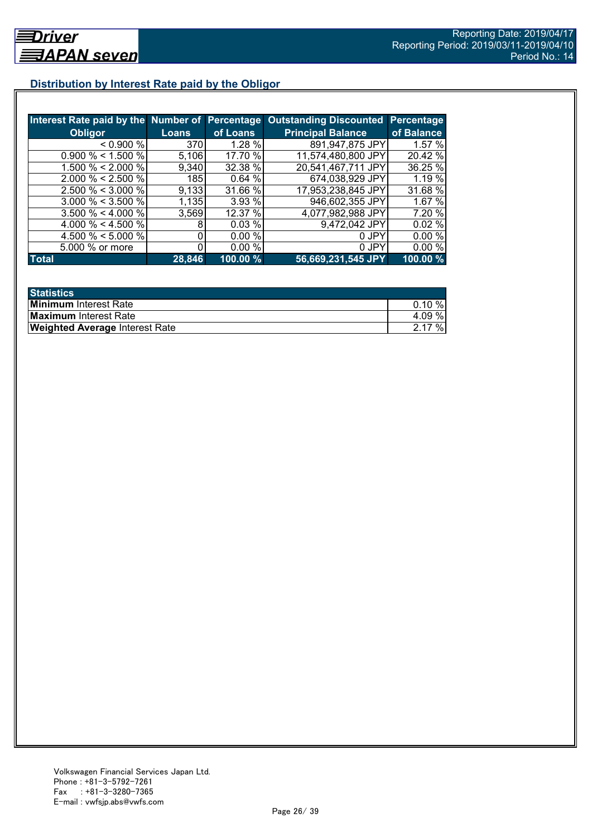# **Distribution by Interest Rate paid by the Obligor**

|                       |            |           | Interest Rate paid by the Number of Percentage Outstanding Discounted | <b>Percentage</b> |
|-----------------------|------------|-----------|-----------------------------------------------------------------------|-------------------|
| <b>Obligor</b>        | Loans      | of Loans  | <b>Principal Balance</b>                                              | of Balance        |
| < 0.900 %             | 370        | $1.28 \%$ | 891,947,875 JPY                                                       | 1.57%             |
| $0.900\% < 1.500\%$   | 5,106      | 17.70 %   | 11,574,480,800 JPY                                                    | 20.42 %           |
| 1.500 % < 2.000 %     | 9,340      | 32.38 %   | 20,541,467,711 JPY                                                    | 36.25 %           |
| $2.000 \% < 2.500 \%$ | <b>185</b> | 0.64%     | 674,038,929 JPY                                                       | 1.19 %            |
| $2.500 \% < 3.000 \%$ | 9,133      | 31.66 %   | 17,953,238,845 JPY                                                    | 31.68 %           |
| $3.000 \% < 3.500 \%$ | 1,135      | 3.93 %    | 946,602,355 JPY                                                       | 1.67%             |
| $3.500 \% < 4.000 \%$ | 3,569      | 12.37 %   | 4,077,982,988 JPY                                                     | 7.20 %            |
| 4.000 % < 4.500 %     |            | 0.03 %    | 9,472,042 JPY                                                         | 0.02%             |
| 4.500 % < 5.000 %     |            | 0.00%     | 0 JPY                                                                 | 0.00%             |
| 5.000 % or more       |            | 0.00%     | 0 JPY                                                                 | 0.00%             |
| <b>Total</b>          | 28,846     | 100.00%   | 56,669,231,545 JPY                                                    | 100.00 %          |

| <b>Statistics</b>                     |           |
|---------------------------------------|-----------|
| <b>Minimum</b> Interest Rate          | $0.10 \%$ |
| <b>Maximum</b> Interest Rate          | 4.09%     |
| <b>Weighted Average Interest Rate</b> | 2.17%     |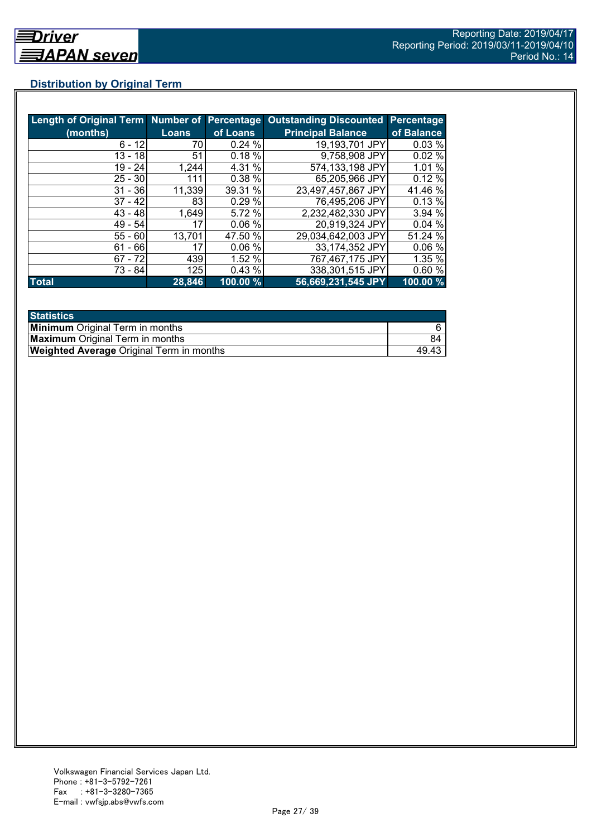# **Distribution by Original Term**

| Length of Original Term Number of Percentage |              |          | <b>Outstanding Discounted Percentage</b> |            |
|----------------------------------------------|--------------|----------|------------------------------------------|------------|
| (months)                                     | <b>Loans</b> | of Loans | <b>Principal Balance</b>                 | of Balance |
| $6 - 12$                                     | 70           | 0.24%    | 19,193,701 JPY                           | 0.03%      |
| $13 - 18$                                    | 51           | 0.18%    | 9,758,908 JPY                            | 0.02%      |
| 19 - 24                                      | 1,244        | 4.31 %   | 574,133,198 JPY                          | 1.01%      |
| $25 - 30$                                    | 111          | 0.38 %   | 65,205,966 JPY                           | 0.12%      |
| $31 - 36$                                    | 11,339       | 39.31 %  | 23,497,457,867 JPY                       | 41.46 %    |
| $37 - 42$                                    | 83           | 0.29%    | 76,495,206 JPY                           | 0.13%      |
| $43 - 48$                                    | 1,649        | 5.72 %   | 2,232,482,330 JPY                        | 3.94 %     |
| $49 - 54$                                    | 17           | 0.06%    | 20,919,324 JPY                           | 0.04%      |
| $55 - 60$                                    | 13,701       | 47.50 %  | 29,034,642,003 JPY                       | 51.24 %    |
| $61 - 66$                                    | 17           | 0.06%    | 33,174,352 JPY                           | 0.06%      |
| $67 - 72$                                    | 439          | 1.52 %   | 767,467,175 JPY                          | 1.35 %     |
| $73 - 84$                                    | 125          | 0.43%    | 338,301,515 JPY                          | 0.60%      |
| <b>Total</b>                                 | 28,846       | 100.00 % | 56,669,231,545 JPY                       | 100.00 %   |

| <b>Statistics</b>                               |       |
|-------------------------------------------------|-------|
| <b>Minimum</b> Original Term in months          |       |
| <b>Maximum</b> Original Term in months          | 84    |
| <b>Weighted Average Original Term in months</b> | 49.43 |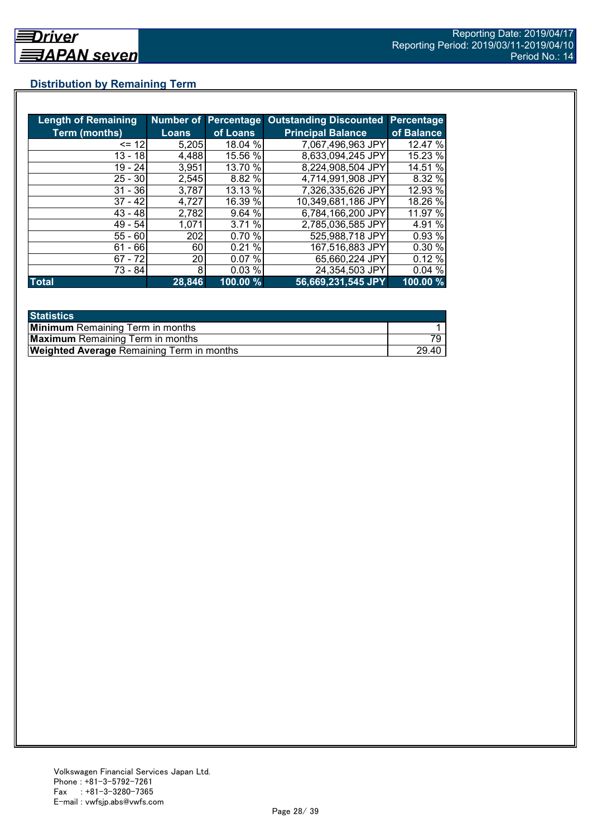# **Distribution by Remaining Term**

| <b>Length of Remaining</b> |              |          | Number of Percentage Outstanding Discounted | Percentage |
|----------------------------|--------------|----------|---------------------------------------------|------------|
| <b>Term (months)</b>       | <b>Loans</b> | of Loans | <b>Principal Balance</b>                    | of Balance |
| $= 12$                     | 5,205        | 18.04 %  | 7.067,496,963 JPY                           | 12.47 %    |
| $13 - 18$                  | 4,488        | 15.56 %  | 8,633,094,245 JPY                           | 15.23 %    |
| $19 - 24$                  | 3,951        | 13.70 %  | 8,224,908,504 JPY                           | 14.51 %    |
| $25 - 30$                  | 2,545        | 8.82 %   | 4,714,991,908 JPY                           | 8.32 %     |
| $31 - 36$                  | 3,787        | 13.13 %  | 7,326,335,626 JPY                           | 12.93 %    |
| $37 - 42$                  | 4,727        | 16.39 %  | 10,349,681,186 JPY                          | 18.26 %    |
| $43 - 48$                  | 2,782        | 9.64 %   | 6,784,166,200 JPY                           | 11.97 %    |
| $49 - 54$                  | 1,071        | 3.71 %   | 2,785,036,585 JPY                           | 4.91 %     |
| $55 - 60$                  | 202          | 0.70%    | 525,988,718 JPY                             | 0.93 %     |
| - 66<br>61                 | 60           | 0.21%    | 167,516,883 JPY                             | 0.30 %     |
| $67 - 72$                  | 20           | 0.07%    | 65,660,224 JPY                              | 0.12%      |
| 73 - 84                    | 8            | 0.03%    | 24,354,503 JPY                              | 0.04%      |
| <b>Total</b>               | 28,846       | 100.00 % | 56,669,231,545 JPY                          | 100.00 %   |

| <b>Statistics</b>                                |       |
|--------------------------------------------------|-------|
| <b>Minimum</b> Remaining Term in months          |       |
| <b>Maximum</b> Remaining Term in months          |       |
| <b>Weighted Average Remaining Term in months</b> | 29.40 |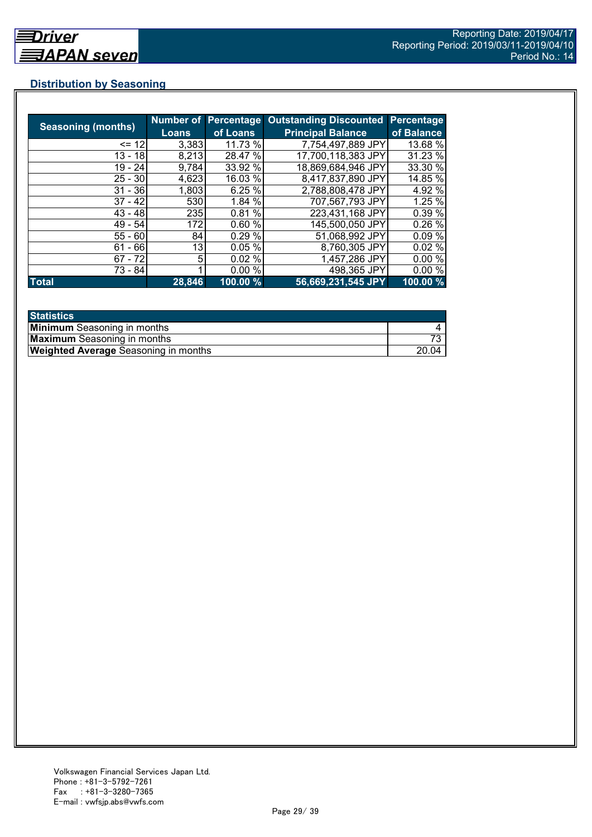# **Distribution by Seasoning**

|                           | <b>Number of</b> | <b>Percentage</b> | <b>Outstanding Discounted</b> | <b>Percentage</b> |
|---------------------------|------------------|-------------------|-------------------------------|-------------------|
| <b>Seasoning (months)</b> | <b>Loans</b>     | of Loans          | <b>Principal Balance</b>      | of Balance        |
| $= 12$                    | 3,383            | 11.73 %           | 7,754,497,889 JPY             | 13.68 %           |
| $13 - 18$                 | 8,213            | 28.47 %           | 17,700,118,383 JPY            | 31.23 %           |
| $19 - 24$                 | 9,784            | 33.92 %           | 18,869,684,946 JPY            | 33.30 %           |
| $25 - 30$                 | 4,623            | 16.03 %           | 8,417,837,890 JPY             | 14.85 %           |
| $31 - 36$                 | 1,803            | 6.25%             | 2,788,808,478 JPY             | 4.92 %            |
| $37 - 42$                 | 530              | 1.84 %            | 707,567,793 JPY               | 1.25 %            |
| $43 - 48$                 | 235              | 0.81%             | 223,431,168 JPY               | 0.39 %            |
| $49 - 54$                 | 172              | 0.60%             | 145,500,050 JPY               | 0.26%             |
| $55 - 60$                 | 84               | 0.29%             | 51,068,992 JPY                | 0.09%             |
| $61 - 66$                 | 13               | 0.05%             | 8,760,305 JPY                 | 0.02%             |
| $67 - 72$                 | 5                | 0.02%             | 1,457,286 JPY                 | 0.00%             |
| 73 - 84                   |                  | 0.00%             | 498,365 JPY                   | 0.00%             |
| <b>Total</b>              | 28,846           | 100.00 %          | 56,669,231,545 JPY            | 100.00 %          |

| <b>Statistics</b>                           |       |
|---------------------------------------------|-------|
| <b>Minimum</b> Seasoning in months          |       |
| <b>Maximum</b> Seasoning in months          |       |
| <b>Weighted Average</b> Seasoning in months | 20.04 |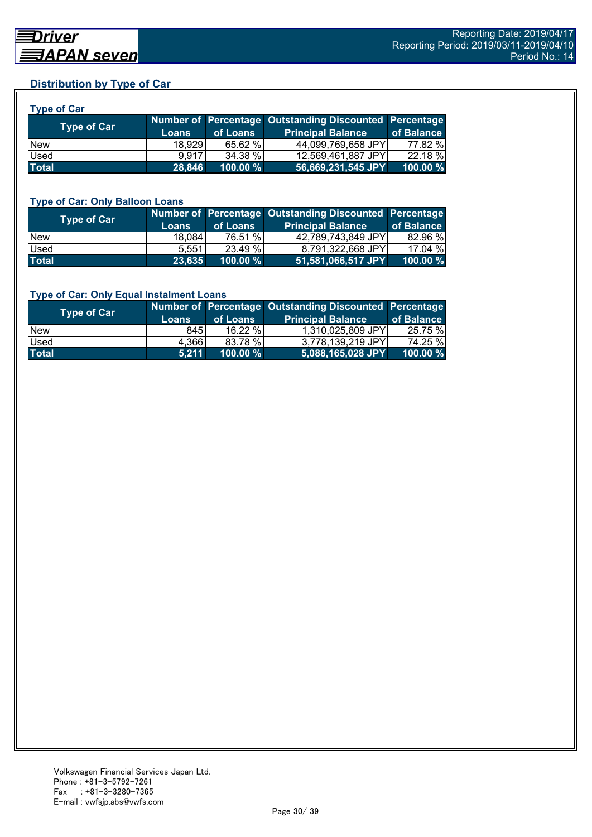# **Distribution by Type of Car**

| <b>Type of Car</b> |              |                                                        |                          |            |  |
|--------------------|--------------|--------------------------------------------------------|--------------------------|------------|--|
| <b>Type of Car</b> |              | Number of Percentage Outstanding Discounted Percentage |                          |            |  |
|                    | <b>Loans</b> | of Loans                                               | <b>Principal Balance</b> | of Balance |  |
| <b>New</b>         | 18.929       | 65.62 %                                                | 44,099,769,658 JPY       | 77.82 %    |  |
| Used               | 9.917        | 34.38 %                                                | 12,569,461,887 JPY       | 22.18 %    |  |
| <b>Total</b>       | 28,846       | $100.00 \%$                                            | 56,669,231,545 JPY       | 100.00 %   |  |

#### **Type of Car: Only Balloon Loans**

| <b>Type of Car</b> | <b>Loans</b> | of Loans    | Number of Percentage Outstanding Discounted Percentage<br><b>Principal Balance</b> | of Balance  |
|--------------------|--------------|-------------|------------------------------------------------------------------------------------|-------------|
| <b>New</b>         | 18.084       | 76.51 %     | 42,789,743,849 JPY                                                                 | 82.96 %     |
| <b>Used</b>        | 5.5511       | 23.49 %     | 8.791.322.668 JPYI                                                                 | 17.04 %     |
| <b>Total</b>       | 23,635       | $100.00 \%$ | 51,581,066,517 JPY                                                                 | $100.00 \%$ |

#### **Type of Car: Only Equal Instalment Loans**

| Type of Car  | <b>Loans</b> | of Loans    | Number of Percentage Outstanding Discounted Percentage<br><b>Principal Balance</b> | of Balance |
|--------------|--------------|-------------|------------------------------------------------------------------------------------|------------|
| <b>New</b>   | 845I         | $16.22\%$   | 1.310.025.809 JPYI                                                                 | 25.75 %    |
| <b>Used</b>  | 4,366        | 83.78 %     | 3.778.139.219 JPYI                                                                 | 74.25 %    |
| <b>Total</b> | 5.211        | $100.00 \%$ | $ $ 5,088,165,028 JPY $ $                                                          | 100.00 %   |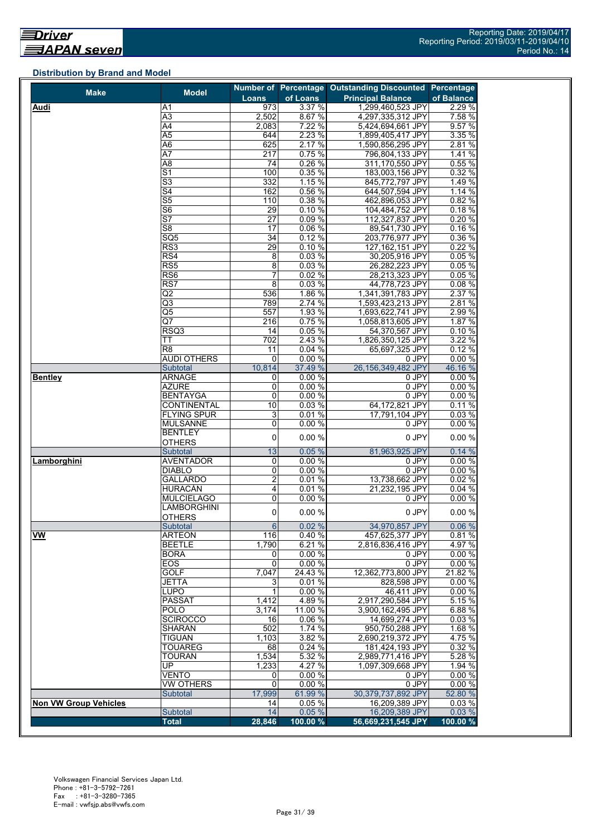# **Distribution by Brand and Model**

| <b>Make</b>                  | <b>Model</b>                                         |                  |                | Number of Percentage Outstanding Discounted Percentage |                 |
|------------------------------|------------------------------------------------------|------------------|----------------|--------------------------------------------------------|-----------------|
|                              |                                                      | Loans            | of Loans       | <b>Principal Balance</b>                               | of Balance      |
| Audi                         | Α1                                                   | 973              | 3.37%          | 1,299,460,523 JPY                                      | 2.29 %          |
|                              | A3                                                   | 2,502            | 8.67 %         | 4,297,335,312 JPY                                      | 7.58 %          |
|                              | A4                                                   | 2,083            | 7.22%          | 5,424,694,661 JPY                                      | 9.57 %          |
|                              | A <sub>5</sub>                                       | 644              | 2.23 %         | 1,899,405,417 JPY                                      | 3.35 %          |
|                              | A <sub>6</sub>                                       | 625              | 2.17 %         | 1,590,856,295 JPY                                      | 2.81%           |
|                              | $\overline{A7}$                                      | 217              | 0.75%          | 796,804,133 JPY                                        | 1.41 %          |
|                              | A <sub>8</sub>                                       | 74               | 0.26%          | 311,170,550 JPY                                        | 0.55 %          |
|                              | $\overline{\mathsf{S}1}$                             | 100              | 0.35%          | 183,003,156 JPY                                        | 0.32%           |
|                              | $\overline{\mathsf{S}3}$<br>$\overline{\mathsf{S}4}$ | 332<br>162       | 1.15%<br>0.56% | 845,772,797 JPY<br>644,507,594 JPY                     | 1.49 %<br>1.14% |
|                              | $\overline{\text{S5}}$                               | 110              | 0.38%          | 462,896,053 JPY                                        | 0.82 %          |
|                              | $\overline{\mathsf{S6}}$                             | 29               | 0.10%          | 104.484.752 JPY                                        | 0.18%           |
|                              | $\overline{\mathsf{S}7}$                             | $\overline{27}$  | 0.09%          | 112,327,837 JPY                                        | 0.20%           |
|                              | S <sub>8</sub>                                       | 17               | 0.06%          | 89,541,730 JPY                                         | 0.16%           |
|                              | SQ5                                                  | 34               | 0.12%          | 203,776,977 JPY                                        | 0.36 %          |
|                              | RS <sub>3</sub>                                      | $\overline{29}$  | 0.10%          | 127,162,151 JPY                                        | 0.22%           |
|                              | RS4                                                  | 8                | 0.03%          | 30,205,916 JPY                                         | 0.05%           |
|                              | $\overline{\text{RS5}}$                              | 8                | 0.03%          | 26,282,223 JPY                                         | 0.05 %          |
|                              | RS <sub>6</sub>                                      | $\overline{7}$   | 0.02%          | 28,213,323 JPY                                         | 0.05%           |
|                              | $\overline{\text{RS}7}$                              | 8                | 0.03%          | 44,778,723 JPY                                         | 0.08 %          |
|                              | Q2                                                   | 536              | 1.86 %         | 1,341,391,783 JPY                                      | 2.37 %          |
|                              | Q3                                                   | 789              | 2.74 %         | 1,593,423,213 JPY                                      | 2.81%           |
|                              | Q5                                                   | 557              | 1.93 %         | 1,693,622,741 JPY                                      | 2.99%           |
|                              | Q7                                                   | 216              | 0.75%          | 1,058,813,605 JPY                                      | 1.87 %          |
|                              | RSQ3                                                 | 14               | 0.05 %         | 54,370,567 JPY                                         | 0.10%           |
|                              | ТT                                                   | 702              | 2.43 %         | 1,826,350,125 JPY                                      | 3.22 %          |
|                              | R <sub>8</sub>                                       | 11               | 0.04 %         | 65,697,325 JPY                                         | 0.12%           |
|                              | <b>AUDI OTHERS</b>                                   | 0                | 0.00%          | 0 JPY                                                  | 0.00%           |
|                              | Subtotal                                             | 10,814           | 37.49 %        | 26,156,349,482 JPY                                     | 46.16 %         |
| <b>Bentley</b>               | <b>ARNAGE</b>                                        | 0                | 0.00%          | 0 JPY                                                  | 0.00%           |
|                              | <b>AZURE</b>                                         | 0                | 0.00%          | 0 JPY                                                  | 0.00%           |
|                              | <b>BENTAYGA</b>                                      | 0                | 0.00%          | 0 JPY                                                  | 0.00%           |
|                              | <b>CONTINENTAL</b>                                   | 10               | 0.03%          | 64,172,821 JPY                                         | 0.11%           |
|                              | <b>FLYING SPUR</b>                                   | 3                | 0.01%          | 17,791,104 JPY                                         | 0.03%           |
|                              | <b>MULSANNE</b>                                      | 0                | 0.00%          | 0 JPY                                                  | 0.00%           |
|                              | <b>BENTLEY</b>                                       | 0                | 0.00 %         | 0 JPY                                                  | 0.00%           |
|                              | <b>OTHERS</b>                                        |                  |                |                                                        |                 |
|                              | Subtotal                                             | 13               | 0.05%          | 81,963,925 JPY                                         | 0.14%           |
| Lamborghini                  | <b>AVENTADOR</b>                                     | 0                | 0.00%          | 0 JPY                                                  | 0.00%           |
|                              | <b>DIABLO</b>                                        | 0                | 0.00%          | 0 JPY                                                  | 0.00%           |
|                              | <b>GALLARDO</b>                                      | $\overline{2}$   | 0.01%<br>0.01% | 13,738,662 JPY                                         | 0.02%           |
|                              | <b>HURACÁN</b><br><b>MULCIELAGO</b>                  | 4<br>0           | 0.00%          | 21,232,195 JPY<br>0 JPY                                | 0.04%<br>0.00%  |
|                              | <b>LAMBORGHINI</b>                                   |                  |                |                                                        |                 |
|                              | <b>OTHERS</b>                                        | 0                | 0.00%          | 0 JPY                                                  | 0.00%           |
|                              | Subtotal                                             | $6 \overline{6}$ | 0.02%          | 34,970,857 JPY                                         | 0.06%           |
| <b>VW</b>                    | ARTEON                                               | 116              | 0.40%          | 457,625,377 JPY                                        | 0.81%           |
|                              | <b>BEETLE</b>                                        | 1,790            | 6.21 %         | 2,816,836,416 JPY                                      | 4.97 %          |
|                              | <b>BORA</b>                                          | 0                | 0.00%          | 0 JPY                                                  | 0.00 %          |
|                              | EOS                                                  | $\mathbf 0$      | 0.00%          | 0 JPY                                                  | 0.00%           |
|                              | <b>GOLF</b>                                          | 7,047            | 24.43 %        | 12,362,773,800 JPY                                     | 21.82 %         |
|                              | JETTA                                                | 3                | 0.01%          | 828,598 JPY                                            | 0.00%           |
|                              | LUPO                                                 | $\mathbf{1}$     | 0.00%          | 46,411 JPY                                             | 0.00%           |
|                              | <b>PASSAT</b>                                        | 1,412            | 4.89 %         | 2,917,290,584 JPY                                      | 5.15 %          |
|                              | <b>POLO</b>                                          | 3,174            | 11.00 %        | 3,900,162,495 JPY                                      | 6.88 %          |
|                              | SCIROCCO                                             | 16               | 0.06%          | 14,699,274 JPY                                         | 0.03%           |
|                              | <b>SHARAN</b>                                        | 502              | 1.74 %         | 950,750,288 JPY                                        | 1.68 %          |
|                              | <b>TIGUAN</b>                                        | 1,103            | 3.82 %         | 2,690,219,372 JPY                                      | 4.75 %          |
|                              | <b>TOUAREG</b>                                       | 68               | 0.24 %         | 181,424,193 JPY                                        | 0.32 %          |
|                              | <b>TOURAN</b>                                        | 1,534            | 5.32 %         | 2,989,771,416 JPY                                      | 5.28 %          |
|                              | UP                                                   | 1,233            | 4.27 %         | 1,097,309,668 JPY                                      | 1.94 %          |
|                              | <b>VENTO</b>                                         | 0                | 0.00 %         | 0 JPY                                                  | 0.00%           |
|                              | <b>VW OTHERS</b>                                     | $\mathbf 0$      | 0.00%          | 0 JPY                                                  | 0.00%           |
|                              | <b>Subtotal</b>                                      | 17,999           | 61.99 %        | 30,379,737,892 JPY                                     | 52.80 %         |
| <b>Non VW Group Vehicles</b> |                                                      | 14               | 0.05%          | 16,209,389 JPY                                         | 0.03%           |
|                              | Subtotal                                             | 14               | 0.05%          | 16,209,389 JPY                                         | 0.03%           |
|                              | <b>Total</b>                                         | 28,846           | $100.00\%$     | 56,669,231,545 JPY                                     | 100.00 %        |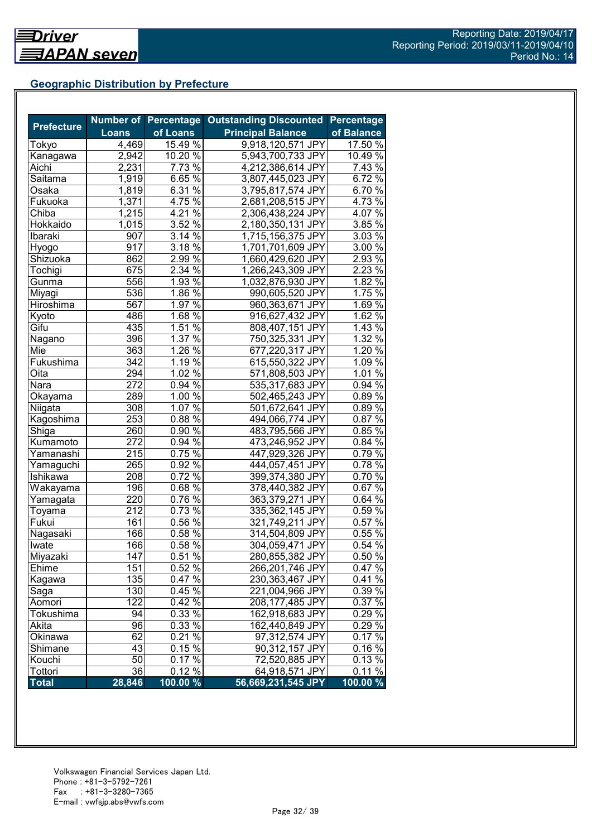# **Geographic Distribution by Prefecture**

|                   |                  |                    | Number of Percentage Outstanding Discounted | <b>Percentage</b> |
|-------------------|------------------|--------------------|---------------------------------------------|-------------------|
| <b>Prefecture</b> | <b>Loans</b>     | of Loans           | <b>Principal Balance</b>                    | of Balance        |
| Tokyo             | 4,469            | 15.49 %            | 9,918,120,571 JPY                           | 17.50 %           |
| Kanagawa          | 2,942            | $10.20\%$          | 5,943,700,733 JPY                           | 10.49 %           |
| Aichi             | 2,231            | 7.73 %             | 4,212,386,614 JPY                           | 7.43 %            |
| Saitama           | 1,919            | 6.65%              | 3,807,445,023 JPY                           | 6.72%             |
| Osaka             | 1,819            | 6.31 $\sqrt{2}$    | 3,795,817,574 JPY                           | 6.70%             |
| Fukuoka           | 1,371            | 4.75 $\%$          | 2,681,208,515 JPY                           | 4.73 $\%$         |
| Chiba             | 1,215            | 4.21 $\sqrt{2}$    | 2,306,438,224 JPY                           | 4.07 $\sqrt{6}$   |
| Hokkaido          | 1,015            | 3.52%              | 2,180,350,131 JPY                           | $3.85\%$          |
| Ibaraki           | 907              | $3.14\sqrt[6]{ }$  | 1,715,156,375 JPY                           | $3.03\%$          |
| Hyogo             | 917              | 3.18 $\sqrt{8}$    | 1,701,701,609 JPY                           | $3.00\,\sqrt{2}$  |
| Shizuoka          | 862              | 2.99%              | 1,660,429,620 JPY                           | $2.93\%$          |
| Tochigi           | 675              | 2.34 %             | 1,266,243,309 JPY                           | 2.23%             |
| Gunma             | 556              | 1.93 %             | 1,032,876,930 JPY                           | 1.82 %            |
| Miyagi            | 536              | 1.86 $\sqrt{2}$    | 990,605,520 JPY                             | 1.75 %            |
| Hiroshima         | 567              | 1.97 $\sqrt{8}$    | 960,363,671 JPY                             | 1.69 $\sqrt{2}$   |
| Kyoto             | 486              | 1.68 $\sqrt{8}$    | 916,627,432 JPY                             | 1.62 %            |
| Gifu              | 435              | 1.51 %             | 808,407,151 JPY                             | 1.43%             |
| Nagano            | 396              | 1.37 $\frac{6}{6}$ | 750,325,331 JPY                             | 1.32%             |
| Mie               | 363              | 1.26 $\sqrt{2}$    | 677,220,317 JPY                             | 1.20 %            |
| Fukushima         | 342              | 1.19 $\sqrt{2}$    | 615,550,322 JPY                             | $1.09\%$          |
| Oita              | 294              | $1.02\%$           | 571,808,503 JPY                             | 1.01 %            |
| Nara              | 272              | $0.94\%$           | 535,317,683 JPY                             | $0.94\%$          |
| Okayama           | 289              | $1.00\%$           | 502,465,243 JPY                             | $0.89\%$          |
| Niigata           | 308              | $1.07\%$           | 501,672,641 JPY                             | 0.89%             |
| Kagoshima         | 253              | $0.88\%$           | 494,066,774 JPY                             | 0.87%             |
| Shiga             | 260              | $0.90\%$           | 483,795,566 JPY                             | 0.85%             |
| Kumamoto          | 272              | $0.94\%$           | 473,246,952 JPY                             | 0.84%             |
| Yamanashi         | 215              | $0.75\%$           | 447,929,326 JPY                             | $0.79\%$          |
| Yamaguchi         | 265              | 0.92 %             | 444,057,451 JPY                             | 0.78%             |
| Ishikawa          | 208              | $0.72\sqrt[6]{6}$  | 399,374,380 JPY                             | 0.70%             |
| Wakayama          | 196              | $0.68\sqrt{26}$    | 378,440,382 JPY                             | 0.67%             |
| Yamagata          | 220              | $0.76\sqrt{26}$    | 363,379,271 JPY                             | $0.64\%$          |
| Toyama            | 212              | $0.73\sqrt{6}$     | 335,362,145 JPY                             | $0.59\%$          |
| Fukui             | 161              | $0.56\%$           | 321,749,211 JPY                             | $0.57\%$          |
| Nagasaki          | 166              | $0.58\%$           | 314,504,809 JPY                             | 0.55 %            |
| Iwate             | 166              | $0.58\%$           | 304,059,471 JPY                             | 0.54%             |
| Miyazaki          | $\overline{147}$ | 0.51%              | 280,855,382 JPY                             | 0.50%             |
| Ehime             | 151              | 0.52 %             | 266,201,746 JPY                             | 0.47%             |
| Kagawa            | 135              | 0.47%              | 230,363,467 JPY                             | 0.41%             |
| Saga              | 130              | $0.45\,\sqrt{6}$   | 221,004,966 JPY                             | 0.39 %            |
| Aomori            | 122              | 0.42%              | 208,177,485 JPY                             | 0.37 %            |
| Tokushima         | 94               | 0.33%              | 162,918,683 JPY                             | 0.29%             |
| Akita             | 96               | 0.33 %             | 162,440,849 JPY                             | 0.29%             |
| Okinawa           | 62               | 0.21%              | 97,312,574 JPY                              | 0.17%             |
| Shimane           | 43               | $0.15\%$           | 90,312,157 JPY                              | 0.16%             |
| Kouchi            | $\overline{50}$  | 0.17%              | 72,520,885 JPY                              | 0.13%             |
| Tottori           | 36               | $0.12\sqrt{2}$     | 64,918,571 JPY                              | $0.11\%$          |
| <b>Total</b>      | 28,846           | 100.00 %           | 56,669,231,545 JPY                          | 100.00 %          |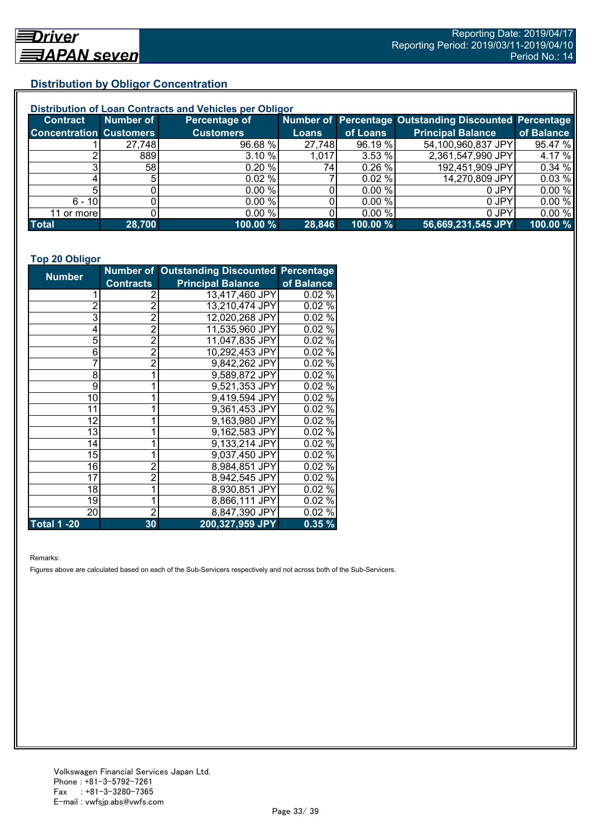# **Distribution by Obligor Concentration**

| Distribution of Loan Contracts and Vehicles per Obligor |                 |                  |        |          |                                                        |            |  |
|---------------------------------------------------------|-----------------|------------------|--------|----------|--------------------------------------------------------|------------|--|
| <b>Contract</b>                                         | Number of       | Percentage of    |        |          | Number of Percentage Outstanding Discounted Percentage |            |  |
| <b>Concentration Customers</b>                          |                 | <b>Customers</b> | Loans  | of Loans | <b>Principal Balance</b>                               | of Balance |  |
|                                                         | 27,748          | 96.68 %          | 27,748 | 96.19 %  | 54,100,960,837 JPY                                     | 95.47 %    |  |
|                                                         | 889             | 3.10%            | 1,017  | 3.53%    | 2,361,547,990 JPY                                      | 4.17 %     |  |
|                                                         | 58 <sub>l</sub> | 0.20%            | 74I    | 0.26%    | 192,451,909 JPY                                        | 0.34%      |  |
|                                                         |                 | $0.02 \%$        |        | 0.02%    | 14,270,809 JPY                                         | 0.03%      |  |
|                                                         |                 | 0.00 %           |        | 0.00 %   | 0 JPY                                                  | 0.00%      |  |
| $6 - 10$                                                |                 | 0.00 %           |        | 0.00%    | 0 JPY                                                  | 0.00%      |  |
| 11 or more                                              |                 | $0.00\%$         |        | 0.00 %   | 0 JPY                                                  | 0.00%      |  |
| <b>Total</b>                                            | 28,700          | 100.00 %         | 28,846 | 100.00 % | 56,669,231,545 JPY                                     | 100.00 %   |  |

#### **Top 20 Obligor**

| <b>Number</b>      |                  | Number of Outstanding Discounted Percentage |            |
|--------------------|------------------|---------------------------------------------|------------|
|                    | <b>Contracts</b> | <b>Principal Balance</b>                    | of Balance |
| 1                  | 2                | 13,417,460 JPY                              | 0.02%      |
| $\overline{2}$     | $\overline{2}$   | 13,210,474 JPY                              | 0.02%      |
| 3                  | $\bar{2}$        | 12,020,268 JPY                              | 0.02%      |
| 4                  | $\overline{2}$   | 11,535,960 JPY                              | 0.02%      |
| 5                  | $\overline{2}$   | 11,047,835 JPY                              | 0.02%      |
| 6                  | $\overline{2}$   | 10,292,453 JPY                              | 0.02%      |
| 7                  | $\overline{2}$   | 9,842,262 JPY                               | 0.02%      |
| 8                  | 1                | 9,589,872 JPY                               | 0.02%      |
| 9                  |                  | 9,521,353 JPY                               | 0.02%      |
| 10                 |                  | 9,419,594 JPY                               | 0.02%      |
| 11                 |                  | 9,361,453 JPY                               | $0.02\%$   |
| 12                 |                  | 9,163,980 JPY                               | $0.02\%$   |
| 13                 |                  | 9,162,583 JPY                               | 0.02%      |
| 14                 |                  | 9,133,214 JPY                               | 0.02%      |
| 15                 | 1                | 9,037,450 JPY                               | 0.02%      |
| 16                 | $\overline{2}$   | 8,984,851 JPY                               | 0.02%      |
| 17                 | $\overline{2}$   | 8,942,545 JPY                               | 0.02%      |
| 18                 | 1                | 8,930,851 JPY                               | 0.02%      |
| 19                 | 1                | 8,866,111 JPY                               | 0.02%      |
| 20                 | $\overline{2}$   | 8,847,390 JPY                               | 0.02%      |
| <b>Total 1 -20</b> | 30               | 200,327,959 JPY                             | 0.35%      |

Remarks:

Figures above are calculated based on each of the Sub-Servicers respectively and not across both of the Sub-Servicers.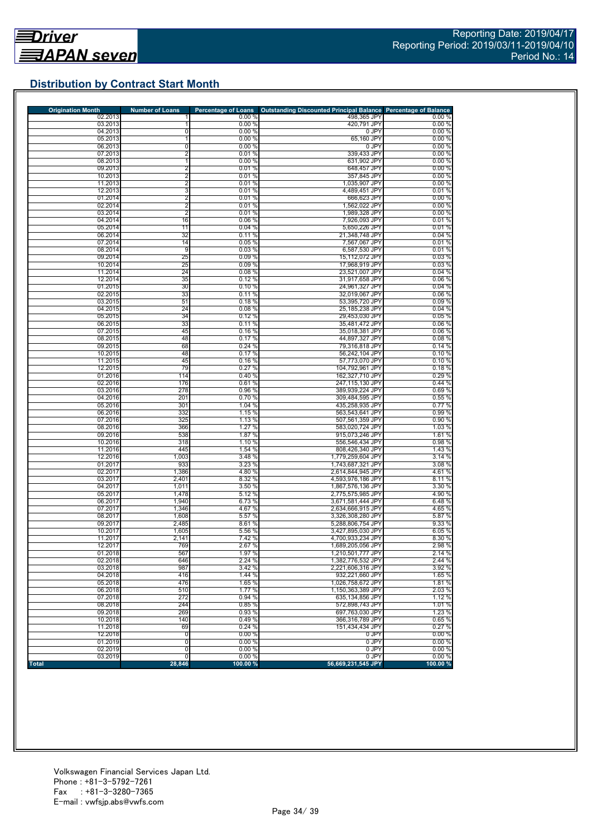# **Distribution by Contract Start Month**

| <b>Origination Month</b> | <b>Number of Loans</b>           | <b>Percentage of Loans</b> | <b>Outstanding Discounted Principal Balance</b> | <b>Percentage of Balance</b> |
|--------------------------|----------------------------------|----------------------------|-------------------------------------------------|------------------------------|
| 02.2013<br>03.2013       |                                  | 0.00%<br>0.00%             | 498,365 JPY<br>420,791 JPY                      | 0.00%<br>0.00%               |
| 04.2013                  | 0                                | 0.00%                      | 0 JPY                                           | 0.00%                        |
| 05.2013                  | 1                                | 0.00%                      | 65,160 JPY                                      | 0.00%                        |
| 06.2013                  | 0                                | 0.00%                      | 0 JPY                                           | 0.00%                        |
| 07.2013                  | 2                                | 0.01%                      | 339,433 JPY                                     | 0.00%                        |
| 08.2013                  | 1                                | 0.00%                      | 631,902 JPY                                     | 0.00%                        |
| 09.2013                  | $\overline{2}$                   | 0.01%                      | 648.457 JPY                                     | 0.00%                        |
| 10.2013<br>11.2013       | $\overline{2}$<br>$\overline{2}$ | 0.01%<br>0.01%             | 357,845 JPY<br>1,035,907 JPY                    | 0.00%<br>0.00%               |
| 12.2013                  | 3                                | 0.01%                      | 4,489,451 JPY                                   | 0.01%                        |
| 01.2014                  | $\overline{2}$                   | 0.01%                      | 666,623 JPY                                     | 0.00%                        |
| 02.2014                  | $\overline{2}$                   | 0.01%                      | 1,562,022 JPY                                   | 0.00%                        |
| 03.2014                  | $\overline{2}$                   | 0.01%                      | 1.989.328 JPY                                   | 0.00%                        |
| 04.2014                  | 16                               | 0.06%                      | 7,926,093 JPY                                   | 0.01%                        |
| 05.2014                  | 11                               | 0.04%                      | 5.650.226 JPY                                   | 0.01%                        |
| 06.2014                  | 32                               | 0.11%                      | 21,348,748 JPY                                  | 0.04%                        |
| 07.2014<br>08.2014       | 14<br>9                          | 0.05%<br>0.03%             | 7,567,067 JPY<br>6,587,530 JPY                  | 0.01%<br>0.01%               |
| 09.2014                  | 25                               | 0.09%                      | 15,112,072 JPY                                  | 0.03%                        |
| 10.2014                  | 25                               | 0.09%                      | 17,968,919 JPY                                  | 0.03%                        |
| 11.2014                  | 24                               | 0.08%                      | 23,521,007 JPY                                  | 0.04%                        |
| 12.2014                  | 35                               | 0.12%                      | 31,917,658 JPY                                  | 0.06%                        |
| 01.2015                  | 30                               | 0.10%                      | 24,961,327 JPY                                  | 0.04%                        |
| 02.2015                  | 33                               | 0.11%                      | 32,019,067 JPY                                  | 0.06%                        |
| 03.2015                  | 51                               | 0.18%                      | 53,395,720 JPY                                  | 0.09%                        |
| 04.2015<br>05.2015       | 24<br>34                         | 0.08%<br>0.12%             | 25,185,238 JPY                                  | 0.04%<br>0.05%               |
| 06.2015                  | 33                               | 0.11%                      | 29,453,030 JPY<br>35,481,472 JPY                | 0.06%                        |
| 07.2015                  | 45                               | 0.16%                      | 35,018,381 JPY                                  | 0.06%                        |
| 08.2015                  | 48                               | 0.17%                      | 44,897,327 JPY                                  | 0.08%                        |
| 09.2015                  | 68                               | 0.24%                      | 79,316,818 JPY                                  | 0.14%                        |
| 10.2015                  | 48                               | 0.17%                      | 56,242,104 JPY                                  | 0.10%                        |
| 11.2015                  | 45                               | 0.16%                      | 57,773,070 JPY                                  | 0.10%                        |
| 12.2015                  | 79                               | 0.27%                      | 104.792.961 JPY                                 | 0.18%                        |
| 01.2016                  | 114                              | 0.40%                      | 162,327,710 JPY<br>247.115.130 JPY              | 0.29 %                       |
| 02.2016<br>03.2016       | 176<br>278                       | 0.61%<br>0.96%             | 389,939,224 JPY                                 | 0.44%<br>0.69%               |
| 04.2016                  | 201                              | 0.70%                      | 309,484,595 JPY                                 | 0.55%                        |
| 05.2016                  | 301                              | 1.04 %                     | 435,258,935 JPY                                 | 0.77%                        |
| 06.2016                  | 332                              | 1.15 %                     | 563,543,641 JPY                                 | 0.99%                        |
| 07.2016                  | 325                              | 1.13 %                     | 507,561,359 JPY                                 | 0.90 %                       |
| 08.2016                  | 366                              | 1.27 %                     | 583,020,724 JPY                                 | 1.03 %                       |
| 09.2016                  | 538                              | 1.87 %                     | 915,073,246 JPY                                 | 1.61%                        |
| 10.2016<br>11.2016       | 318<br>445                       | 1.10 %<br>1.54 %           | 556,546,434 JPY<br>808,426,340 JPY              | 0.98%<br>1.43 %              |
| 12.2016                  | 1,003                            | 3.48 %                     | 1,779,259,604 JPY                               | 3.14%                        |
| 01.2017                  | 933                              | 3.23 %                     | 1,743,687,321 JPY                               | 3.08 %                       |
| 02.2017                  | 1,386                            | 4.80 %                     | 2,614,844,945 JPY                               | 4.61%                        |
| 03.2017                  | 2,401                            | 8.32 %                     | 4,593,976,186 JPY                               | 8.11%                        |
| 04.2017                  | 1,011                            | 3.50 %                     | 1,867,576,136 JPY                               | 3.30 %                       |
| 05.2017                  | 1,478                            | 5.12 %                     | 2,775,575,985 JPY                               | 4.90%                        |
| 06.2017                  | 1,940                            | 6.73 %                     | 3,671,581,444 JPY                               | 6.48%                        |
| 07.2017<br>08.2017       | 1,346<br>1,608                   | 4.67 %<br>5.57 %           | 2,634,666,915 JPY<br>3,326,308,280 JPY          | 4.65%<br>5.87 %              |
| 09.2017                  | 2,485                            | 8.61%                      | 5,288,806,754 JPY                               | 9.33 %                       |
| 10.2017                  | 1,605                            | 5.56 %                     | 3.427.895.030 JPY                               | 6.05%                        |
| 11.2017                  | 2,141                            | 7.42 %                     | 4,700,933,234 JPY                               | 8.30 %                       |
| 12.2017                  | 769                              | 2.67%                      | 1,689,205,056 JPY                               | 2.98 %                       |
| 01.2018                  | 567                              | 1.97 %                     | 1,210,501,777 JPY                               | 2.14 %                       |
| 02.2018                  | 646                              | 2.24 %                     | 1,382,776,532 JPY                               | 2.44 %                       |
| 03.2018                  | 987                              | 3.42 %                     | 2,221,606,316 JPY                               | 3.92 %                       |
| 04.2018                  | 416<br>476                       | 1.44 %                     | 932,221,660 JPY                                 | 1.65%                        |
| 05.2018<br>06.2018       | 510                              | 1.65 %<br>1.77 %           | 1,026,758,672 JPY<br>1,150,363,389 JPY          | 1.81 %<br>2.03%              |
| 07.2018                  | 272                              | 0.94%                      | 635.134.856 JPY                                 | 1.12 %                       |
| 08.2018                  | 244                              | 0.85%                      | 572,898,743 JPY                                 | 1.01%                        |
| 09.2018                  | 269                              | 0.93 %                     | 697,763,030 JPY                                 | 1.23 %                       |
| 10.2018                  | 140                              | 0.49%                      | 366,316,789 JPY                                 | 0.65%                        |
| 11.2018                  | 69                               | 0.24 %                     | 151,434,434 JPY                                 | 0.27 %                       |
| 12.2018                  | O                                | 0.00%                      | 0 JPY                                           | 0.00%                        |
|                          |                                  |                            | 0 JPY                                           | 0.00%                        |
| 01.2019                  | $\overline{0}$                   | 0.00%                      |                                                 |                              |
| 02.2019<br>03.2019       | $\overline{0}$<br>$\overline{0}$ | 0.00%<br>0.00%             | 0 JPY<br>0 JPY                                  | 0.00%<br>0.00%               |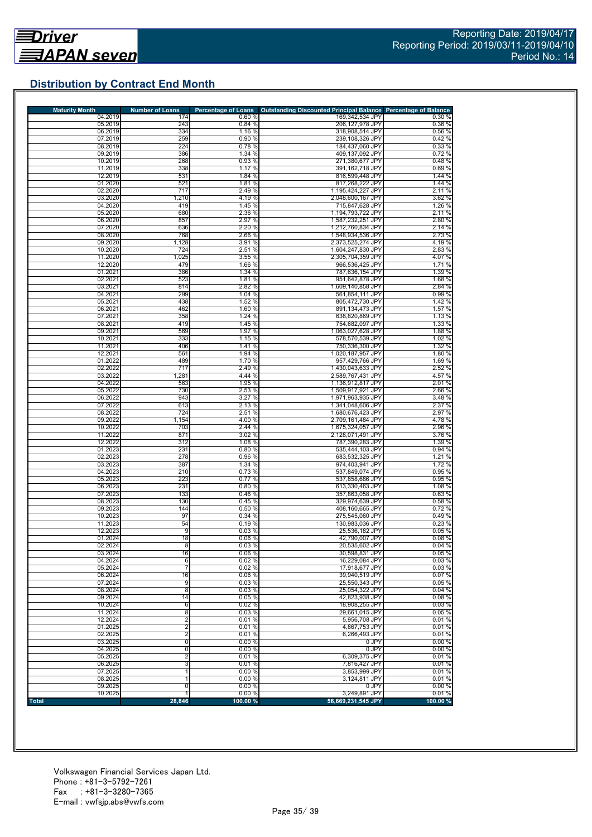# **Distribution by Contract End Month**

| <b>Maturity Month</b> | <b>Number of Loans</b>                    | <b>Percentage of Loans</b> | <b>Outstanding Discounted Principal Balance Percentage of Balance</b> |                  |
|-----------------------|-------------------------------------------|----------------------------|-----------------------------------------------------------------------|------------------|
| 04.2019<br>05.2019    | 174<br>243                                | 0.60%<br>0.84%             | 169,342,534 JPY<br>206,127,978 JPY                                    | 0.30%            |
| 06.2019               | 334                                       | 1.16 %                     | 318,908,514 JPY                                                       | 0.36%<br>0.56 %  |
| 07.2019               | 259                                       | 0.90 %                     | 239.108.326 JPY                                                       | 0.42%            |
| 08.2019               | 224                                       | 0.78%                      | 184,437,060 JPY                                                       | 0.33 %           |
| 09.2019               | 386                                       | 1.34 %                     | 409,137,092 JPY                                                       | 0.72%            |
| 10.2019<br>11.2019    | 268<br>338                                | 0.93%<br>1.17 %            | 271.380.677 JPY                                                       | 0.48%            |
| 12.2019               | 531                                       | 1.84 %                     | 391, 162, 718 JPY<br>816,599,448 JPY                                  | 0.69%<br>1.44 %  |
| 01.2020               | 521                                       | 1.81 %                     | 817,268,222 JPY                                                       | 1.44 %           |
| 02.2020               | 717                                       | 2.49 %                     | 1,195,424,227 JPY                                                     | 2.11 %           |
| 03.2020               | 1,210                                     | 4.19%                      | 2,048,600,167 JPY                                                     | 3.62 %           |
| 04.2020               | 419                                       | 1.45 %                     | 715,847,628 JPY                                                       | 1.26 %           |
| 05.2020<br>06.2020    | 680<br>857                                | 2.36 %<br>2.97 %           | 1,194,793,722 JPY<br>1,587,232,251 JPY                                | 2.11%<br>2.80 %  |
| 07.2020               | 636                                       | 2.20 %                     | 1,212,760,834 JPY                                                     | 2.14 %           |
| 08.2020               | 768                                       | 2.66 %                     | 1,548,934,536 JPY                                                     | 2.73 %           |
| 09.2020               | 1,128                                     | 3.91 %                     | 2.373.525.274 JPY                                                     | 4.19%            |
| 10.2020               | 724                                       | 2.51%                      | 1,604,247,830 JPY                                                     | 2.83%            |
| 11.2020               | 1,025<br>479                              | 3.55%<br>1.66 %            | 2,305,704,359 JPY                                                     | 4.07%            |
| 12.2020<br>01.2021    | 386                                       | 1.34 %                     | 966,536,425 JPY<br>787,636,154 JPY                                    | 1.71%<br>1.39 %  |
| 02.2021               | 523                                       | 1.81 %                     | 951,642,878 JPY                                                       | 1.68%            |
| 03.2021               | 814                                       | 2.82 %                     | 1,609,140,858 JPY                                                     | 2.84 %           |
| 04.2021               | 299                                       | 1.04 %                     | 561,854,111 JPY                                                       | 0.99%            |
| 05.2021               | 438                                       | 1.52 %                     | 805,472,730 JPY                                                       | 1.42 %           |
| 06.2021               | 462                                       | 1.60 %                     | 891,134,473 JPY                                                       | 1.57 %           |
| 07.2021<br>08.2021    | 358<br>419                                | 1.24%<br>1.45 %            | 638.820.869 JPY<br>754.682.097 JPY                                    | 1.13 %<br>1.33 % |
| 09.2021               | 569                                       | 1.97 %                     | 1,063,027,628 JPY                                                     | 1.88 %           |
| 10.2021               | 333                                       | 1.15 %                     | 578.570.539 JPY                                                       | 1.02 %           |
| 11.2021               | 406                                       | 1.41%                      | 750,336,300 JPY                                                       | 1.32 %           |
| 12.2021               | 561                                       | 1.94 %                     | 1,020,187,957 JPY                                                     | 1.80 %           |
| 01.2022               | 489                                       | 1.70 %                     | 957,429,766 JPY                                                       | 1.69%            |
| 02.2022<br>03.2022    | 717<br>1,281                              | 2.49 %<br>4.44 %           | 1,430,043,633 JPY<br>2,589,767,431 JPY                                | 2.52 %<br>4.57 % |
| 04.2022               | 563                                       | 1.95 %                     | 1.136.912.817 JPY                                                     | 2.01%            |
| 05.2022               | 730                                       | 2.53 %                     | 1,509,917,921 JPY                                                     | 2.66 %           |
| 06.2022               | 943                                       | 3.27%                      | 1,971,963,935 JPY                                                     | 3.48%            |
| 07.2022               | 613                                       | 2.13 %                     | 1,341,048,606 JPY                                                     | 2.37 %           |
| 08.2022               | 724                                       | 2.51 %                     | 1,680,676,423 JPY                                                     | 2.97 %           |
| 09.2022<br>10.2022    | 1,154<br>703                              | 4.00 %<br>2.44 %           | 2,709,161,484 JPY<br>1,675,324,057 JPY                                | 4.78%<br>2.96 %  |
| 11.2022               | 871                                       | 3.02 %                     | 2,128,071,491 JPY                                                     | 3.76 %           |
| 12.2022               | 312                                       | 1.08 %                     | 787,390,283 JPY                                                       | 1.39 %           |
| 01.2023               | 231                                       | 0.80%                      | 535,444,103 JPY                                                       | 0.94%            |
| 02.2023               | 278                                       | 0.96%                      | 683,532,325 JPY                                                       | 1.21%            |
| 03.2023               | 387                                       | 1.34 %                     | 974,403,941 JPY                                                       | 1.72 %           |
| 04.2023<br>05.2023    | 210<br>223                                | 0.73 %<br>0.77 %           | 537,849,074 JPY<br>537,858,686 JPY                                    | 0.95 %<br>0.95 % |
| 06.2023               | 231                                       | 0.80%                      | 613,330,463 JPY                                                       | 1.08 %           |
| 07.2023               | 133                                       | 0.46%                      | 357,863,058 JPY                                                       | 0.63%            |
| 08.2023               | 130                                       | 0.45%                      | 329,974,639 JPY                                                       | 0.58%            |
| 09.2023               | 144                                       | 0.50%                      | 408,160,665 JPY                                                       | 0.72%            |
| 10.2023               | 97                                        | 0.34%                      | 275,545,060 JPY                                                       | 0.49%            |
| 11.2023<br>12.2023    | 54<br>9                                   | 0.19%<br>0.03%             | 130,983,036 JPY<br>25.536.182 JPY                                     | 0.23%<br>0.05%   |
| 01.2024               | 18                                        | 0.06%                      | 42,790,007 JPY                                                        | 0.08%            |
| 02.2024               | $\overline{8}$                            | 0.03%                      | 20,535,602 JPY                                                        | 0.04%            |
| 03.2024               | 16                                        | $0.06\%$                   | 30,598,831 JPY                                                        | 0.05%            |
| 04.2024               | 6                                         | 0.02%                      | 16,229,084 JPY                                                        | 0.03%            |
| 05.2024               | 7                                         | 0.02%<br>0.06%             | 17.918.677 JPY                                                        | 0.03%<br>0.07%   |
| 06.2024<br>07.2024    | 16<br>9                                   | 0.03%                      | 39,940,519 JPY<br>25,550,343 JPY                                      | 0.05%            |
| 08.2024               | 8                                         | 0.03%                      | 25,054,322 JPY                                                        | 0.04%            |
| 09.2024               | 14                                        | 0.05%                      | 42,823,938 JPY                                                        | 0.08%            |
| 10.2024               | 6                                         | 0.02%                      | 18,908,255 JPY                                                        | 0.03%            |
| 11.2024               | 8                                         | 0.03%                      | 29,661,015 JPY                                                        | 0.05%            |
| 12.2024               | $\overline{2}$                            | 0.01%                      | 5,956,708 JPY                                                         | 0.01%            |
| 01.2025<br>02.2025    | $\overline{\mathbf{c}}$<br>$\overline{2}$ | 0.01%<br>0.01%             | 4,867,753 JPY<br>6,266,493 JPY                                        | 0.01%<br>0.01%   |
| 03.2025               | 0                                         | 0.00%                      | 0 JPY                                                                 | 0.00%            |
| 04.2025               | 0                                         | 0.00%                      | 0 JPY                                                                 | 0.00%            |
| 05.2025               | $\overline{\mathbf{c}}$                   | 0.01%                      | 6,309,375 JPY                                                         | 0.01%            |
| 06.2025               | 3                                         | 0.01%                      | 7,816,427 JPY                                                         | 0.01%            |
| 07.2025               | 1                                         | 0.00%                      | 3,853,999 JPY                                                         | 0.01%            |
| 08.2025               |                                           | 0.00%                      | 3,124,811 JPY                                                         | 0.01%            |
|                       |                                           |                            |                                                                       |                  |
| 09.2025<br>10.2025    | 0                                         | 0.00%<br>0.00%             | 0 JPY<br>3,249,891 JPY                                                | 0.00%<br>0.01%   |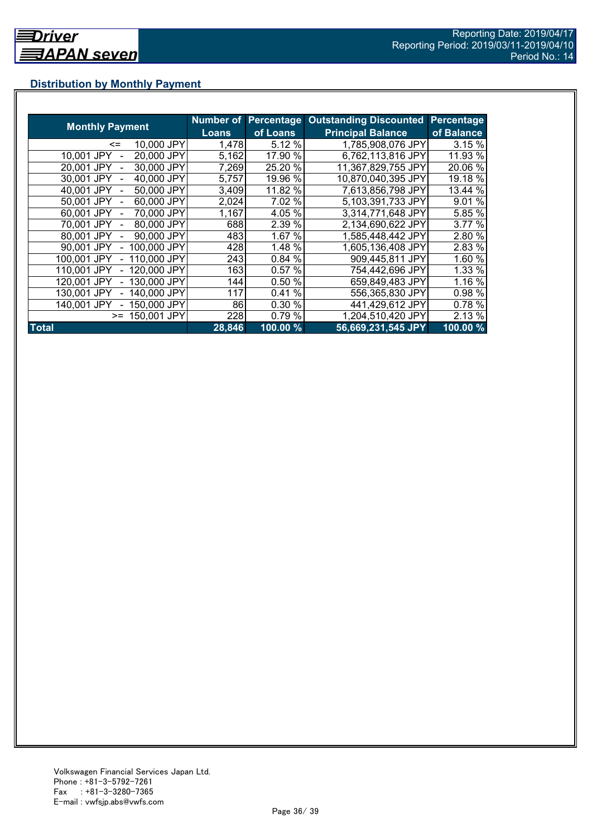# **Distribution by Monthly Payment**

|                            | Number of    | <b>Percentage</b> | <b>Outstanding Discounted</b> | <b>Percentage</b> |
|----------------------------|--------------|-------------------|-------------------------------|-------------------|
| <b>Monthly Payment</b>     | <b>Loans</b> | of Loans          | <b>Principal Balance</b>      | of Balance        |
| 10,000 JPY<br><=           | 1,478        | 5.12 %            | 1,785,908,076 JPY             | 3.15 %            |
| 20,000 JPY<br>10.001 JPY   | 5,162        | 17.90 %           | 6,762,113,816 JPY             | 11.93 %           |
| 30,000 JPY<br>20.001 JPY   | 7,269        | 25.20 %           | 11,367,829,755 JPY            | 20.06 %           |
| 40,000 JPY<br>30,001 JPY   | 5,757        | 19.96 %           | 10,870,040,395 JPY            | 19.18 %           |
| 50,000 JPY<br>40.001 JPY   | 3,409        | 11.82 %           | 7,613,856,798 JPY             | 13.44 %           |
| 60,000 JPY<br>50,001 JPY   | 2,024        | 7.02 %            | 5,103,391,733 JPY             | 9.01 %            |
| 70.000 JPY<br>60.001 JPY   | 1,167        | 4.05 %            | 3,314,771,648 JPY             | 5.85 %            |
| 80,000 JPY<br>70.001 JPY   | 688          | 2.39 %            | 2,134,690,622 JPY             | 3.77 %            |
| 90,000 JPY<br>80,001 JPY   | 483          | 1.67 %            | 1,585,448,442 JPY             | 2.80 %            |
| 100,000 JPY<br>90.001 JPY  | 428          | 1.48 %            | 1,605,136,408 JPY             | 2.83 %            |
| 110,000 JPY<br>100,001 JPY | 243          | 0.84 %            | 909,445,811 JPY               | 1.60 %            |
| 120,000 JPY<br>110,001 JPY | 163          | 0.57%             | 754,442,696 JPY               | 1.33 %            |
| 130,000 JPY<br>120.001 JPY | 144          | 0.50 %            | 659,849,483 JPY               | 1.16 %            |
| 140,000 JPY<br>130.001 JPY | 117          | %<br>0.41         | 556,365,830 JPY               | 0.98 %            |
| 150,000 JPY<br>140.001 JPY | 86           | 0.30 %            | 441,429,612 JPY               | 0.78 %            |
| 150,001 JPY<br>$>=$        | 228          | 0.79%             | 1,204,510,420 JPY             | 2.13 %            |
| <b>Total</b>               | 28,846       | 100.00 %          | 56,669,231,545 JPY            | $100.00\%$        |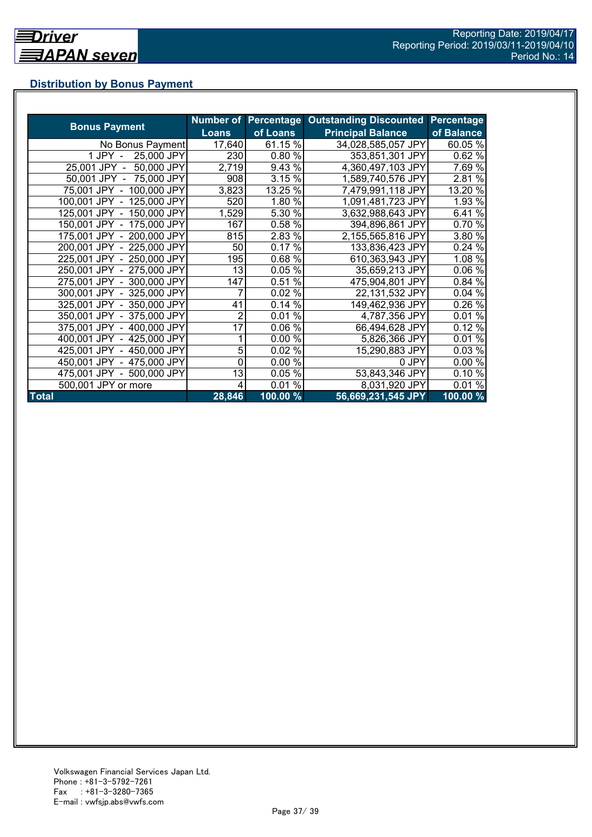# **Distribution by Bonus Payment**

|                            |              |          | Number of Percentage Outstanding Discounted | Percentage |
|----------------------------|--------------|----------|---------------------------------------------|------------|
| <b>Bonus Payment</b>       | <b>Loans</b> | of Loans | <b>Principal Balance</b>                    | of Balance |
| No Bonus Payment           | 17,640       | 61.15 %  | 34,028,585,057 JPY                          | 60.05 %    |
| 25,000 JPY<br>1 JPY -      | 230          | 0.80%    | 353,851,301 JPY                             | 0.62%      |
| 25,001 JPY -<br>50,000 JPY | 2,719        | 9.43 %   | 4,360,497,103 JPY                           | 7.69 %     |
| 50,001 JPY - 75,000 JPY    | 908          | 3.15 %   | 1,589,740,576 JPY                           | 2.81 %     |
| 75,001 JPY - 100,000 JPY   | 3,823        | 13.25 %  | 7,479,991,118 JPY                           | 13.20 %    |
| 100,001 JPY - 125,000 JPY  | 520          | 1.80 %   | 1,091,481,723 JPY                           | 1.93 %     |
| 125,001 JPY - 150,000 JPY  | 1,529        | 5.30 %   | 3,632,988,643 JPY                           | 6.41 %     |
| 150,001 JPY - 175,000 JPY  | 167          | 0.58 %   | 394,896,861 JPY                             | 0.70 %     |
| 175,001 JPY - 200,000 JPY  | 815          | 2.83 %   | 2,155,565,816 JPY                           | 3.80 %     |
| 200,001 JPY - 225,000 JPY  | 50           | 0.17%    | 133,836,423 JPY                             | 0.24%      |
| 225,001 JPY - 250,000 JPY  | 195          | 0.68%    | 610,363,943 JPY                             | 1.08 %     |
| 250,001 JPY - 275,000 JPY  | 13           | 0.05%    | 35,659,213 JPY                              | 0.06 %     |
| 275,001 JPY - 300,000 JPY  | 147          | 0.51%    | 475,904,801 JPY                             | 0.84 %     |
| 300,001 JPY - 325,000 JPY  |              | 0.02 %   | 22,131,532 JPY                              | 0.04%      |
| 325,001 JPY - 350,000 JPY  | 41           | 0.14%    | 149,462,936 JPY                             | 0.26 %     |
| 350,001 JPY - 375,000 JPY  | 2            | 0.01%    | 4,787,356 JPY                               | 0.01%      |
| 375,001 JPY - 400,000 JPY  | 17           | 0.06%    | 66,494,628 JPY                              | 0.12%      |
| 400,001 JPY - 425,000 JPY  |              | 0.00%    | 5,826,366 JPY                               | 0.01%      |
| 425,001 JPY - 450,000 JPY  | 5            | 0.02%    | 15,290,883 JPY                              | 0.03%      |
| 450,001 JPY - 475,000 JPY  | 0            | 0.00 %   | 0 JPY                                       | 0.00%      |
| 475,001 JPY - 500,000 JPY  | 13           | 0.05%    | 53,843,346 JPY                              | 0.10%      |
| 500,001 JPY or more        | 4            | $0.01\%$ | 8,031,920 JPY                               | 0.01%      |
| <b>Total</b>               | 28,846       | 100.00 % | 56,669,231,545 JPY                          | 100.00 %   |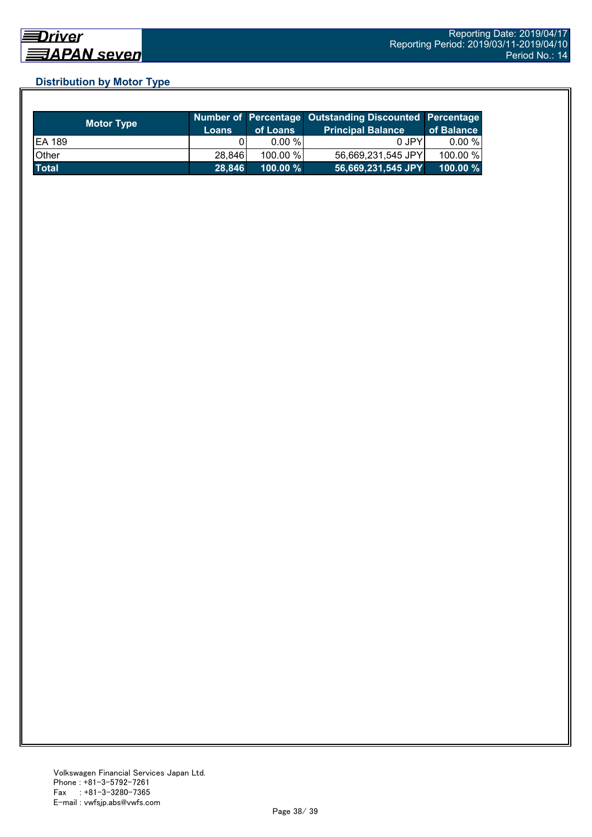# **Distribution by Motor Type**

| <b>Motor Type</b> | <b>Loans</b> | of Loans    | Number of Percentage Outstanding Discounted Percentage<br><b>Principal Balance</b> | of Balance  |
|-------------------|--------------|-------------|------------------------------------------------------------------------------------|-------------|
| <b>EA 189</b>     |              | $0.00 \%$   | 0 JPY                                                                              | 0.00 %      |
| Other             | 28,846       | 100.00 %    | 56,669,231,545 JPY                                                                 | 100.00 %    |
| <b>Total</b>      | 28.846       | $100.00 \%$ | 56,669,231,545 JPY                                                                 | $100.00 \%$ |